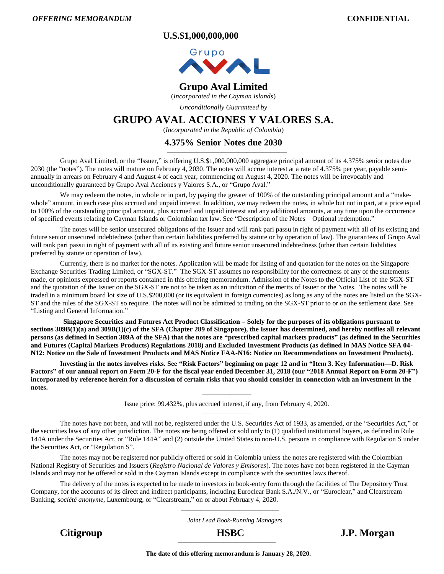**U.S.\$1,000,000,000**



# **Grupo Aval Limited**

(*Incorporated in the Cayman Islands*)

*Unconditionally Guaranteed by*

# **GRUPO AVAL ACCIONES Y VALORES S.A.**

(*Incorporated in the Republic of Colombia*)

# **4.375% Senior Notes due 2030** ———————————————

Grupo Aval Limited, or the "Issuer," is offering U.S.\$1,000,000,000 aggregate principal amount of its 4.375% senior notes due 2030 (the "notes"). The notes will mature on February 4, 2030. The notes will accrue interest at a rate of 4.375% per year, payable semiannually in arrears on February 4 and August 4 of each year, commencing on August 4, 2020. The notes will be irrevocably and unconditionally guaranteed by Grupo Aval Acciones y Valores S.A., or "Grupo Aval."

We may redeem the notes, in whole or in part, by paying the greater of 100% of the outstanding principal amount and a "makewhole" amount, in each case plus accrued and unpaid interest. In addition, we may redeem the notes, in whole but not in part, at a price equal to 100% of the outstanding principal amount, plus accrued and unpaid interest and any additional amounts, at any time upon the occurrence of specified events relating to Cayman Islands or Colombian tax law. See "Description of the Notes—Optional redemption."

The notes will be senior unsecured obligations of the Issuer and will rank pari passu in right of payment with all of its existing and future senior unsecured indebtedness (other than certain liabilities preferred by statute or by operation of law). The guarantees of Grupo Aval will rank pari passu in right of payment with all of its existing and future senior unsecured indebtedness (other than certain liabilities preferred by statute or operation of law).

Currently, there is no market for the notes. Application will be made for listing of and quotation for the notes on the Singapore Exchange Securities Trading Limited, or "SGX-ST." The SGX-ST assumes no responsibility for the correctness of any of the statements made, or opinions expressed or reports contained in this offering memorandum. Admission of the Notes to the Official List of the SGX-ST and the quotation of the Issuer on the SGX-ST are not to be taken as an indication of the merits of Issuer or the Notes. The notes will be traded in a minimum board lot size of U.S.\$200,000 (or its equivalent in foreign currencies) as long as any of the notes are listed on the SGX-ST and the rules of the SGX-ST so require. The notes will not be admitted to trading on the SGX-ST prior to or on the settlement date. See "Listing and General Information."

**Singapore Securities and Futures Act Product Classification – Solely for the purposes of its obligations pursuant to sections 309B(1)(a) and 309B(1)(c) of the SFA (Chapter 289 of Singapore), the Issuer has determined, and hereby notifies all relevant persons (as defined in Section 309A of the SFA) that the notes are "prescribed capital markets products" (as defined in the Securities and Futures (Capital Markets Products) Regulations 2018) and Excluded Investment Products (as defined in MAS Notice SFA 04- N12: Notice on the Sale of Investment Products and MAS Notice FAA-N16: Notice on Recommendations on Investment Products).**

**Investing in the notes involves risks. See "Risk Factors" beginning on page 12 and in "Item 3. Key Information—D. Risk Factors" of our annual report on Form 20-F for the fiscal year ended December 31, 2018 (our "2018 Annual Report on Form 20-F") incorporated by reference herein for a discussion of certain risks that you should consider in connection with an investment in the notes.**

> ————————— Issue price: 99.432%, plus accrued interest, if any, from February 4, 2020. —————————

The notes have not been, and will not be, registered under the U.S. Securities Act of 1933, as amended, or the "Securities Act," or the securities laws of any other jurisdiction. The notes are being offered or sold only to (1) qualified institutional buyers, as defined in Rule 144A under the Securities Act, or "Rule 144A" and (2) outside the United States to non-U.S. persons in compliance with Regulation S under the Securities Act, or "Regulation S".

The notes may not be registered nor publicly offered or sold in Colombia unless the notes are registered with the Colombian National Registry of Securities and Issuers (*Registro Nacional de Valores y Emisores*). The notes have not been registered in the Cayman Islands and may not be offered or sold in the Cayman Islands except in compliance with the securities laws thereof.

The delivery of the notes is expected to be made to investors in book-entry form through the facilities of The Depository Trust Company, for the accounts of its direct and indirect participants, including Euroclear Bank S.A./N.V., or "Euroclear," and Clearstream Banking, *société anonyme*, Luxembourg, or "Clearstream," on or about February 4, 2020.

> ——————————————— *Joint Lead Book-Running Managers*

**Citigroup HSBC J.P. Morgan**

 $\overline{\phantom{a}}$  , and the contract of the contract of the contract of the contract of the contract of the contract of the contract of the contract of the contract of the contract of the contract of the contract of the contrac **The date of this offering memorandum is January 28, 2020.**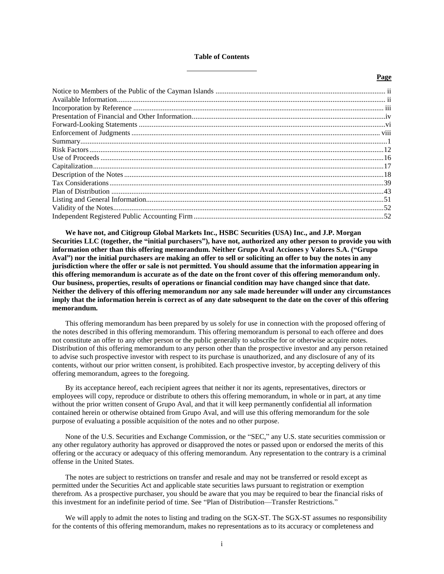#### **Table of Contents**

**Page**

**We have not, and Citigroup Global Markets Inc., HSBC Securities (USA) Inc., and J.P. Morgan Securities LLC (together, the "initial purchasers"), have not, authorized any other person to provide you with information other than this offering memorandum. Neither Grupo Aval Acciones y Valores S.A. ("Grupo Aval") nor the initial purchasers are making an offer to sell or soliciting an offer to buy the notes in any jurisdiction where the offer or sale is not permitted. You should assume that the information appearing in this offering memorandum is accurate as of the date on the front cover of this offering memorandum only. Our business, properties, results of operations or financial condition may have changed since that date. Neither the delivery of this offering memorandum nor any sale made hereunder will under any circumstances imply that the information herein is correct as of any date subsequent to the date on the cover of this offering memorandum.** 

This offering memorandum has been prepared by us solely for use in connection with the proposed offering of the notes described in this offering memorandum. This offering memorandum is personal to each offeree and does not constitute an offer to any other person or the public generally to subscribe for or otherwise acquire notes. Distribution of this offering memorandum to any person other than the prospective investor and any person retained to advise such prospective investor with respect to its purchase is unauthorized, and any disclosure of any of its contents, without our prior written consent, is prohibited. Each prospective investor, by accepting delivery of this offering memorandum, agrees to the foregoing.

By its acceptance hereof, each recipient agrees that neither it nor its agents, representatives, directors or employees will copy, reproduce or distribute to others this offering memorandum, in whole or in part, at any time without the prior written consent of Grupo Aval, and that it will keep permanently confidential all information contained herein or otherwise obtained from Grupo Aval, and will use this offering memorandum for the sole purpose of evaluating a possible acquisition of the notes and no other purpose.

None of the U.S. Securities and Exchange Commission, or the "SEC," any U.S. state securities commission or any other regulatory authority has approved or disapproved the notes or passed upon or endorsed the merits of this offering or the accuracy or adequacy of this offering memorandum. Any representation to the contrary is a criminal offense in the United States.

The notes are subject to restrictions on transfer and resale and may not be transferred or resold except as permitted under the Securities Act and applicable state securities laws pursuant to registration or exemption therefrom. As a prospective purchaser, you should be aware that you may be required to bear the financial risks of this investment for an indefinite period of time. See "Plan of Distribution—Transfer Restrictions."

We will apply to admit the notes to listing and trading on the SGX-ST. The SGX-ST assumes no responsibility for the contents of this offering memorandum, makes no representations as to its accuracy or completeness and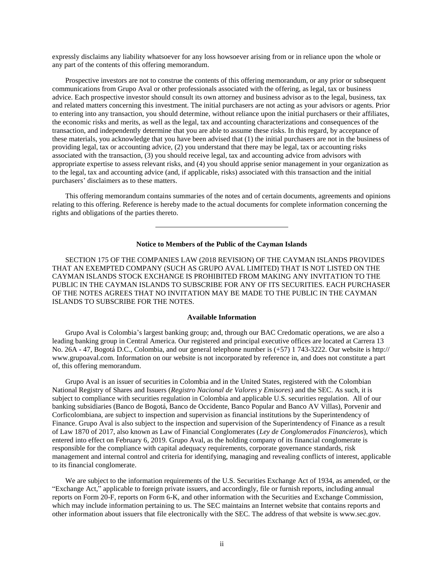expressly disclaims any liability whatsoever for any loss howsoever arising from or in reliance upon the whole or any part of the contents of this offering memorandum.

Prospective investors are not to construe the contents of this offering memorandum, or any prior or subsequent communications from Grupo Aval or other professionals associated with the offering, as legal, tax or business advice. Each prospective investor should consult its own attorney and business advisor as to the legal, business, tax and related matters concerning this investment. The initial purchasers are not acting as your advisors or agents. Prior to entering into any transaction, you should determine, without reliance upon the initial purchasers or their affiliates, the economic risks and merits, as well as the legal, tax and accounting characterizations and consequences of the transaction, and independently determine that you are able to assume these risks. In this regard, by acceptance of these materials, you acknowledge that you have been advised that (1) the initial purchasers are not in the business of providing legal, tax or accounting advice, (2) you understand that there may be legal, tax or accounting risks associated with the transaction, (3) you should receive legal, tax and accounting advice from advisors with appropriate expertise to assess relevant risks, and (4) you should apprise senior management in your organization as to the legal, tax and accounting advice (and, if applicable, risks) associated with this transaction and the initial purchasers' disclaimers as to these matters.

This offering memorandum contains summaries of the notes and of certain documents, agreements and opinions relating to this offering. Reference is hereby made to the actual documents for complete information concerning the rights and obligations of the parties thereto.

#### **Notice to Members of the Public of the Cayman Islands**

<span id="page-2-0"></span>SECTION 175 OF THE COMPANIES LAW (2018 REVISION) OF THE CAYMAN ISLANDS PROVIDES THAT AN EXEMPTED COMPANY (SUCH AS GRUPO AVAL LIMITED) THAT IS NOT LISTED ON THE CAYMAN ISLANDS STOCK EXCHANGE IS PROHIBITED FROM MAKING ANY INVITATION TO THE PUBLIC IN THE CAYMAN ISLANDS TO SUBSCRIBE FOR ANY OF ITS SECURITIES. EACH PURCHASER OF THE NOTES AGREES THAT NO INVITATION MAY BE MADE TO THE PUBLIC IN THE CAYMAN ISLANDS TO SUBSCRIBE FOR THE NOTES.

#### **Available Information**

<span id="page-2-1"></span>Grupo Aval is Colombia's largest banking group; and, through our BAC Credomatic operations, we are also a leading banking group in Central America. Our registered and principal executive offices are located at Carrera 13 No. 26A - 47, Bogotá D.C., Colombia, and our general telephone number is (+57) 1 743-3222. Our website is http:// www.grupoaval.com. Information on our website is not incorporated by reference in, and does not constitute a part of, this offering memorandum.

Grupo Aval is an issuer of securities in Colombia and in the United States, registered with the Colombian National Registry of Shares and Issuers (*Registro Nacional de Valores y Emisores*) and the SEC. As such, it is subject to compliance with securities regulation in Colombia and applicable U.S. securities regulation. All of our banking subsidiaries (Banco de Bogotá, Banco de Occidente, Banco Popular and Banco AV Villas), Porvenir and Corficolombiana, are subject to inspection and supervision as financial institutions by the Superintendency of Finance. Grupo Aval is also subject to the inspection and supervision of the Superintendency of Finance as a result of Law 1870 of 2017, also known as Law of Financial Conglomerates (*Ley de Conglomerados Financieros*), which entered into effect on February 6, 2019. Grupo Aval, as the holding company of its financial conglomerate is responsible for the compliance with capital adequacy requirements, corporate governance standards, risk management and internal control and criteria for identifying, managing and revealing conflicts of interest, applicable to its financial conglomerate.

We are subject to the information requirements of the U.S. Securities Exchange Act of 1934, as amended, or the "Exchange Act," applicable to foreign private issuers, and accordingly, file or furnish reports, including annual reports on Form 20-F, reports on Form 6-K, and other information with the Securities and Exchange Commission, which may include information pertaining to us. The SEC maintains an Internet website that contains reports and other information about issuers that file electronically with the SEC. The address of that website is www.sec.gov.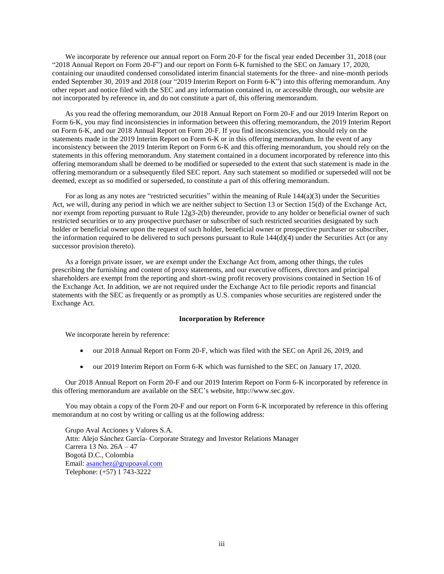We incorporate by reference our annual report on Form 20-F for the fiscal year ended December 31, 2018 (our "2018 Annual Report on Form 20-F") and our report on Form 6-K furnished to the SEC on January 17, 2020, containing our unaudited condensed consolidated interim financial statements for the three- and nine-month periods ended September 30, 2019 and 2018 (our "2019 Interim Report on Form 6-K") into this offering memorandum. Any other report and notice filed with the SEC and any information contained in, or accessible through, our website are not incorporated by reference in, and do not constitute a part of, this offering memorandum.

As you read the offering memorandum, our 2018 Annual Report on Form 20-F and our 2019 Interim Report on Form 6-K, you may find inconsistencies in information between this offering memorandum, the 2019 Interim Report on Form 6-K, and our 2018 Annual Report on Form 20-F. If you find inconsistencies, you should rely on the statements made in the 2019 Interim Report on Form 6-K or in this offering memorandum. In the event of any inconsistency between the 2019 Interim Report on Form 6-K and this offering memorandum, you should rely on the statements in this offering memorandum. Any statement contained in a document incorporated by reference into this offering memorandum shall be deemed to be modified or superseded to the extent that such statement is made in the offering memorandum or a subsequently filed SEC report. Any such statement so modified or superseded will not be deemed, except as so modified or superseded, to constitute a part of this offering memorandum.

For as long as any notes are "restricted securities" within the meaning of Rule 144(a)(3) under the Securities Act, we will, during any period in which we are neither subject to Section 13 or Section 15(d) of the Exchange Act, nor exempt from reporting pursuant to Rule 12g3-2(b) thereunder, provide to any holder or beneficial owner of such restricted securities or to any prospective purchaser or subscriber of such restricted securities designated by such holder or beneficial owner upon the request of such holder, beneficial owner or prospective purchaser or subscriber, the information required to be delivered to such persons pursuant to Rule  $144(d)(4)$  under the Securities Act (or any successor provision thereto).

As a foreign private issuer, we are exempt under the Exchange Act from, among other things, the rules prescribing the furnishing and content of proxy statements, and our executive officers, directors and principal shareholders are exempt from the reporting and short-swing profit recovery provisions contained in Section 16 of the Exchange Act. In addition, we are not required under the Exchange Act to file periodic reports and financial statements with the SEC as frequently or as promptly as U.S. companies whose securities are registered under the Exchange Act.

# **Incorporation by Reference**

<span id="page-3-0"></span>We incorporate herein by reference:

- our 2018 Annual Report on Form 20-F, which was filed with the SEC on April 26, 2019, and
- our 2019 Interim Report on Form 6-K which was furnished to the SEC on January 17, 2020.

Our 2018 Annual Report on Form 20-F and our 2019 Interim Report on Form 6-K incorporated by reference in this offering memorandum are available on the SEC's website, http://www.sec.gov.

You may obtain a copy of the Form 20-F and our report on Form 6-K incorporated by reference in this offering memorandum at no cost by writing or calling us at the following address:

Grupo Aval Acciones y Valores S.A. Attn: Alejo Sánchez García- Corporate Strategy and Investor Relations Manager Carrera 13 No. 26A – 47 Bogotá D.C., Colombia Email: [asanchez@grupoaval.com](mailto:asanchez@grupoaval.com) Telephone: (+57) 1 743-3222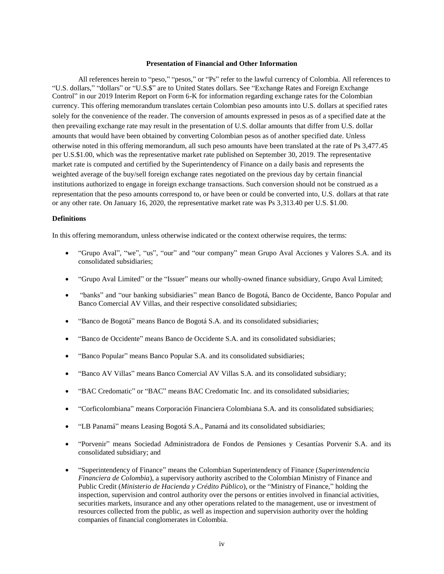# **Presentation of Financial and Other Information**

<span id="page-4-0"></span>All references herein to "peso," "pesos," or "Ps" refer to the lawful currency of Colombia. All references to "U.S. dollars," "dollars" or "U.S.\$" are to United States dollars. See "Exchange Rates and Foreign Exchange Control" in our 2019 Interim Report on Form 6-K for information regarding exchange rates for the Colombian currency. This offering memorandum translates certain Colombian peso amounts into U.S. dollars at specified rates solely for the convenience of the reader. The conversion of amounts expressed in pesos as of a specified date at the then prevailing exchange rate may result in the presentation of U.S. dollar amounts that differ from U.S. dollar amounts that would have been obtained by converting Colombian pesos as of another specified date. Unless otherwise noted in this offering memorandum, all such peso amounts have been translated at the rate of Ps 3,477.45 per U.S.\$1.00, which was the representative market rate published on September 30, 2019. The representative market rate is computed and certified by the Superintendency of Finance on a daily basis and represents the weighted average of the buy/sell foreign exchange rates negotiated on the previous day by certain financial institutions authorized to engage in foreign exchange transactions. Such conversion should not be construed as a representation that the peso amounts correspond to, or have been or could be converted into, U.S. dollars at that rate or any other rate. On January 16, 2020, the representative market rate was Ps 3,313.40 per U.S. \$1.00.

#### **Definitions**

In this offering memorandum, unless otherwise indicated or the context otherwise requires, the terms:

- "Grupo Aval", "we", "us", "our" and "our company" mean Grupo Aval Acciones y Valores S.A. and its consolidated subsidiaries;
- "Grupo Aval Limited" or the "Issuer" means our wholly-owned finance subsidiary, Grupo Aval Limited;
- "banks" and "our banking subsidiaries" mean Banco de Bogotá, Banco de Occidente, Banco Popular and Banco Comercial AV Villas, and their respective consolidated subsidiaries;
- "Banco de Bogotá" means Banco de Bogotá S.A. and its consolidated subsidiaries;
- "Banco de Occidente" means Banco de Occidente S.A. and its consolidated subsidiaries;
- "Banco Popular" means Banco Popular S.A. and its consolidated subsidiaries;
- "Banco AV Villas" means Banco Comercial AV Villas S.A. and its consolidated subsidiary;
- "BAC Credomatic" or "BAC" means BAC Credomatic Inc. and its consolidated subsidiaries;
- "Corficolombiana" means Corporación Financiera Colombiana S.A. and its consolidated subsidiaries;
- "LB Panamá" means Leasing Bogotá S.A., Panamá and its consolidated subsidiaries;
- "Porvenir" means Sociedad Administradora de Fondos de Pensiones y Cesantías Porvenir S.A. and its consolidated subsidiary; and
- "Superintendency of Finance" means the Colombian Superintendency of Finance (*Superintendencia Financiera de Colombia*), a supervisory authority ascribed to the Colombian Ministry of Finance and Public Credit (*Ministerio de Hacienda y Crédito Público*), or the "Ministry of Finance," holding the inspection, supervision and control authority over the persons or entities involved in financial activities, securities markets, insurance and any other operations related to the management, use or investment of resources collected from the public, as well as inspection and supervision authority over the holding companies of financial conglomerates in Colombia.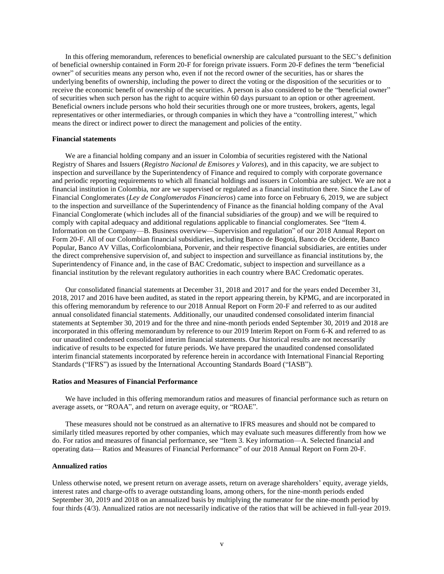In this offering memorandum, references to beneficial ownership are calculated pursuant to the SEC's definition of beneficial ownership contained in Form 20-F for foreign private issuers. Form 20-F defines the term "beneficial owner" of securities means any person who, even if not the record owner of the securities, has or shares the underlying benefits of ownership, including the power to direct the voting or the disposition of the securities or to receive the economic benefit of ownership of the securities. A person is also considered to be the "beneficial owner" of securities when such person has the right to acquire within 60 days pursuant to an option or other agreement. Beneficial owners include persons who hold their securities through one or more trustees, brokers, agents, legal representatives or other intermediaries, or through companies in which they have a "controlling interest," which means the direct or indirect power to direct the management and policies of the entity.

### **Financial statements**

We are a financial holding company and an issuer in Colombia of securities registered with the National Registry of Shares and Issuers (*Registro Nacional de Emisores y Valores*), and in this capacity, we are subject to inspection and surveillance by the Superintendency of Finance and required to comply with corporate governance and periodic reporting requirements to which all financial holdings and issuers in Colombia are subject. We are not a financial institution in Colombia, nor are we supervised or regulated as a financial institution there. Since the Law of Financial Conglomerates (*Ley de Conglomerados Financieros*) came into force on February 6, 2019, we are subject to the inspection and surveillance of the Superintendency of Finance as the financial holding company of the Aval Financial Conglomerate (which includes all of the financial subsidiaries of the group) and we will be required to comply with capital adequacy and additional regulations applicable to financial conglomerates. See "Item 4. Information on the Company—B. Business overview—Supervision and regulation" of our 2018 Annual Report on Form 20-F. All of our Colombian financial subsidiaries, including Banco de Bogotá, Banco de Occidente, Banco Popular, Banco AV Villas, Corficolombiana, Porvenir, and their respective financial subsidiaries, are entities under the direct comprehensive supervision of, and subject to inspection and surveillance as financial institutions by, the Superintendency of Finance and, in the case of BAC Credomatic, subject to inspection and surveillance as a financial institution by the relevant regulatory authorities in each country where BAC Credomatic operates.

Our consolidated financial statements at December 31, 2018 and 2017 and for the years ended December 31, 2018, 2017 and 2016 have been audited, as stated in the report appearing therein, by KPMG, and are incorporated in this offering memorandum by reference to our 2018 Annual Report on Form 20-F and referred to as our audited annual consolidated financial statements. Additionally, our unaudited condensed consolidated interim financial statements at September 30, 2019 and for the three and nine-month periods ended September 30, 2019 and 2018 are incorporated in this offering memorandum by reference to our 2019 Interim Report on Form 6-K and referred to as our unaudited condensed consolidated interim financial statements. Our historical results are not necessarily indicative of results to be expected for future periods. We have prepared the unaudited condensed consolidated interim financial statements incorporated by reference herein in accordance with International Financial Reporting Standards ("IFRS") as issued by the International Accounting Standards Board ("IASB").

# **Ratios and Measures of Financial Performance**

We have included in this offering memorandum ratios and measures of financial performance such as return on average assets, or "ROAA", and return on average equity, or "ROAE".

These measures should not be construed as an alternative to IFRS measures and should not be compared to similarly titled measures reported by other companies, which may evaluate such measures differently from how we do. For ratios and measures of financial performance, see "Item 3. Key information—A. Selected financial and operating data— Ratios and Measures of Financial Performance" of our 2018 Annual Report on Form 20-F.

# **Annualized ratios**

Unless otherwise noted, we present return on average assets, return on average shareholders' equity, average yields, interest rates and charge-offs to average outstanding loans, among others, for the nine-month periods ended September 30, 2019 and 2018 on an annualized basis by multiplying the numerator for the nine-month period by four thirds (4/3). Annualized ratios are not necessarily indicative of the ratios that will be achieved in full-year 2019.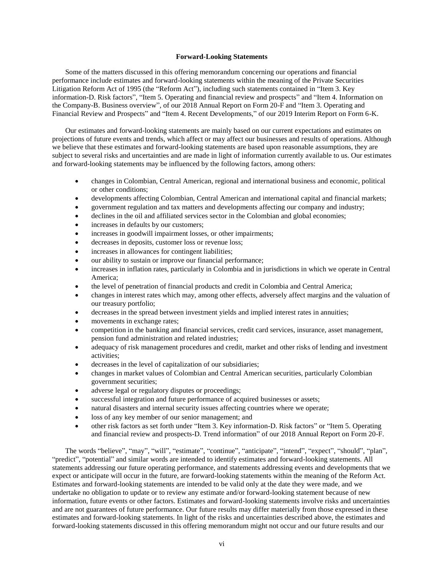#### **Forward-Looking Statements**

<span id="page-6-0"></span>Some of the matters discussed in this offering memorandum concerning our operations and financial performance include estimates and forward-looking statements within the meaning of the Private Securities Litigation Reform Act of 1995 (the "Reform Act"), including such statements contained in "Item 3. Key information-D. Risk factors", "Item 5. Operating and financial review and prospects" and "Item 4. Information on the Company-B. Business overview", of our 2018 Annual Report on Form 20-F and "Item 3. Operating and Financial Review and Prospects" and "Item 4. Recent Developments," of our 2019 Interim Report on Form 6-K.

Our estimates and forward-looking statements are mainly based on our current expectations and estimates on projections of future events and trends, which affect or may affect our businesses and results of operations. Although we believe that these estimates and forward-looking statements are based upon reasonable assumptions, they are subject to several risks and uncertainties and are made in light of information currently available to us. Our estimates and forward-looking statements may be influenced by the following factors, among others:

- changes in Colombian, Central American, regional and international business and economic, political or other conditions;
- developments affecting Colombian, Central American and international capital and financial markets;
- government regulation and tax matters and developments affecting our company and industry;
- declines in the oil and affiliated services sector in the Colombian and global economies;
- increases in defaults by our customers;
- increases in goodwill impairment losses, or other impairments;
- decreases in deposits, customer loss or revenue loss;
- increases in allowances for contingent liabilities;
- our ability to sustain or improve our financial performance;
- increases in inflation rates, particularly in Colombia and in jurisdictions in which we operate in Central America;
- the level of penetration of financial products and credit in Colombia and Central America;
- changes in interest rates which may, among other effects, adversely affect margins and the valuation of our treasury portfolio;
- decreases in the spread between investment yields and implied interest rates in annuities;
- movements in exchange rates;
- competition in the banking and financial services, credit card services, insurance, asset management, pension fund administration and related industries;
- adequacy of risk management procedures and credit, market and other risks of lending and investment activities;
- decreases in the level of capitalization of our subsidiaries;
- changes in market values of Colombian and Central American securities, particularly Colombian government securities;
- adverse legal or regulatory disputes or proceedings;
- successful integration and future performance of acquired businesses or assets;
- natural disasters and internal security issues affecting countries where we operate;
- loss of any key member of our senior management; and
- other risk factors as set forth under "Item 3. Key information-D. Risk factors" or "Item 5. Operating and financial review and prospects-D. Trend information" of our 2018 Annual Report on Form 20-F.

The words "believe", "may", "will", "estimate", "continue", "anticipate", "intend", "expect", "should", "plan", "predict", "potential" and similar words are intended to identify estimates and forward-looking statements. All statements addressing our future operating performance, and statements addressing events and developments that we expect or anticipate will occur in the future, are forward-looking statements within the meaning of the Reform Act. Estimates and forward-looking statements are intended to be valid only at the date they were made, and we undertake no obligation to update or to review any estimate and/or forward-looking statement because of new information, future events or other factors. Estimates and forward-looking statements involve risks and uncertainties and are not guarantees of future performance. Our future results may differ materially from those expressed in these estimates and forward-looking statements. In light of the risks and uncertainties described above, the estimates and forward-looking statements discussed in this offering memorandum might not occur and our future results and our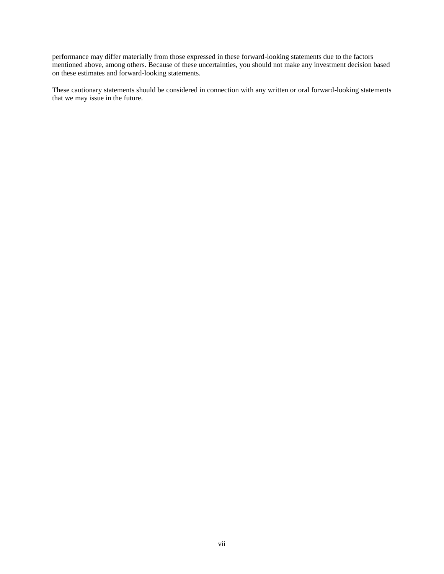performance may differ materially from those expressed in these forward-looking statements due to the factors mentioned above, among others. Because of these uncertainties, you should not make any investment decision based on these estimates and forward-looking statements.

These cautionary statements should be considered in connection with any written or oral forward-looking statements that we may issue in the future.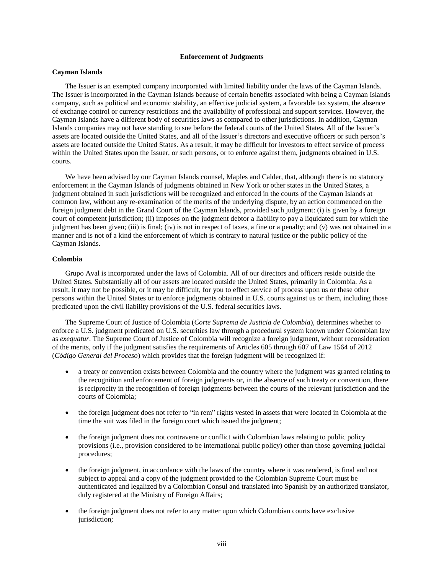### **Enforcement of Judgments**

### <span id="page-8-0"></span>**Cayman Islands**

The Issuer is an exempted company incorporated with limited liability under the laws of the Cayman Islands. The Issuer is incorporated in the Cayman Islands because of certain benefits associated with being a Cayman Islands company, such as political and economic stability, an effective judicial system, a favorable tax system, the absence of exchange control or currency restrictions and the availability of professional and support services. However, the Cayman Islands have a different body of securities laws as compared to other jurisdictions. In addition, Cayman Islands companies may not have standing to sue before the federal courts of the United States. All of the Issuer's assets are located outside the United States, and all of the Issuer's directors and executive officers or such person's assets are located outside the United States. As a result, it may be difficult for investors to effect service of process within the United States upon the Issuer, or such persons, or to enforce against them, judgments obtained in U.S. courts.

We have been advised by our Cayman Islands counsel, Maples and Calder, that, although there is no statutory enforcement in the Cayman Islands of judgments obtained in New York or other states in the United States, a judgment obtained in such jurisdictions will be recognized and enforced in the courts of the Cayman Islands at common law, without any re-examination of the merits of the underlying dispute, by an action commenced on the foreign judgment debt in the Grand Court of the Cayman Islands, provided such judgment: (i) is given by a foreign court of competent jurisdiction; (ii) imposes on the judgment debtor a liability to pay a liquidated sum for which the judgment has been given; (iii) is final; (iv) is not in respect of taxes, a fine or a penalty; and (v) was not obtained in a manner and is not of a kind the enforcement of which is contrary to natural justice or the public policy of the Cayman Islands.

# **Colombia**

Grupo Aval is incorporated under the laws of Colombia. All of our directors and officers reside outside the United States. Substantially all of our assets are located outside the United States, primarily in Colombia. As a result, it may not be possible, or it may be difficult, for you to effect service of process upon us or these other persons within the United States or to enforce judgments obtained in U.S. courts against us or them, including those predicated upon the civil liability provisions of the U.S. federal securities laws.

The Supreme Court of Justice of Colombia (*Corte Suprema de Justicia de Colombia*), determines whether to enforce a U.S. judgment predicated on U.S. securities law through a procedural system known under Colombian law as *exequatur*. The Supreme Court of Justice of Colombia will recognize a foreign judgment, without reconsideration of the merits, only if the judgment satisfies the requirements of Articles 605 through 607 of Law 1564 of 2012 (*Código General del Proceso*) which provides that the foreign judgment will be recognized if:

- a treaty or convention exists between Colombia and the country where the judgment was granted relating to the recognition and enforcement of foreign judgments or, in the absence of such treaty or convention, there is reciprocity in the recognition of foreign judgments between the courts of the relevant jurisdiction and the courts of Colombia;
- the foreign judgment does not refer to "in rem" rights vested in assets that were located in Colombia at the time the suit was filed in the foreign court which issued the judgment;
- the foreign judgment does not contravene or conflict with Colombian laws relating to public policy provisions (i.e., provision considered to be international public policy) other than those governing judicial procedures;
- the foreign judgment, in accordance with the laws of the country where it was rendered, is final and not subject to appeal and a copy of the judgment provided to the Colombian Supreme Court must be authenticated and legalized by a Colombian Consul and translated into Spanish by an authorized translator, duly registered at the Ministry of Foreign Affairs;
- the foreign judgment does not refer to any matter upon which Colombian courts have exclusive jurisdiction;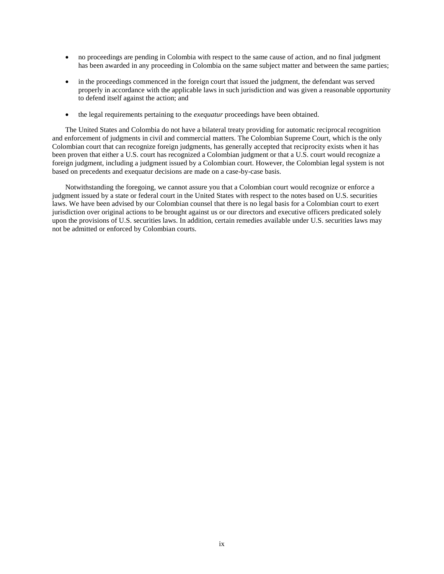- no proceedings are pending in Colombia with respect to the same cause of action, and no final judgment has been awarded in any proceeding in Colombia on the same subject matter and between the same parties;
- in the proceedings commenced in the foreign court that issued the judgment, the defendant was served properly in accordance with the applicable laws in such jurisdiction and was given a reasonable opportunity to defend itself against the action; and
- the legal requirements pertaining to the *exequatur* proceedings have been obtained.

The United States and Colombia do not have a bilateral treaty providing for automatic reciprocal recognition and enforcement of judgments in civil and commercial matters. The Colombian Supreme Court, which is the only Colombian court that can recognize foreign judgments, has generally accepted that reciprocity exists when it has been proven that either a U.S. court has recognized a Colombian judgment or that a U.S. court would recognize a foreign judgment, including a judgment issued by a Colombian court. However, the Colombian legal system is not based on precedents and exequatur decisions are made on a case-by-case basis.

Notwithstanding the foregoing, we cannot assure you that a Colombian court would recognize or enforce a judgment issued by a state or federal court in the United States with respect to the notes based on U.S. securities laws. We have been advised by our Colombian counsel that there is no legal basis for a Colombian court to exert jurisdiction over original actions to be brought against us or our directors and executive officers predicated solely upon the provisions of U.S. securities laws. In addition, certain remedies available under U.S. securities laws may not be admitted or enforced by Colombian courts.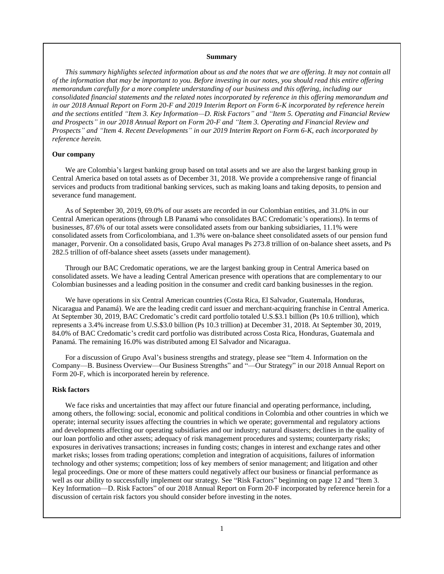#### **Summary**

<span id="page-10-0"></span>*This summary highlights selected information about us and the notes that we are offering. It may not contain all of the information that may be important to you. Before investing in our notes, you should read this entire offering memorandum carefully for a more complete understanding of our business and this offering, including our consolidated financial statements and the related notes incorporated by reference in this offering memorandum and in our 2018 Annual Report on Form 20-F and 2019 Interim Report on Form 6-K incorporated by reference herein and the sections entitled "Item 3. Key Information—D. Risk Factors" and "Item 5. Operating and Financial Review and Prospects" in our 2018 Annual Report on Form 20-F and "Item 3. Operating and Financial Review and Prospects" and "Item 4. Recent Developments" in our 2019 Interim Report on Form 6-K, each incorporated by reference herein.*

### **Our company**

We are Colombia's largest banking group based on total assets and we are also the largest banking group in Central America based on total assets as of December 31, 2018. We provide a comprehensive range of financial services and products from traditional banking services, such as making loans and taking deposits, to pension and severance fund management.

As of September 30, 2019, 69.0% of our assets are recorded in our Colombian entities, and 31.0% in our Central American operations (through LB Panamá who consolidates BAC Credomatic's operations). In terms of businesses, 87.6% of our total assets were consolidated assets from our banking subsidiaries, 11.1% were consolidated assets from Corficolombiana, and 1.3% were on-balance sheet consolidated assets of our pension fund manager, Porvenir. On a consolidated basis, Grupo Aval manages Ps 273.8 trillion of on-balance sheet assets, and Ps 282.5 trillion of off-balance sheet assets (assets under management).

Through our BAC Credomatic operations, we are the largest banking group in Central America based on consolidated assets. We have a leading Central American presence with operations that are complementary to our Colombian businesses and a leading position in the consumer and credit card banking businesses in the region.

We have operations in six Central American countries (Costa Rica, El Salvador, Guatemala, Honduras, Nicaragua and Panamá). We are the leading credit card issuer and merchant-acquiring franchise in Central America. At September 30, 2019, BAC Credomatic's credit card portfolio totaled U.S.\$3.1 billion (Ps 10.6 trillion), which represents a 3.4% increase from U.S.\$3.0 billion (Ps 10.3 trillion) at December 31, 2018. At September 30, 2019, 84.0% of BAC Credomatic's credit card portfolio was distributed across Costa Rica, Honduras, Guatemala and Panamá. The remaining 16.0% was distributed among El Salvador and Nicaragua.

For a discussion of Grupo Aval's business strengths and strategy, please see "Item 4. Information on the Company—B. Business Overview—Our Business Strengths" and "—Our Strategy" in our 2018 Annual Report on Form 20-F, which is incorporated herein by reference.

### **Risk factors**

We face risks and uncertainties that may affect our future financial and operating performance, including, among others, the following: social, economic and political conditions in Colombia and other countries in which we operate; internal security issues affecting the countries in which we operate; governmental and regulatory actions and developments affecting our operating subsidiaries and our industry; natural disasters; declines in the quality of our loan portfolio and other assets; adequacy of risk management procedures and systems; counterparty risks; exposures in derivatives transactions; increases in funding costs; changes in interest and exchange rates and other market risks; losses from trading operations; completion and integration of acquisitions, failures of information technology and other systems; competition; loss of key members of senior management; and litigation and other legal proceedings. One or more of these matters could negatively affect our business or financial performance as well as our ability to successfully implement our strategy. See "Risk Factors" beginning on page 12 and "Item 3. Key Information—D. Risk Factors" of our 2018 Annual Report on Form 20-F incorporated by reference herein for a discussion of certain risk factors you should consider before investing in the notes.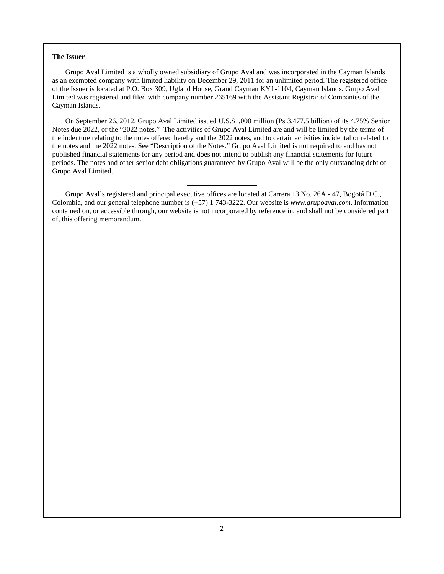#### **The Issuer**

Grupo Aval Limited is a wholly owned subsidiary of Grupo Aval and was incorporated in the Cayman Islands as an exempted company with limited liability on December 29, 2011 for an unlimited period. The registered office of the Issuer is located at P.O. Box 309, Ugland House, Grand Cayman KY1-1104, Cayman Islands. Grupo Aval Limited was registered and filed with company number 265169 with the Assistant Registrar of Companies of the Cayman Islands.

On September 26, 2012, Grupo Aval Limited issued U.S.\$1,000 million (Ps 3,477.5 billion) of its 4.75% Senior Notes due 2022, or the "2022 notes." The activities of Grupo Aval Limited are and will be limited by the terms of the indenture relating to the notes offered hereby and the 2022 notes, and to certain activities incidental or related to the notes and the 2022 notes. See "Description of the Notes." Grupo Aval Limited is not required to and has not published financial statements for any period and does not intend to publish any financial statements for future periods. The notes and other senior debt obligations guaranteed by Grupo Aval will be the only outstanding debt of Grupo Aval Limited.

Grupo Aval's registered and principal executive offices are located at Carrera 13 No. 26A - 47, Bogotá D.C., Colombia, and our general telephone number is (+57) 1 743-3222. Our website is *www.grupoaval.com*. Information contained on, or accessible through, our website is not incorporated by reference in, and shall not be considered part of, this offering memorandum.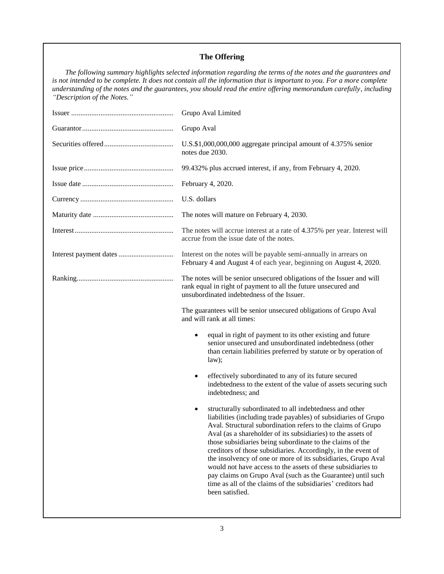# **The Offering**

*The following summary highlights selected information regarding the terms of the notes and the guarantees and is not intended to be complete. It does not contain all the information that is important to you. For a more complete understanding of the notes and the guarantees, you should read the entire offering memorandum carefully, including "Description of the Notes."*

| Grupo Aval Limited                                                                                                                                                                                                                                                                                                                                                                                                                                                                                                                                                                                                                                                               |  |  |  |  |  |
|----------------------------------------------------------------------------------------------------------------------------------------------------------------------------------------------------------------------------------------------------------------------------------------------------------------------------------------------------------------------------------------------------------------------------------------------------------------------------------------------------------------------------------------------------------------------------------------------------------------------------------------------------------------------------------|--|--|--|--|--|
| Grupo Aval                                                                                                                                                                                                                                                                                                                                                                                                                                                                                                                                                                                                                                                                       |  |  |  |  |  |
| U.S.\$1,000,000,000 aggregate principal amount of 4.375% senior<br>notes due 2030.                                                                                                                                                                                                                                                                                                                                                                                                                                                                                                                                                                                               |  |  |  |  |  |
| 99.432% plus accrued interest, if any, from February 4, 2020.                                                                                                                                                                                                                                                                                                                                                                                                                                                                                                                                                                                                                    |  |  |  |  |  |
| February 4, 2020.                                                                                                                                                                                                                                                                                                                                                                                                                                                                                                                                                                                                                                                                |  |  |  |  |  |
| U.S. dollars                                                                                                                                                                                                                                                                                                                                                                                                                                                                                                                                                                                                                                                                     |  |  |  |  |  |
| The notes will mature on February 4, 2030.                                                                                                                                                                                                                                                                                                                                                                                                                                                                                                                                                                                                                                       |  |  |  |  |  |
| The notes will accrue interest at a rate of 4.375% per year. Interest will<br>accrue from the issue date of the notes.                                                                                                                                                                                                                                                                                                                                                                                                                                                                                                                                                           |  |  |  |  |  |
| Interest on the notes will be payable semi-annually in arrears on<br>February 4 and August 4 of each year, beginning on August 4, 2020.                                                                                                                                                                                                                                                                                                                                                                                                                                                                                                                                          |  |  |  |  |  |
| The notes will be senior unsecured obligations of the Issuer and will<br>rank equal in right of payment to all the future unsecured and<br>unsubordinated indebtedness of the Issuer.                                                                                                                                                                                                                                                                                                                                                                                                                                                                                            |  |  |  |  |  |
| The guarantees will be senior unsecured obligations of Grupo Aval<br>and will rank at all times:                                                                                                                                                                                                                                                                                                                                                                                                                                                                                                                                                                                 |  |  |  |  |  |
| equal in right of payment to its other existing and future<br>$\bullet$<br>senior unsecured and unsubordinated indebtedness (other<br>than certain liabilities preferred by statute or by operation of<br>law);                                                                                                                                                                                                                                                                                                                                                                                                                                                                  |  |  |  |  |  |
| effectively subordinated to any of its future secured<br>$\bullet$<br>indebtedness to the extent of the value of assets securing such<br>indebtedness; and                                                                                                                                                                                                                                                                                                                                                                                                                                                                                                                       |  |  |  |  |  |
| structurally subordinated to all indebtedness and other<br>٠<br>liabilities (including trade payables) of subsidiaries of Grupo<br>Aval. Structural subordination refers to the claims of Grupo<br>Aval (as a shareholder of its subsidiaries) to the assets of<br>those subsidiaries being subordinate to the claims of the<br>creditors of those subsidiaries. Accordingly, in the event of<br>the insolvency of one or more of its subsidiaries, Grupo Aval<br>would not have access to the assets of these subsidiaries to<br>pay claims on Grupo Aval (such as the Guarantee) until such<br>time as all of the claims of the subsidiaries' creditors had<br>been satisfied. |  |  |  |  |  |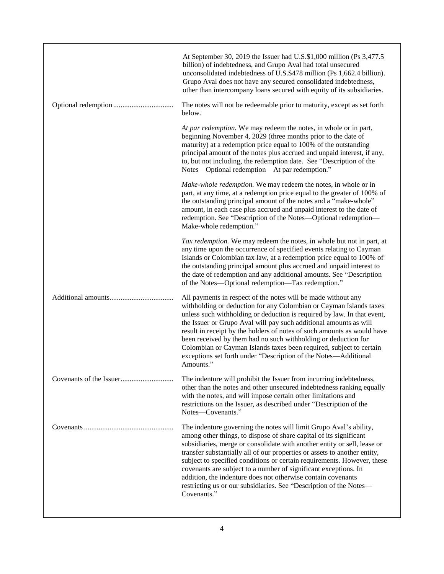| At September 30, 2019 the Issuer had U.S.\$1,000 million (Ps 3,477.5)<br>billion) of indebtedness, and Grupo Aval had total unsecured<br>unconsolidated indebtedness of U.S.\$478 million (Ps 1,662.4 billion).<br>Grupo Aval does not have any secured consolidated indebtedness,<br>other than intercompany loans secured with equity of its subsidiaries.                                                                                                                                                                                                                                         |
|------------------------------------------------------------------------------------------------------------------------------------------------------------------------------------------------------------------------------------------------------------------------------------------------------------------------------------------------------------------------------------------------------------------------------------------------------------------------------------------------------------------------------------------------------------------------------------------------------|
| The notes will not be redeemable prior to maturity, except as set forth<br>below.                                                                                                                                                                                                                                                                                                                                                                                                                                                                                                                    |
| At par redemption. We may redeem the notes, in whole or in part,<br>beginning November 4, 2029 (three months prior to the date of<br>maturity) at a redemption price equal to 100% of the outstanding<br>principal amount of the notes plus accrued and unpaid interest, if any,<br>to, but not including, the redemption date. See "Description of the<br>Notes—Optional redemption—At par redemption."                                                                                                                                                                                             |
| Make-whole redemption. We may redeem the notes, in whole or in<br>part, at any time, at a redemption price equal to the greater of 100% of<br>the outstanding principal amount of the notes and a "make-whole"<br>amount, in each case plus accrued and unpaid interest to the date of<br>redemption. See "Description of the Notes---Optional redemption-<br>Make-whole redemption."                                                                                                                                                                                                                |
| Tax redemption. We may redeem the notes, in whole but not in part, at<br>any time upon the occurrence of specified events relating to Cayman<br>Islands or Colombian tax law, at a redemption price equal to 100% of<br>the outstanding principal amount plus accrued and unpaid interest to<br>the date of redemption and any additional amounts. See "Description<br>of the Notes—Optional redemption—Tax redemption."                                                                                                                                                                             |
| All payments in respect of the notes will be made without any<br>withholding or deduction for any Colombian or Cayman Islands taxes<br>unless such withholding or deduction is required by law. In that event,<br>the Issuer or Grupo Aval will pay such additional amounts as will<br>result in receipt by the holders of notes of such amounts as would have<br>been received by them had no such withholding or deduction for<br>Colombian or Cayman Islands taxes been required, subject to certain<br>exceptions set forth under "Description of the Notes-Additional<br>Amounts."              |
| The indenture will prohibit the Issuer from incurring indebtedness,<br>other than the notes and other unsecured indebtedness ranking equally<br>with the notes, and will impose certain other limitations and<br>restrictions on the Issuer, as described under "Description of the<br>Notes-Covenants."                                                                                                                                                                                                                                                                                             |
| The indenture governing the notes will limit Grupo Aval's ability,<br>among other things, to dispose of share capital of its significant<br>subsidiaries, merge or consolidate with another entity or sell, lease or<br>transfer substantially all of our properties or assets to another entity,<br>subject to specified conditions or certain requirements. However, these<br>covenants are subject to a number of significant exceptions. In<br>addition, the indenture does not otherwise contain covenants<br>restricting us or our subsidiaries. See "Description of the Notes-<br>Covenants." |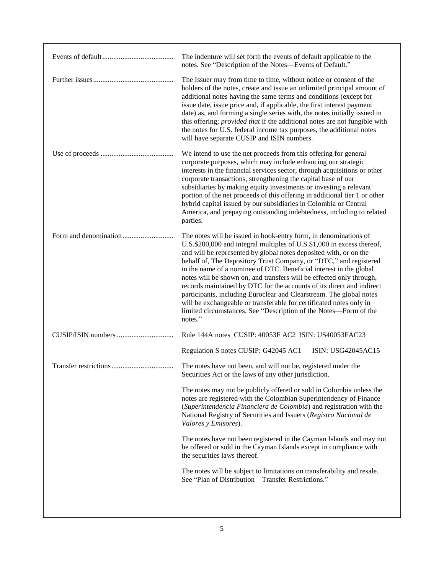| The Issuer may from time to time, without notice or consent of the<br>holders of the notes, create and issue an unlimited principal amount of<br>additional notes having the same terms and conditions (except for<br>issue date, issue price and, if applicable, the first interest payment<br>date) as, and forming a single series with, the notes initially issued in<br>this offering; <i>provided that</i> if the additional notes are not fungible with<br>the notes for U.S. federal income tax purposes, the additional notes<br>will have separate CUSIP and ISIN numbers.                                                                                                                                                                                                                                  |  |
|-----------------------------------------------------------------------------------------------------------------------------------------------------------------------------------------------------------------------------------------------------------------------------------------------------------------------------------------------------------------------------------------------------------------------------------------------------------------------------------------------------------------------------------------------------------------------------------------------------------------------------------------------------------------------------------------------------------------------------------------------------------------------------------------------------------------------|--|
|                                                                                                                                                                                                                                                                                                                                                                                                                                                                                                                                                                                                                                                                                                                                                                                                                       |  |
| We intend to use the net proceeds from this offering for general<br>corporate purposes, which may include enhancing our strategic<br>interests in the financial services sector, through acquisitions or other<br>corporate transactions, strengthening the capital base of our<br>subsidiaries by making equity investments or investing a relevant<br>portion of the net proceeds of this offering in additional tier 1 or other<br>hybrid capital issued by our subsidiaries in Colombia or Central<br>America, and prepaying outstanding indebtedness, including to related<br>parties.                                                                                                                                                                                                                           |  |
| The notes will be issued in book-entry form, in denominations of<br>U.S.\$200,000 and integral multiples of U.S.\$1,000 in excess thereof,<br>and will be represented by global notes deposited with, or on the<br>behalf of, The Depository Trust Company, or "DTC," and registered<br>in the name of a nominee of DTC. Beneficial interest in the global<br>notes will be shown on, and transfers will be effected only through,<br>records maintained by DTC for the accounts of its direct and indirect<br>participants, including Euroclear and Clearstream. The global notes<br>will be exchangeable or transferable for certificated notes only in<br>limited circumstances. See "Description of the Notes-Form of the<br>notes."                                                                              |  |
| Rule 144A notes CUSIP: 40053F AC2 ISIN: US40053FAC23                                                                                                                                                                                                                                                                                                                                                                                                                                                                                                                                                                                                                                                                                                                                                                  |  |
| Regulation S notes CUSIP: G42045 AC1<br>ISIN: USG42045AC15<br>The notes have not been, and will not be, registered under the<br>Securities Act or the laws of any other jurisdiction.<br>The notes may not be publicly offered or sold in Colombia unless the<br>notes are registered with the Colombian Superintendency of Finance<br>(Superintendencia Financiera de Colombia) and registration with the<br>National Registry of Securities and Issuers (Registro Nacional de<br>Valores y Emisores).<br>The notes have not been registered in the Cayman Islands and may not<br>be offered or sold in the Cayman Islands except in compliance with<br>the securities laws thereof.<br>The notes will be subject to limitations on transferability and resale.<br>See "Plan of Distribution-Transfer Restrictions." |  |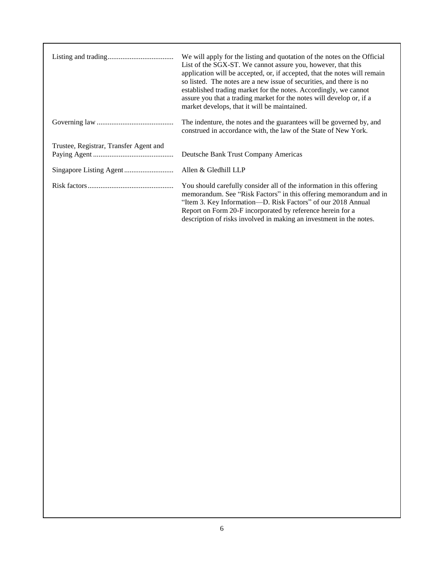|                                        | We will apply for the listing and quotation of the notes on the Official<br>List of the SGX-ST. We cannot assure you, however, that this<br>application will be accepted, or, if accepted, that the notes will remain<br>so listed. The notes are a new issue of securities, and there is no<br>established trading market for the notes. Accordingly, we cannot<br>assure you that a trading market for the notes will develop or, if a<br>market develops, that it will be maintained. |
|----------------------------------------|------------------------------------------------------------------------------------------------------------------------------------------------------------------------------------------------------------------------------------------------------------------------------------------------------------------------------------------------------------------------------------------------------------------------------------------------------------------------------------------|
|                                        | The indenture, the notes and the guarantees will be governed by, and<br>construed in accordance with, the law of the State of New York.                                                                                                                                                                                                                                                                                                                                                  |
| Trustee, Registrar, Transfer Agent and | Deutsche Bank Trust Company Americas                                                                                                                                                                                                                                                                                                                                                                                                                                                     |
|                                        | Allen & Gledhill LLP                                                                                                                                                                                                                                                                                                                                                                                                                                                                     |
|                                        | You should carefully consider all of the information in this offering<br>memorandum. See "Risk Factors" in this offering memorandum and in<br>"Item 3. Key Information—D. Risk Factors" of our 2018 Annual<br>Report on Form 20-F incorporated by reference herein for a<br>description of risks involved in making an investment in the notes.                                                                                                                                          |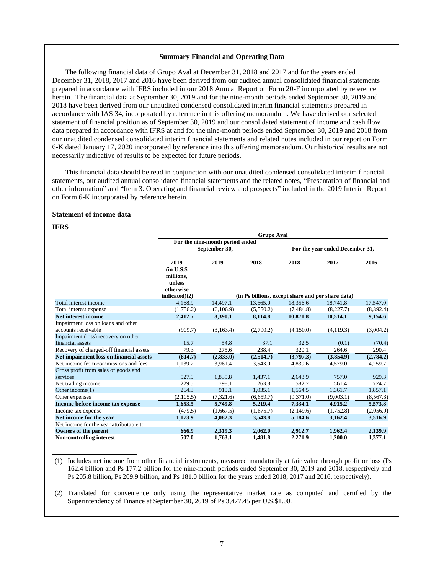### **Summary Financial and Operating Data**

The following financial data of Grupo Aval at December 31, 2018 and 2017 and for the years ended December 31, 2018, 2017 and 2016 have been derived from our audited annual consolidated financial statements prepared in accordance with IFRS included in our 2018 Annual Report on Form 20-F incorporated by reference herein. The financial data at September 30, 2019 and for the nine-month periods ended September 30, 2019 and 2018 have been derived from our unaudited condensed consolidated interim financial statements prepared in accordance with IAS 34, incorporated by reference in this offering memorandum. We have derived our selected statement of financial position as of September 30, 2019 and our consolidated statement of income and cash flow data prepared in accordance with IFRS at and for the nine-month periods ended September 30, 2019 and 2018 from our unaudited condensed consolidated interim financial statements and related notes included in our report on Form 6-K dated January 17, 2020 incorporated by reference into this offering memorandum. Our historical results are not necessarily indicative of results to be expected for future periods.

This financial data should be read in conjunction with our unaudited condensed consolidated interim financial statements, our audited annual consolidated financial statements and the related notes, "Presentation of financial and other information" and "Item 3. Operating and financial review and prospects" included in the 2019 Interim Report on Form 6-K incorporated by reference herein.

### **Statement of income data**

# **IFRS**

|                                          | <b>Grupo Aval</b>                                               |                                                  |           |                                                   |                                 |            |  |  |  |
|------------------------------------------|-----------------------------------------------------------------|--------------------------------------------------|-----------|---------------------------------------------------|---------------------------------|------------|--|--|--|
|                                          |                                                                 | For the nine-month period ended<br>September 30, |           |                                                   | For the year ended December 31, |            |  |  |  |
|                                          |                                                                 |                                                  |           |                                                   |                                 |            |  |  |  |
|                                          | 2019                                                            | 2019                                             | 2018      | 2018                                              | 2017                            | 2016       |  |  |  |
|                                          | (in U.S.S.<br>millions,<br>unless<br>otherwise<br>indicated)(2) |                                                  |           | (in Ps billions, except share and per share data) |                                 |            |  |  |  |
| Total interest income                    | 4,168.9                                                         | 14,497.1                                         | 13,665.0  | 18,356.6                                          | 18,741.8                        | 17,547.0   |  |  |  |
| Total interest expense                   | (1,756.2)                                                       | (6,106.9)                                        | (5,550.2) | (7, 484.8)                                        | (8,227.7)                       | (8,392.4)  |  |  |  |
| Net interest income                      | 2,412.7                                                         | 8,390.1                                          | 8,114.8   | 10,871.8                                          | 10,514.1                        | 9,154.6    |  |  |  |
| Impairment loss on loans and other       |                                                                 |                                                  |           |                                                   |                                 |            |  |  |  |
| accounts receivable                      | (909.7)                                                         | (3,163.4)                                        | (2,790.2) | (4,150.0)                                         | (4,119.3)                       | (3,004.2)  |  |  |  |
| Impairment (loss) recovery on other      |                                                                 |                                                  |           |                                                   |                                 |            |  |  |  |
| financial assets                         | 15.7                                                            | 54.8                                             | 37.1      | 32.5                                              | (0.1)                           | (70.4)     |  |  |  |
| Recovery of charged-off financial assets | 79.3                                                            | 275.6                                            | 238.4     | 320.1                                             | 264.6                           | 290.4      |  |  |  |
| Net impairment loss on financial assets  | (814.7)                                                         | (2, 833.0)                                       | (2,514.7) | (3,797.3)                                         | (3,854.9)                       | (2,784.2)  |  |  |  |
| Net income from commissions and fees     | 1,139.2                                                         | 3,961.4                                          | 3,543.0   | 4,839.6                                           | 4,579.0                         | 4,259.7    |  |  |  |
| Gross profit from sales of goods and     |                                                                 |                                                  |           |                                                   |                                 |            |  |  |  |
| services                                 | 527.9                                                           | 1,835.8                                          | 1,437.1   | 2,643.9                                           | 757.0                           | 929.3      |  |  |  |
| Net trading income                       | 229.5                                                           | 798.1                                            | 263.8     | 582.7                                             | 561.4                           | 724.7      |  |  |  |
| Other income(1)                          | 264.3                                                           | 919.1                                            | 1.035.1   | 1.564.5                                           | 1,361.7                         | 1,857.1    |  |  |  |
| Other expenses                           | (2,105.5)                                                       | (7,321.6)                                        | (6,659.7) | (9,371.0)                                         | (9,003.1)                       | (8, 567.3) |  |  |  |
| Income before income tax expense         | 1,653.5                                                         | 5,749.8                                          | 5,219.4   | 7,334.1                                           | 4,915.2                         | 5,573.8    |  |  |  |
| Income tax expense                       | (479.5)                                                         | (1,667.5)                                        | (1,675.7) | (2,149.6)                                         | (1,752.8)                       | (2,056.9)  |  |  |  |
| Net income for the year                  | 1,173.9                                                         | 4.082.3                                          | 3,543.8   | 5,184.6                                           | 3,162.4                         | 3,516.9    |  |  |  |
| Net income for the year attributable to: |                                                                 |                                                  |           |                                                   |                                 |            |  |  |  |
| Owners of the parent                     | 666.9                                                           | 2,319.3                                          | 2,062.0   | 2,912.7                                           | 1,962.4                         | 2,139.9    |  |  |  |
| Non-controlling interest                 | 507.0                                                           | 1,763.1                                          | 1,481.8   | 2,271.9                                           | 1,200.0                         | 1,377.1    |  |  |  |

(1) Includes net income from other financial instruments, measured mandatorily at fair value through profit or loss (Ps 162.4 billion and Ps 177.2 billion for the nine-month periods ended September 30, 2019 and 2018, respectively and Ps 205.8 billion, Ps 209.9 billion, and Ps 181.0 billion for the years ended 2018, 2017 and 2016, respectively).

(2) Translated for convenience only using the representative market rate as computed and certified by the Superintendency of Finance at September 30, 2019 of Ps 3,477.45 per U.S.\$1.00.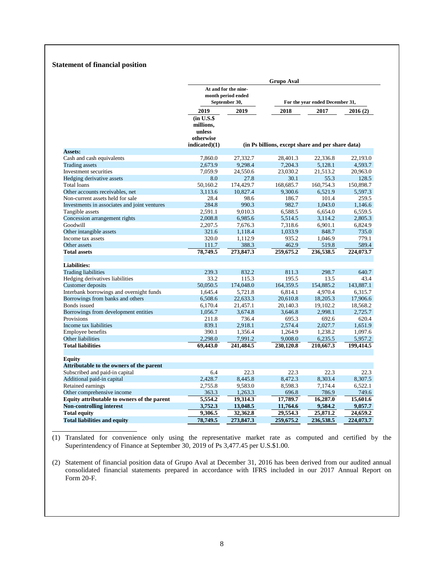# **Statement of financial position**

|                                              | <b>Grupo Aval</b>                                                |                                                             |                                                   |           |           |  |  |  |
|----------------------------------------------|------------------------------------------------------------------|-------------------------------------------------------------|---------------------------------------------------|-----------|-----------|--|--|--|
|                                              |                                                                  | At and for the nine-<br>month period ended<br>September 30, | For the year ended December 31,                   |           |           |  |  |  |
|                                              | 2019                                                             | 2019                                                        | 2018                                              | 2017      | 2016(2)   |  |  |  |
|                                              | $(in U.S.\$<br>millions,<br>unless<br>otherwise<br>indicated)(1) |                                                             | (in Ps billions, except share and per share data) |           |           |  |  |  |
| Assets:                                      |                                                                  |                                                             |                                                   |           |           |  |  |  |
| Cash and cash equivalents                    | 7,860.0                                                          | 27,332.7                                                    | 28,401.3                                          | 22,336.8  | 22.193.0  |  |  |  |
| <b>Trading assets</b>                        | 2,673.9                                                          | 9,298.4                                                     | 7,204.3                                           | 5,128.1   | 4,593.7   |  |  |  |
| Investment securities                        | 7,059.9                                                          | 24,550.6                                                    | 23,030.2                                          | 21,513.2  | 20,963.0  |  |  |  |
| Hedging derivative assets                    | 8.0                                                              | 27.8                                                        | 30.1                                              | 55.3      | 128.5     |  |  |  |
| <b>Total loans</b>                           | 50.160.2                                                         | 174,429.7                                                   | 168,685.7                                         | 160,754.3 | 150,898.7 |  |  |  |
| Other accounts receivables, net              | 3,113.6                                                          | 10,827.4                                                    | 9,300.6                                           | 6,521.9   | 5,597.3   |  |  |  |
| Non-current assets held for sale             | 28.4                                                             | 98.6                                                        | 186.7                                             | 101.4     | 259.5     |  |  |  |
| Investments in associates and joint ventures | 284.8                                                            | 990.3                                                       | 982.7                                             | 1,043.0   | 1,146.6   |  |  |  |
| Tangible assets                              | 2,591.1                                                          | 9,010.3                                                     | 6,588.5                                           | 6,654.0   | 6,559.5   |  |  |  |
| Concession arrangement rights                | 2,008.8                                                          | 6,985.6                                                     | 5,514.5                                           | 3,114.2   | 2,805.3   |  |  |  |
| Goodwill                                     | 2,207.5                                                          | 7,676.3                                                     | 7,318.6                                           | 6,901.1   | 6,824.9   |  |  |  |
| Other intangible assets                      | 321.6                                                            | 1.118.4                                                     | 1,033.9                                           | 848.7     | 735.0     |  |  |  |
| Income tax assets                            | 320.0                                                            | 1,112.9                                                     | 935.2                                             | 1,046.9   | 779.1     |  |  |  |
| Other assets                                 | 111.7                                                            | 388.3                                                       | 462.9                                             | 519.8     | 589.4     |  |  |  |
| <b>Total assets</b>                          | 78,749.5                                                         | 273,847.3                                                   | 259,675.2                                         | 236,538.5 | 224,073.7 |  |  |  |
| <b>Liabilities:</b>                          |                                                                  |                                                             |                                                   |           |           |  |  |  |
| <b>Trading liabilities</b>                   | 239.3                                                            | 832.2                                                       | 811.3                                             | 298.7     | 640.7     |  |  |  |
| Hedging derivatives liabilities              | 33.2                                                             | 115.3                                                       | 195.5                                             | 13.5      | 43.4      |  |  |  |
| <b>Customer</b> deposits                     | 50,050.5                                                         | 174,048.0                                                   | 164,359.5                                         | 154,885.2 | 143,887.1 |  |  |  |
| Interbank borrowings and overnight funds     | 1,645.4                                                          | 5.721.8                                                     | 6.814.1                                           | 4,970.4   | 6,315.7   |  |  |  |
| Borrowings from banks and others             | 6,508.6                                                          | 22,633.3                                                    | 20,610.8                                          | 18,205.3  | 17,906.6  |  |  |  |
| Bonds issued                                 | 6,170.4                                                          | 21,457.1                                                    | 20,140.3                                          | 19,102.2  | 18,568.2  |  |  |  |
| Borrowings from development entities         | 1,056.7                                                          | 3,674.8                                                     | 3,646.8                                           | 2,998.1   | 2,725.7   |  |  |  |
| Provisions                                   | 211.8                                                            | 736.4                                                       | 695.3                                             | 692.6     | 620.4     |  |  |  |
| Income tax liabilities                       | 839.1                                                            | 2,918.1                                                     | 2,574.4                                           | 2,027.7   | 1,651.9   |  |  |  |
| <b>Employee benefits</b>                     | 390.1                                                            | 1,356.4                                                     | 1,264.9                                           | 1,238.2   | 1,097.6   |  |  |  |
| Other liabilities                            | 2,298.0                                                          | 7,991.2                                                     | 9,008.0                                           | 6,235.5   | 5,957.2   |  |  |  |
| <b>Total liabilities</b>                     | 69,443.0                                                         | 241,484.5                                                   | 230,120.8                                         | 210,667.3 | 199,414.5 |  |  |  |
| <b>Equity</b>                                |                                                                  |                                                             |                                                   |           |           |  |  |  |
| Attributable to the owners of the parent     |                                                                  |                                                             |                                                   |           |           |  |  |  |
| Subscribed and paid-in capital               | 6.4                                                              | 22.3                                                        | 22.3                                              | 22.3      | 22.3      |  |  |  |
| Additional paid-in capital                   | 2.428.7                                                          | 8.445.8                                                     | 8.472.3                                           | 8,303.4   | 8,307.5   |  |  |  |
| Retained earnings                            | 2,755.8                                                          | 9,583.0                                                     | 8,598.3                                           | 7,174.4   | 6,522.1   |  |  |  |
| Other comprehensive income                   | 363.3                                                            | 1,263.3                                                     | 696.8                                             | 786.9     | 749.6     |  |  |  |
| Equity attributable to owners of the parent  | 5,554.2                                                          | 19,314.3                                                    | 17,789.7                                          | 16,287.0  | 15,601.6  |  |  |  |
| <b>Non-controlling interest</b>              | 3,752.3                                                          | 13,048.5                                                    | 11,764.6                                          | 9,584.2   | 9,057.7   |  |  |  |
| <b>Total equity</b>                          | 9,306.5                                                          | 32,362.8                                                    | 29,554.3                                          | 25,871.2  | 24,659.2  |  |  |  |
| <b>Total liabilities and equity</b>          | 78,749.5                                                         | 273,847.3                                                   | 259,675.2                                         | 236,538.5 | 224,073.7 |  |  |  |

(1) Translated for convenience only using the representative market rate as computed and certified by the Superintendency of Finance at September 30, 2019 of Ps 3,477.45 per U.S.\$1.00.

(2) Statement of financial position data of Grupo Aval at December 31, 2016 has been derived from our audited annual consolidated financial statements prepared in accordance with IFRS included in our 2017 Annual Report on Form 20-F.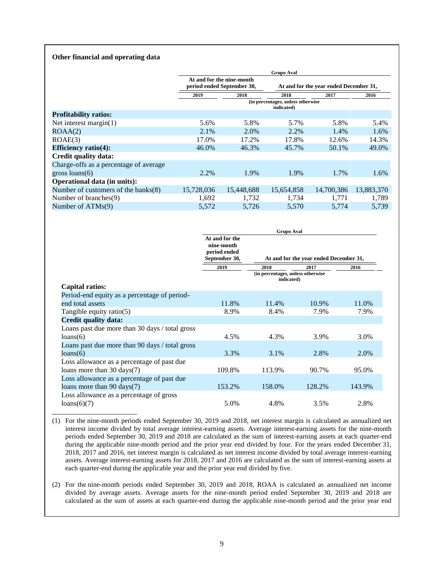### **Other financial and operating data**

|                                        | <b>Grupo Aval</b> |                                                         |                                                 |                                        |            |  |  |
|----------------------------------------|-------------------|---------------------------------------------------------|-------------------------------------------------|----------------------------------------|------------|--|--|
|                                        |                   | At and for the nine-month<br>period ended September 30, |                                                 | At and for the year ended December 31, |            |  |  |
|                                        | 2019              | 2018                                                    | 2018                                            | 2017                                   | 2016       |  |  |
|                                        |                   |                                                         | (in percentages, unless otherwise<br>indicated) |                                        |            |  |  |
| <b>Profitability ratios:</b>           |                   |                                                         |                                                 |                                        |            |  |  |
| Net interest margin $(1)$              | 5.6%              | 5.8%                                                    | 5.7%                                            | 5.8%                                   | 5.4%       |  |  |
| ROAA(2)                                | 2.1%              | 2.0%                                                    | 2.2%                                            | 1.4%                                   | 1.6%       |  |  |
| ROAE(3)                                | 17.0%             | 17.2%                                                   | 17.8%                                           | 12.6%                                  | 14.3%      |  |  |
| Efficiency ratio $(4)$ :               | 46.0%             | 46.3%                                                   | 45.7%                                           | 50.1%                                  | 49.0%      |  |  |
| Credit quality data:                   |                   |                                                         |                                                 |                                        |            |  |  |
| Charge-offs as a percentage of average |                   |                                                         |                                                 |                                        |            |  |  |
| gross $loans(6)$                       | 2.2%              | 1.9%                                                    | 1.9%                                            | 1.7%                                   | 1.6%       |  |  |
| <b>Operational data (in units):</b>    |                   |                                                         |                                                 |                                        |            |  |  |
| Number of customers of the banks(8)    | 15,728,036        | 15,448,688                                              | 15,654,858                                      | 14,700,386                             | 13,883,370 |  |  |
| Number of branches(9)                  | 1,692             | 1,732                                                   | 1,734                                           | 1,771                                  | 1,789      |  |  |
| Number of $ATMs(9)$                    | 5,572             | 5.726                                                   | 5,570                                           | 5.774                                  | 5.739      |  |  |

|                                                | <b>Grupo Aval</b>                                             |                                                         |        |        |  |  |  |
|------------------------------------------------|---------------------------------------------------------------|---------------------------------------------------------|--------|--------|--|--|--|
|                                                | At and for the<br>nine-month<br>period ended<br>September 30, | At and for the year ended December 31,                  |        |        |  |  |  |
|                                                | 2019                                                          | 2018<br>(in percentages, unless otherwise<br>indicated) | 2017   | 2016   |  |  |  |
| Capital ratios:                                |                                                               |                                                         |        |        |  |  |  |
| Period-end equity as a percentage of period-   |                                                               |                                                         |        |        |  |  |  |
| end total assets                               | 11.8%                                                         | 11.4%                                                   | 10.9%  | 11.0%  |  |  |  |
| Tangible equity ratio(5)                       | 8.9%                                                          | 8.4%                                                    | 7.9%   | 7.9%   |  |  |  |
| <b>Credit quality data:</b>                    |                                                               |                                                         |        |        |  |  |  |
| Loans past due more than 30 days / total gross |                                                               |                                                         |        |        |  |  |  |
| loans(6)                                       | 4.5%                                                          | 4.3%                                                    | 3.9%   | 3.0%   |  |  |  |
| Loans past due more than 90 days / total gross |                                                               |                                                         |        |        |  |  |  |
| loans(6)                                       | 3.3%                                                          | 3.1%                                                    | 2.8%   | 2.0%   |  |  |  |
| Loss allowance as a percentage of past due     |                                                               |                                                         |        |        |  |  |  |
| loans more than $30 \text{ days}(7)$           | 109.8%                                                        | 113.9%                                                  | 90.7%  | 95.0%  |  |  |  |
| Loss allowance as a percentage of past due     |                                                               |                                                         |        |        |  |  |  |
| loans more than $90 \text{ days}(7)$           | 153.2%                                                        | 158.0%                                                  | 128.2% | 143.9% |  |  |  |
| Loss allowance as a percentage of gross        |                                                               |                                                         |        |        |  |  |  |
| loans(6)(7)                                    | 5.0%                                                          | 4.8%                                                    | 3.5%   | 2.8%   |  |  |  |

(1) For the nine-month periods ended September 30, 2019 and 2018, net interest margin is calculated as annualized net interest income divided by total average interest-earning assets. Average interest-earning assets for the nine-month periods ended September 30, 2019 and 2018 are calculated as the sum of interest-earning assets at each quarter-end during the applicable nine-month period and the prior year end divided by four. For the years ended December 31, 2018, 2017 and 2016, net interest margin is calculated as net interest income divided by total average interest-earning assets. Average interest-earning assets for 2018, 2017 and 2016 are calculated as the sum of interest-earning assets at each quarter-end during the applicable year and the prior year end divided by five.

(2) For the nine-month periods ended September 30, 2019 and 2018, ROAA is calculated as annualized net income divided by average assets. Average assets for the nine-month period ended September 30, 2019 and 2018 are calculated as the sum of assets at each quarter-end during the applicable nine-month period and the prior year end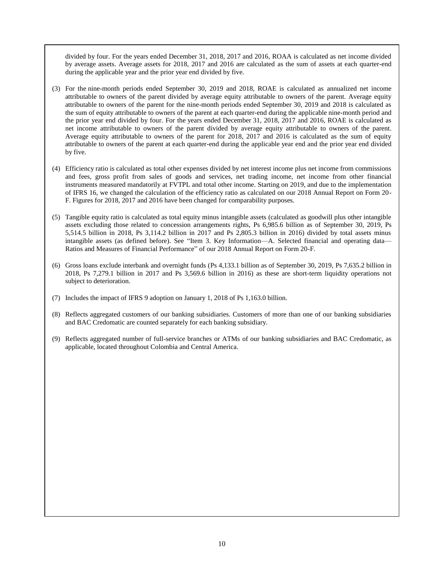divided by four. For the years ended December 31, 2018, 2017 and 2016, ROAA is calculated as net income divided by average assets. Average assets for 2018, 2017 and 2016 are calculated as the sum of assets at each quarter-end during the applicable year and the prior year end divided by five.

- (3) For the nine-month periods ended September 30, 2019 and 2018, ROAE is calculated as annualized net income attributable to owners of the parent divided by average equity attributable to owners of the parent. Average equity attributable to owners of the parent for the nine-month periods ended September 30, 2019 and 2018 is calculated as the sum of equity attributable to owners of the parent at each quarter-end during the applicable nine-month period and the prior year end divided by four. For the years ended December 31, 2018, 2017 and 2016, ROAE is calculated as net income attributable to owners of the parent divided by average equity attributable to owners of the parent. Average equity attributable to owners of the parent for 2018, 2017 and 2016 is calculated as the sum of equity attributable to owners of the parent at each quarter-end during the applicable year end and the prior year end divided by five.
- (4) Efficiency ratio is calculated as total other expenses divided by net interest income plus net income from commissions and fees, gross profit from sales of goods and services, net trading income, net income from other financial instruments measured mandatorily at FVTPL and total other income. Starting on 2019, and due to the implementation of IFRS 16, we changed the calculation of the efficiency ratio as calculated on our 2018 Annual Report on Form 20- F. Figures for 2018, 2017 and 2016 have been changed for comparability purposes.
- (5) Tangible equity ratio is calculated as total equity minus intangible assets (calculated as goodwill plus other intangible assets excluding those related to concession arrangements rights, Ps 6,985.6 billion as of September 30, 2019, Ps 5,514.5 billion in 2018, Ps 3,114.2 billion in 2017 and Ps 2,805.3 billion in 2016) divided by total assets minus intangible assets (as defined before). See "Item 3. Key Information—A. Selected financial and operating data— Ratios and Measures of Financial Performance" of our 2018 Annual Report on Form 20-F.
- (6) Gross loans exclude interbank and overnight funds (Ps 4,133.1 billion as of September 30, 2019, Ps 7,635.2 billion in 2018, Ps 7,279.1 billion in 2017 and Ps 3,569.6 billion in 2016) as these are short-term liquidity operations not subject to deterioration.
- (7) Includes the impact of IFRS 9 adoption on January 1, 2018 of Ps 1,163.0 billion.
- (8) Reflects aggregated customers of our banking subsidiaries. Customers of more than one of our banking subsidiaries and BAC Credomatic are counted separately for each banking subsidiary.
- (9) Reflects aggregated number of full-service branches or ATMs of our banking subsidiaries and BAC Credomatic, as applicable, located throughout Colombia and Central America.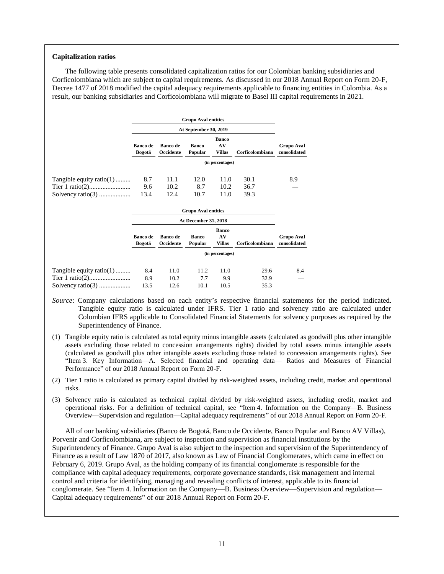### **Capitalization ratios**

The following table presents consolidated capitalization ratios for our Colombian banking subsidiaries and Corficolombiana which are subject to capital requirements. As discussed in our 2018 Annual Report on Form 20-F, Decree 1477 of 2018 modified the capital adequacy requirements applicable to financing entities in Colombia. As a result, our banking subsidiaries and Corficolombiana will migrate to Basel III capital requirements in 2021.

|                          |                           |                              | <b>Grupo Aval entities</b><br>At September 30, 2019 |                              |                 |                            |
|--------------------------|---------------------------|------------------------------|-----------------------------------------------------|------------------------------|-----------------|----------------------------|
|                          |                           |                              |                                                     |                              |                 |                            |
|                          | <b>Banco</b> de<br>Bogotá | <b>Banco de</b><br>Occidente | <b>Banco</b><br>Popular                             | <b>Banco</b><br>AV<br>Villas | Corficolombiana | Grupo Aval<br>consolidated |
|                          |                           |                              |                                                     | (in percentages)             |                 |                            |
| Tangible equity ratio(1) | 8.7                       | 11.1                         | 12.0                                                | 11.0                         | 30.1            | 8.9                        |
|                          | 9.6                       | 10.2                         | 8.7                                                 | 10.2                         | 36.7            |                            |
|                          | 13.4                      | 12.4                         | 10.7                                                | 11.0                         | 39.3            |                            |

|                          |                    |                              | <b>Grupo Aval entities</b> |                                     |                 |                            |  |  |  |
|--------------------------|--------------------|------------------------------|----------------------------|-------------------------------------|-----------------|----------------------------|--|--|--|
|                          |                    | <b>At December 31, 2018</b>  |                            |                                     |                 |                            |  |  |  |
|                          | Banco de<br>Bogotá | <b>Banco de</b><br>Occidente | Banco<br>Popular           | <b>Banco</b><br>AV<br><b>Villas</b> | Corficolombiana | Grupo Aval<br>consolidated |  |  |  |
|                          |                    |                              |                            | (in percentages)                    |                 |                            |  |  |  |
| Tangible equity ratio(1) | 8.4                | 11.0                         | 11.2                       | 11.0                                | 29.6            | 8.4                        |  |  |  |
|                          | 8.9                | 10.2                         | 7.7                        | 9.9                                 | 32.9            | __                         |  |  |  |
|                          | 13.5               | 12.6                         | 10.1                       | 10.5                                | 35.3            |                            |  |  |  |

*Source*: Company calculations based on each entity's respective financial statements for the period indicated. Tangible equity ratio is calculated under IFRS. Tier 1 ratio and solvency ratio are calculated under Colombian IFRS applicable to Consolidated Financial Statements for solvency purposes as required by the Superintendency of Finance.

- (1) Tangible equity ratio is calculated as total equity minus intangible assets (calculated as goodwill plus other intangible assets excluding those related to concession arrangements rights) divided by total assets minus intangible assets (calculated as goodwill plus other intangible assets excluding those related to concession arrangements rights). See "Item 3. Key Information—A. Selected financial and operating data— Ratios and Measures of Financial Performance" of our 2018 Annual Report on Form 20-F.
- (2) Tier 1 ratio is calculated as primary capital divided by risk-weighted assets, including credit, market and operational risks.
- (3) Solvency ratio is calculated as technical capital divided by risk-weighted assets, including credit, market and operational risks. For a definition of technical capital, see "Item 4. Information on the Company—B. Business Overview—Supervision and regulation—Capital adequacy requirements" of our 2018 Annual Report on Form 20-F.

All of our banking subsidiaries (Banco de Bogotá, Banco de Occidente, Banco Popular and Banco AV Villas), Porvenir and Corficolombiana, are subject to inspection and supervision as financial institutions by the Superintendency of Finance. Grupo Aval is also subject to the inspection and supervision of the Superintendency of Finance as a result of Law 1870 of 2017, also known as Law of Financial Conglomerates, which came in effect on February 6, 2019. Grupo Aval, as the holding company of its financial conglomerate is responsible for the compliance with capital adequacy requirements, corporate governance standards, risk management and internal control and criteria for identifying, managing and revealing conflicts of interest, applicable to its financial conglomerate. See "Item 4. Information on the Company—B. Business Overview—Supervision and regulation— Capital adequacy requirements" of our 2018 Annual Report on Form 20-F.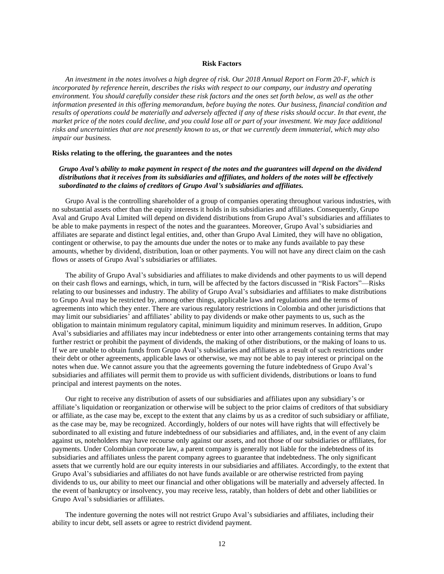# **Risk Factors**

<span id="page-21-0"></span>*An investment in the notes involves a high degree of risk. Our 2018 Annual Report on Form 20-F, which is incorporated by reference herein, describes the risks with respect to our company, our industry and operating environment. You should carefully consider these risk factors and the ones set forth below, as well as the other information presented in this offering memorandum, before buying the notes. Our business, financial condition and results of operations could be materially and adversely affected if any of these risks should occur. In that event, the market price of the notes could decline, and you could lose all or part of your investment. We may face additional risks and uncertainties that are not presently known to us, or that we currently deem immaterial, which may also impair our business.* 

### **Risks relating to the offering, the guarantees and the notes**

*Grupo Aval's ability to make payment in respect of the notes and the guarantees will depend on the dividend distributions that it receives from its subsidiaries and affiliates, and holders of the notes will be effectively subordinated to the claims of creditors of Grupo Aval's subsidiaries and affiliates.* 

Grupo Aval is the controlling shareholder of a group of companies operating throughout various industries, with no substantial assets other than the equity interests it holds in its subsidiaries and affiliates. Consequently, Grupo Aval and Grupo Aval Limited will depend on dividend distributions from Grupo Aval's subsidiaries and affiliates to be able to make payments in respect of the notes and the guarantees. Moreover, Grupo Aval's subsidiaries and affiliates are separate and distinct legal entities, and, other than Grupo Aval Limited, they will have no obligation, contingent or otherwise, to pay the amounts due under the notes or to make any funds available to pay these amounts, whether by dividend, distribution, loan or other payments. You will not have any direct claim on the cash flows or assets of Grupo Aval's subsidiaries or affiliates.

The ability of Grupo Aval's subsidiaries and affiliates to make dividends and other payments to us will depend on their cash flows and earnings, which, in turn, will be affected by the factors discussed in "Risk Factors"—Risks relating to our businesses and industry. The ability of Grupo Aval's subsidiaries and affiliates to make distributions to Grupo Aval may be restricted by, among other things, applicable laws and regulations and the terms of agreements into which they enter. There are various regulatory restrictions in Colombia and other jurisdictions that may limit our subsidiaries' and affiliates' ability to pay dividends or make other payments to us, such as the obligation to maintain minimum regulatory capital, minimum liquidity and minimum reserves. In addition, Grupo Aval's subsidiaries and affiliates may incur indebtedness or enter into other arrangements containing terms that may further restrict or prohibit the payment of dividends, the making of other distributions, or the making of loans to us. If we are unable to obtain funds from Grupo Aval's subsidiaries and affiliates as a result of such restrictions under their debt or other agreements, applicable laws or otherwise, we may not be able to pay interest or principal on the notes when due. We cannot assure you that the agreements governing the future indebtedness of Grupo Aval's subsidiaries and affiliates will permit them to provide us with sufficient dividends, distributions or loans to fund principal and interest payments on the notes.

Our right to receive any distribution of assets of our subsidiaries and affiliates upon any subsidiary's or affiliate's liquidation or reorganization or otherwise will be subject to the prior claims of creditors of that subsidiary or affiliate, as the case may be, except to the extent that any claims by us as a creditor of such subsidiary or affiliate, as the case may be, may be recognized. Accordingly, holders of our notes will have rights that will effectively be subordinated to all existing and future indebtedness of our subsidiaries and affiliates, and, in the event of any claim against us, noteholders may have recourse only against our assets, and not those of our subsidiaries or affiliates, for payments. Under Colombian corporate law, a parent company is generally not liable for the indebtedness of its subsidiaries and affiliates unless the parent company agrees to guarantee that indebtedness. The only significant assets that we currently hold are our equity interests in our subsidiaries and affiliates. Accordingly, to the extent that Grupo Aval's subsidiaries and affiliates do not have funds available or are otherwise restricted from paying dividends to us, our ability to meet our financial and other obligations will be materially and adversely affected. In the event of bankruptcy or insolvency, you may receive less, ratably, than holders of debt and other liabilities or Grupo Aval's subsidiaries or affiliates.

The indenture governing the notes will not restrict Grupo Aval's subsidiaries and affiliates, including their ability to incur debt, sell assets or agree to restrict dividend payment.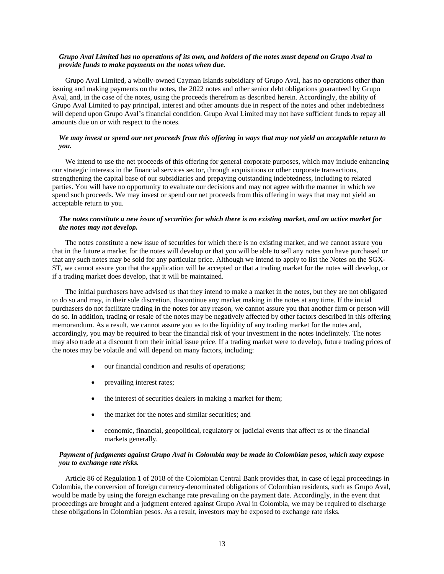# *Grupo Aval Limited has no operations of its own, and holders of the notes must depend on Grupo Aval to provide funds to make payments on the notes when due.*

Grupo Aval Limited, a wholly-owned Cayman Islands subsidiary of Grupo Aval, has no operations other than issuing and making payments on the notes, the 2022 notes and other senior debt obligations guaranteed by Grupo Aval, and, in the case of the notes, using the proceeds therefrom as described herein. Accordingly, the ability of Grupo Aval Limited to pay principal, interest and other amounts due in respect of the notes and other indebtedness will depend upon Grupo Aval's financial condition. Grupo Aval Limited may not have sufficient funds to repay all amounts due on or with respect to the notes.

# *We may invest or spend our net proceeds from this offering in ways that may not yield an acceptable return to you.*

We intend to use the net proceeds of this offering for general corporate purposes, which may include enhancing our strategic interests in the financial services sector, through acquisitions or other corporate transactions, strengthening the capital base of our subsidiaries and prepaying outstanding indebtedness, including to related parties. You will have no opportunity to evaluate our decisions and may not agree with the manner in which we spend such proceeds. We may invest or spend our net proceeds from this offering in ways that may not yield an acceptable return to you.

# *The notes constitute a new issue of securities for which there is no existing market, and an active market for the notes may not develop.*

The notes constitute a new issue of securities for which there is no existing market, and we cannot assure you that in the future a market for the notes will develop or that you will be able to sell any notes you have purchased or that any such notes may be sold for any particular price. Although we intend to apply to list the Notes on the SGX-ST, we cannot assure you that the application will be accepted or that a trading market for the notes will develop, or if a trading market does develop, that it will be maintained.

The initial purchasers have advised us that they intend to make a market in the notes, but they are not obligated to do so and may, in their sole discretion, discontinue any market making in the notes at any time. If the initial purchasers do not facilitate trading in the notes for any reason, we cannot assure you that another firm or person will do so. In addition, trading or resale of the notes may be negatively affected by other factors described in this offering memorandum. As a result, we cannot assure you as to the liquidity of any trading market for the notes and, accordingly, you may be required to bear the financial risk of your investment in the notes indefinitely. The notes may also trade at a discount from their initial issue price. If a trading market were to develop, future trading prices of the notes may be volatile and will depend on many factors, including:

- our financial condition and results of operations;
- prevailing interest rates;
- the interest of securities dealers in making a market for them;
- the market for the notes and similar securities; and
- economic, financial, geopolitical, regulatory or judicial events that affect us or the financial markets generally.

# *Payment of judgments against Grupo Aval in Colombia may be made in Colombian pesos, which may expose you to exchange rate risks.*

Article 86 of Regulation 1 of 2018 of the Colombian Central Bank provides that, in case of legal proceedings in Colombia, the conversion of foreign currency-denominated obligations of Colombian residents, such as Grupo Aval, would be made by using the foreign exchange rate prevailing on the payment date. Accordingly, in the event that proceedings are brought and a judgment entered against Grupo Aval in Colombia, we may be required to discharge these obligations in Colombian pesos. As a result, investors may be exposed to exchange rate risks.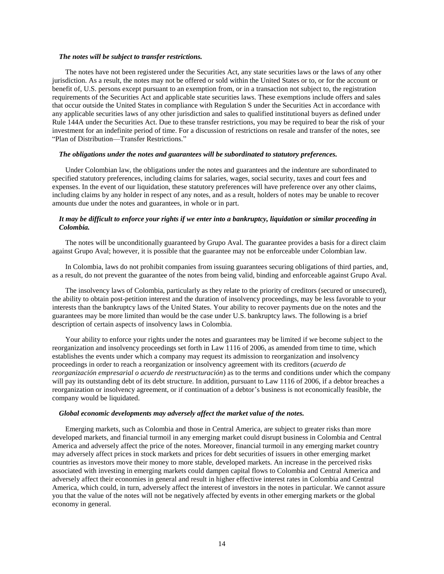#### *The notes will be subject to transfer restrictions.*

The notes have not been registered under the Securities Act, any state securities laws or the laws of any other jurisdiction. As a result, the notes may not be offered or sold within the United States or to, or for the account or benefit of, U.S. persons except pursuant to an exemption from, or in a transaction not subject to, the registration requirements of the Securities Act and applicable state securities laws. These exemptions include offers and sales that occur outside the United States in compliance with Regulation S under the Securities Act in accordance with any applicable securities laws of any other jurisdiction and sales to qualified institutional buyers as defined under Rule 144A under the Securities Act. Due to these transfer restrictions, you may be required to bear the risk of your investment for an indefinite period of time. For a discussion of restrictions on resale and transfer of the notes, see "Plan of Distribution—Transfer Restrictions."

## *The obligations under the notes and guarantees will be subordinated to statutory preferences.*

Under Colombian law, the obligations under the notes and guarantees and the indenture are subordinated to specified statutory preferences, including claims for salaries, wages, social security, taxes and court fees and expenses. In the event of our liquidation, these statutory preferences will have preference over any other claims, including claims by any holder in respect of any notes, and as a result, holders of notes may be unable to recover amounts due under the notes and guarantees, in whole or in part.

# *It may be difficult to enforce your rights if we enter into a bankruptcy, liquidation or similar proceeding in Colombia.*

The notes will be unconditionally guaranteed by Grupo Aval. The guarantee provides a basis for a direct claim against Grupo Aval; however, it is possible that the guarantee may not be enforceable under Colombian law.

In Colombia, laws do not prohibit companies from issuing guarantees securing obligations of third parties, and, as a result, do not prevent the guarantee of the notes from being valid, binding and enforceable against Grupo Aval.

The insolvency laws of Colombia, particularly as they relate to the priority of creditors (secured or unsecured), the ability to obtain post-petition interest and the duration of insolvency proceedings, may be less favorable to your interests than the bankruptcy laws of the United States. Your ability to recover payments due on the notes and the guarantees may be more limited than would be the case under U.S. bankruptcy laws. The following is a brief description of certain aspects of insolvency laws in Colombia.

Your ability to enforce your rights under the notes and guarantees may be limited if we become subject to the reorganization and insolvency proceedings set forth in Law 1116 of 2006, as amended from time to time, which establishes the events under which a company may request its admission to reorganization and insolvency proceedings in order to reach a reorganization or insolvency agreement with its creditors (*acuerdo de reorganización empresarial o acuerdo de reestructuración*) as to the terms and conditions under which the company will pay its outstanding debt of its debt structure. In addition, pursuant to Law 1116 of 2006, if a debtor breaches a reorganization or insolvency agreement, or if continuation of a debtor's business is not economically feasible, the company would be liquidated.

### *Global economic developments may adversely affect the market value of the notes.*

Emerging markets, such as Colombia and those in Central America, are subject to greater risks than more developed markets, and financial turmoil in any emerging market could disrupt business in Colombia and Central America and adversely affect the price of the notes. Moreover, financial turmoil in any emerging market country may adversely affect prices in stock markets and prices for debt securities of issuers in other emerging market countries as investors move their money to more stable, developed markets. An increase in the perceived risks associated with investing in emerging markets could dampen capital flows to Colombia and Central America and adversely affect their economies in general and result in higher effective interest rates in Colombia and Central America, which could, in turn, adversely affect the interest of investors in the notes in particular. We cannot assure you that the value of the notes will not be negatively affected by events in other emerging markets or the global economy in general.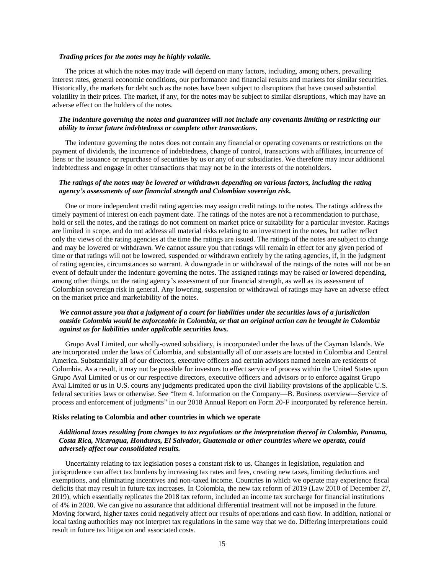#### *Trading prices for the notes may be highly volatile.*

The prices at which the notes may trade will depend on many factors, including, among others, prevailing interest rates, general economic conditions, our performance and financial results and markets for similar securities. Historically, the markets for debt such as the notes have been subject to disruptions that have caused substantial volatility in their prices. The market, if any, for the notes may be subject to similar disruptions, which may have an adverse effect on the holders of the notes.

# *The indenture governing the notes and guarantees will not include any covenants limiting or restricting our ability to incur future indebtedness or complete other transactions.*

The indenture governing the notes does not contain any financial or operating covenants or restrictions on the payment of dividends, the incurrence of indebtedness, change of control, transactions with affiliates, incurrence of liens or the issuance or repurchase of securities by us or any of our subsidiaries. We therefore may incur additional indebtedness and engage in other transactions that may not be in the interests of the noteholders.

# *The ratings of the notes may be lowered or withdrawn depending on various factors, including the rating agency's assessments of our financial strength and Colombian sovereign risk.*

One or more independent credit rating agencies may assign credit ratings to the notes. The ratings address the timely payment of interest on each payment date. The ratings of the notes are not a recommendation to purchase, hold or sell the notes, and the ratings do not comment on market price or suitability for a particular investor. Ratings are limited in scope, and do not address all material risks relating to an investment in the notes, but rather reflect only the views of the rating agencies at the time the ratings are issued. The ratings of the notes are subject to change and may be lowered or withdrawn. We cannot assure you that ratings will remain in effect for any given period of time or that ratings will not be lowered, suspended or withdrawn entirely by the rating agencies, if, in the judgment of rating agencies, circumstances so warrant. A downgrade in or withdrawal of the ratings of the notes will not be an event of default under the indenture governing the notes. The assigned ratings may be raised or lowered depending, among other things, on the rating agency's assessment of our financial strength, as well as its assessment of Colombian sovereign risk in general. Any lowering, suspension or withdrawal of ratings may have an adverse effect on the market price and marketability of the notes.

# *We cannot assure you that a judgment of a court for liabilities under the securities laws of a jurisdiction outside Colombia would be enforceable in Colombia, or that an original action can be brought in Colombia against us for liabilities under applicable securities laws.*

Grupo Aval Limited, our wholly-owned subsidiary, is incorporated under the laws of the Cayman Islands. We are incorporated under the laws of Colombia, and substantially all of our assets are located in Colombia and Central America. Substantially all of our directors, executive officers and certain advisors named herein are residents of Colombia. As a result, it may not be possible for investors to effect service of process within the United States upon Grupo Aval Limited or us or our respective directors, executive officers and advisors or to enforce against Grupo Aval Limited or us in U.S. courts any judgments predicated upon the civil liability provisions of the applicable U.S. federal securities laws or otherwise. See "Item 4. Information on the Company—B. Business overview—Service of process and enforcement of judgments" in our 2018 Annual Report on Form 20-F incorporated by reference herein.

### **Risks relating to Colombia and other countries in which we operate**

# *Additional taxes resulting from changes to tax regulations or the interpretation thereof in Colombia, Panama, Costa Rica, Nicaragua, Honduras, El Salvador, Guatemala or other countries where we operate, could adversely affect our consolidated results.*

Uncertainty relating to tax legislation poses a constant risk to us. Changes in legislation, regulation and jurisprudence can affect tax burdens by increasing tax rates and fees, creating new taxes, limiting deductions and exemptions, and eliminating incentives and non-taxed income. Countries in which we operate may experience fiscal deficits that may result in future tax increases. In Colombia, the new tax reform of 2019 (Law 2010 of December 27, 2019), which essentially replicates the 2018 tax reform, included an income tax surcharge for financial institutions of 4% in 2020. We can give no assurance that additional differential treatment will not be imposed in the future. Moving forward, higher taxes could negatively affect our results of operations and cash flow. In addition, national or local taxing authorities may not interpret tax regulations in the same way that we do. Differing interpretations could result in future tax litigation and associated costs.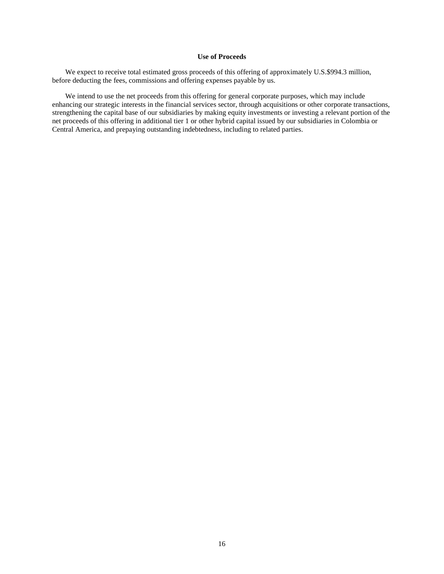# **Use of Proceeds**

<span id="page-25-0"></span>We expect to receive total estimated gross proceeds of this offering of approximately U.S.\$994.3 million, before deducting the fees, commissions and offering expenses payable by us.

We intend to use the net proceeds from this offering for general corporate purposes, which may include enhancing our strategic interests in the financial services sector, through acquisitions or other corporate transactions, strengthening the capital base of our subsidiaries by making equity investments or investing a relevant portion of the net proceeds of this offering in additional tier 1 or other hybrid capital issued by our subsidiaries in Colombia or Central America, and prepaying outstanding indebtedness, including to related parties.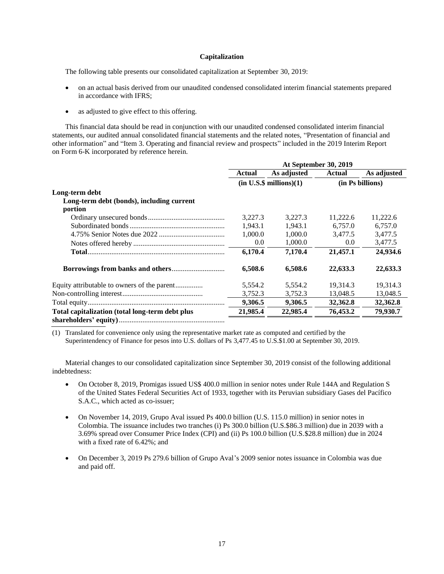## **Capitalization**

<span id="page-26-0"></span>The following table presents our consolidated capitalization at September 30, 2019:

- on an actual basis derived from our unaudited condensed consolidated interim financial statements prepared in accordance with IFRS;
- as adjusted to give effect to this offering.

This financial data should be read in conjunction with our unaudited condensed consolidated interim financial statements, our audited annual consolidated financial statements and the related notes, "Presentation of financial and other information" and "Item 3. Operating and financial review and prospects" included in the 2019 Interim Report on Form 6-K incorporated by reference herein.

|                                                 | At September 30, 2019 |                           |                  |             |  |  |
|-------------------------------------------------|-----------------------|---------------------------|------------------|-------------|--|--|
|                                                 | Actual                | As adjusted               | Actual           | As adjusted |  |  |
|                                                 |                       | $(in U.S.\$ millions)(1)$ | (in Ps billions) |             |  |  |
| Long-term debt                                  |                       |                           |                  |             |  |  |
| Long-term debt (bonds), including current       |                       |                           |                  |             |  |  |
| portion                                         |                       |                           |                  |             |  |  |
|                                                 | 3,227.3               | 3,227.3                   | 11,222.6         | 11,222.6    |  |  |
|                                                 | 1.943.1               | 1,943.1                   | 6,757.0          | 6,757.0     |  |  |
|                                                 | 1,000.0               | 1,000.0                   | 3,477.5          | 3,477.5     |  |  |
|                                                 | 0.0                   | 1,000.0                   | 0.0              | 3,477.5     |  |  |
|                                                 | 6,170.4               | 7,170.4                   | 21,457.1         | 24,934.6    |  |  |
|                                                 | 6,508.6               | 6,508.6                   | 22,633.3         | 22,633.3    |  |  |
| Equity attributable to owners of the parent     | 5.554.2               | 5.554.2                   | 19.314.3         | 19.314.3    |  |  |
|                                                 | 3,752.3               | 3.752.3                   | 13,048.5         | 13,048.5    |  |  |
|                                                 | 9,306.5               | 9,306.5                   | 32,362.8         | 32,362.8    |  |  |
| Total capitalization (total long-term debt plus | 21,985.4              | 22,985.4                  | 76,453.2         | 79,930.7    |  |  |
|                                                 |                       |                           |                  |             |  |  |

(1) Translated for convenience only using the representative market rate as computed and certified by the

Superintendency of Finance for pesos into U.S. dollars of Ps 3,477.45 to U.S.\$1.00 at September 30, 2019.

Material changes to our consolidated capitalization since September 30, 2019 consist of the following additional indebtedness:

- On October 8, 2019, Promigas issued US\$ 400.0 million in senior notes under Rule 144A and Regulation S of the United States Federal Securities Act of 1933, together with its Peruvian subsidiary Gases del Pacífico S.A.C., which acted as co-issuer;
- On November 14, 2019, Grupo Aval issued Ps 400.0 billion (U.S. 115.0 million) in senior notes in Colombia. The issuance includes two tranches (i) Ps 300.0 billion (U.S.\$86.3 million) due in 2039 with a 3.69% spread over Consumer Price Index (CPI) and (ii) Ps 100.0 billion (U.S.\$28.8 million) due in 2024 with a fixed rate of 6.42%; and
- On December 3, 2019 Ps 279.6 billion of Grupo Aval's 2009 senior notes issuance in Colombia was due and paid off.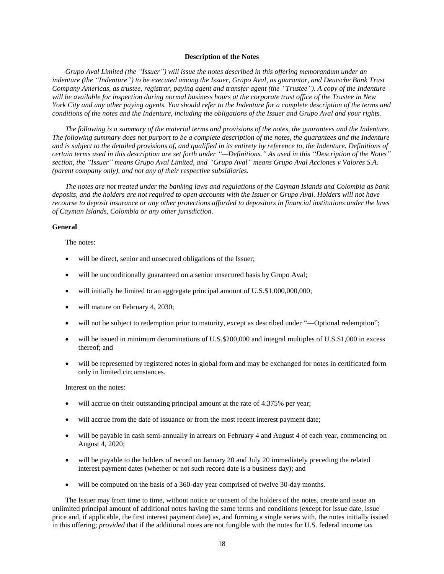#### **Description of the Notes**

<span id="page-27-0"></span>*Grupo Aval Limited (the "Issuer") will issue the notes described in this offering memorandum under an indenture (the "Indenture") to be executed among the Issuer, Grupo Aval, as guarantor, and Deutsche Bank Trust Company Americas, as trustee, registrar, paying agent and transfer agent (the "Trustee"). A copy of the Indenture will be available for inspection during normal business hours at the corporate trust office of the Trustee in New York City and any other paying agents. You should refer to the Indenture for a complete description of the terms and conditions of the notes and the Indenture, including the obligations of the Issuer and Grupo Aval and your rights.* 

*The following is a summary of the material terms and provisions of the notes, the guarantees and the Indenture. The following summary does not purport to be a complete description of the notes, the guarantees and the Indenture and is subject to the detailed provisions of, and qualified in its entirety by reference to, the Indenture. Definitions of certain terms used in this description are set forth under "—Definitions." As used in this "Description of the Notes" section, the "Issuer" means Grupo Aval Limited, and "Grupo Aval" means Grupo Aval Acciones y Valores S.A. (parent company only), and not any of their respective subsidiaries.*

*The notes are not treated under the banking laws and regulations of the Cayman Islands and Colombia as bank deposits, and the holders are not required to open accounts with the Issuer or Grupo Aval. Holders will not have recourse to deposit insurance or any other protections afforded to depositors in financial institutions under the laws of Cayman Islands, Colombia or any other jurisdiction.*

# **General**

The notes:

- will be direct, senior and unsecured obligations of the Issuer;
- will be unconditionally guaranteed on a senior unsecured basis by Grupo Aval;
- will initially be limited to an aggregate principal amount of U.S.\$1,000,000,000;
- will mature on February 4, 2030;
- will not be subject to redemption prior to maturity, except as described under "—Optional redemption";
- will be issued in minimum denominations of U.S.\$200,000 and integral multiples of U.S.\$1,000 in excess thereof; and
- will be represented by registered notes in global form and may be exchanged for notes in certificated form only in limited circumstances.

Interest on the notes:

- will accrue on their outstanding principal amount at the rate of 4.375% per year;
- will accrue from the date of issuance or from the most recent interest payment date;
- will be payable in cash semi-annually in arrears on February 4 and August 4 of each year, commencing on August 4, 2020;
- will be payable to the holders of record on January 20 and July 20 immediately preceding the related interest payment dates (whether or not such record date is a business day); and
- will be computed on the basis of a 360-day year comprised of twelve 30-day months.

The Issuer may from time to time, without notice or consent of the holders of the notes, create and issue an unlimited principal amount of additional notes having the same terms and conditions (except for issue date, issue price and, if applicable, the first interest payment date) as, and forming a single series with, the notes initially issued in this offering; *provided* that if the additional notes are not fungible with the notes for U.S. federal income tax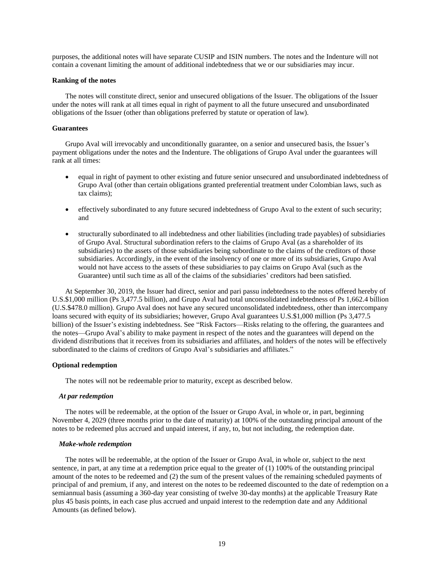purposes, the additional notes will have separate CUSIP and ISIN numbers. The notes and the Indenture will not contain a covenant limiting the amount of additional indebtedness that we or our subsidiaries may incur.

#### **Ranking of the notes**

The notes will constitute direct, senior and unsecured obligations of the Issuer. The obligations of the Issuer under the notes will rank at all times equal in right of payment to all the future unsecured and unsubordinated obligations of the Issuer (other than obligations preferred by statute or operation of law).

### **Guarantees**

Grupo Aval will irrevocably and unconditionally guarantee, on a senior and unsecured basis, the Issuer's payment obligations under the notes and the Indenture. The obligations of Grupo Aval under the guarantees will rank at all times:

- equal in right of payment to other existing and future senior unsecured and unsubordinated indebtedness of Grupo Aval (other than certain obligations granted preferential treatment under Colombian laws, such as tax claims);
- effectively subordinated to any future secured indebtedness of Grupo Aval to the extent of such security; and
- structurally subordinated to all indebtedness and other liabilities (including trade payables) of subsidiaries of Grupo Aval. Structural subordination refers to the claims of Grupo Aval (as a shareholder of its subsidiaries) to the assets of those subsidiaries being subordinate to the claims of the creditors of those subsidiaries. Accordingly, in the event of the insolvency of one or more of its subsidiaries, Grupo Aval would not have access to the assets of these subsidiaries to pay claims on Grupo Aval (such as the Guarantee) until such time as all of the claims of the subsidiaries' creditors had been satisfied.

At September 30, 2019, the Issuer had direct, senior and pari passu indebtedness to the notes offered hereby of U.S.\$1,000 million (Ps 3,477.5 billion), and Grupo Aval had total unconsolidated indebtedness of Ps 1,662.4 billion (U.S.\$478.0 million). Grupo Aval does not have any secured unconsolidated indebtedness, other than intercompany loans secured with equity of its subsidiaries; however, Grupo Aval guarantees U.S.\$1,000 million (Ps 3,477.5) billion) of the Issuer's existing indebtedness. See "Risk Factors—Risks relating to the offering, the guarantees and the notes—Grupo Aval's ability to make payment in respect of the notes and the guarantees will depend on the dividend distributions that it receives from its subsidiaries and affiliates, and holders of the notes will be effectively subordinated to the claims of creditors of Grupo Aval's subsidiaries and affiliates."

### **Optional redemption**

The notes will not be redeemable prior to maturity, except as described below.

#### *At par redemption*

The notes will be redeemable, at the option of the Issuer or Grupo Aval, in whole or, in part, beginning November 4, 2029 (three months prior to the date of maturity) at 100% of the outstanding principal amount of the notes to be redeemed plus accrued and unpaid interest, if any, to, but not including, the redemption date.

### *Make-whole redemption*

The notes will be redeemable, at the option of the Issuer or Grupo Aval, in whole or, subject to the next sentence, in part, at any time at a redemption price equal to the greater of (1) 100% of the outstanding principal amount of the notes to be redeemed and (2) the sum of the present values of the remaining scheduled payments of principal of and premium, if any, and interest on the notes to be redeemed discounted to the date of redemption on a semiannual basis (assuming a 360-day year consisting of twelve 30-day months) at the applicable Treasury Rate plus 45 basis points, in each case plus accrued and unpaid interest to the redemption date and any Additional Amounts (as defined below).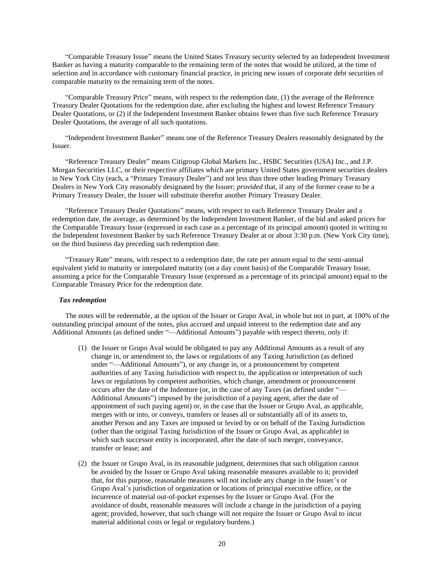"Comparable Treasury Issue" means the United States Treasury security selected by an Independent Investment Banker as having a maturity comparable to the remaining term of the notes that would be utilized, at the time of selection and in accordance with customary financial practice, in pricing new issues of corporate debt securities of comparable maturity to the remaining term of the notes.

"Comparable Treasury Price" means, with respect to the redemption date, (1) the average of the Reference Treasury Dealer Quotations for the redemption date, after excluding the highest and lowest Reference Treasury Dealer Quotations, or (2) if the Independent Investment Banker obtains fewer than five such Reference Treasury Dealer Quotations, the average of all such quotations.

"Independent Investment Banker" means one of the Reference Treasury Dealers reasonably designated by the Issuer.

"Reference Treasury Dealer" means Citigroup Global Markets Inc., HSBC Securities (USA) Inc., and J.P. Morgan Securities LLC, or their respective affiliates which are primary United States government securities dealers in New York City (each, a "Primary Treasury Dealer") and not less than three other leading Primary Treasury Dealers in New York City reasonably designated by the Issuer; *provided* that, if any of the former cease to be a Primary Treasury Dealer, the Issuer will substitute therefor another Primary Treasury Dealer.

"Reference Treasury Dealer Quotations" means, with respect to each Reference Treasury Dealer and a redemption date, the average, as determined by the Independent Investment Banker, of the bid and asked prices for the Comparable Treasury Issue (expressed in each case as a percentage of its principal amount) quoted in writing to the Independent Investment Banker by such Reference Treasury Dealer at or about 3:30 p.m. (New York City time), on the third business day preceding such redemption date.

"Treasury Rate" means, with respect to a redemption date, the rate per annum equal to the semi-annual equivalent yield to maturity or interpolated maturity (on a day count basis) of the Comparable Treasury Issue, assuming a price for the Comparable Treasury Issue (expressed as a percentage of its principal amount) equal to the Comparable Treasury Price for the redemption date.

### *Tax redemption*

The notes will be redeemable, at the option of the Issuer or Grupo Aval, in whole but not in part, at 100% of the outstanding principal amount of the notes, plus accrued and unpaid interest to the redemption date and any Additional Amounts (as defined under "—Additional Amounts") payable with respect thereto, only if:

- (1) the Issuer or Grupo Aval would be obligated to pay any Additional Amounts as a result of any change in, or amendment to, the laws or regulations of any Taxing Jurisdiction (as defined under "—Additional Amounts"), or any change in, or a pronouncement by competent authorities of any Taxing Jurisdiction with respect to, the application or interpretation of such laws or regulations by competent authorities, which change, amendment or pronouncement occurs after the date of the Indenture (or, in the case of any Taxes (as defined under "— Additional Amounts") imposed by the jurisdiction of a paying agent, after the date of appointment of such paying agent) or, in the case that the Issuer or Grupo Aval, as applicable, merges with or into, or conveys, transfers or leases all or substantially all of its assets to, another Person and any Taxes are imposed or levied by or on behalf of the Taxing Jurisdiction (other than the original Taxing Jurisdiction of the Issuer or Grupo Aval, as applicable) in which such successor entity is incorporated, after the date of such merger, conveyance, transfer or lease; and
- (2) the Issuer or Grupo Aval, in its reasonable judgment, determines that such obligation cannot be avoided by the Issuer or Grupo Aval taking reasonable measures available to it; provided that, for this purpose, reasonable measures will not include any change in the Issuer's or Grupo Aval's jurisdiction of organization or locations of principal executive office, or the incurrence of material out-of-pocket expenses by the Issuer or Grupo Aval. (For the avoidance of doubt, reasonable measures will include a change in the jurisdiction of a paying agent; provided, however, that such change will not require the Issuer or Grupo Aval to incur material additional costs or legal or regulatory burdens.)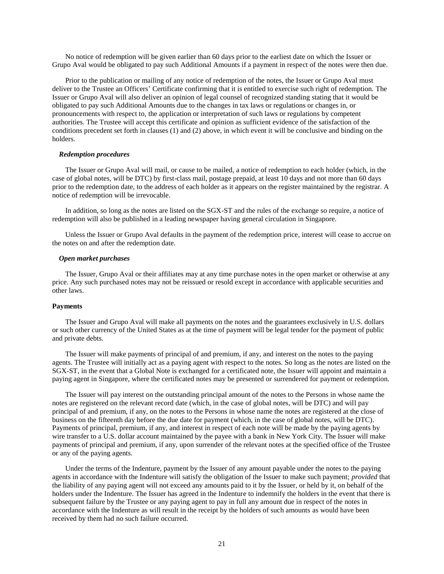No notice of redemption will be given earlier than 60 days prior to the earliest date on which the Issuer or Grupo Aval would be obligated to pay such Additional Amounts if a payment in respect of the notes were then due.

Prior to the publication or mailing of any notice of redemption of the notes, the Issuer or Grupo Aval must deliver to the Trustee an Officers' Certificate confirming that it is entitled to exercise such right of redemption. The Issuer or Grupo Aval will also deliver an opinion of legal counsel of recognized standing stating that it would be obligated to pay such Additional Amounts due to the changes in tax laws or regulations or changes in, or pronouncements with respect to, the application or interpretation of such laws or regulations by competent authorities. The Trustee will accept this certificate and opinion as sufficient evidence of the satisfaction of the conditions precedent set forth in clauses (1) and (2) above, in which event it will be conclusive and binding on the holders.

#### *Redemption procedures*

The Issuer or Grupo Aval will mail, or cause to be mailed, a notice of redemption to each holder (which, in the case of global notes, will be DTC) by first-class mail, postage prepaid, at least 10 days and not more than 60 days prior to the redemption date, to the address of each holder as it appears on the register maintained by the registrar. A notice of redemption will be irrevocable.

In addition, so long as the notes are listed on the SGX-ST and the rules of the exchange so require, a notice of redemption will also be published in a leading newspaper having general circulation in Singapore.

Unless the Issuer or Grupo Aval defaults in the payment of the redemption price, interest will cease to accrue on the notes on and after the redemption date.

# *Open market purchases*

The Issuer, Grupo Aval or their affiliates may at any time purchase notes in the open market or otherwise at any price. Any such purchased notes may not be reissued or resold except in accordance with applicable securities and other laws.

# **Payments**

The Issuer and Grupo Aval will make all payments on the notes and the guarantees exclusively in U.S. dollars or such other currency of the United States as at the time of payment will be legal tender for the payment of public and private debts.

The Issuer will make payments of principal of and premium, if any, and interest on the notes to the paying agents. The Trustee will initially act as a paying agent with respect to the notes. So long as the notes are listed on the SGX-ST, in the event that a Global Note is exchanged for a certificated note, the Issuer will appoint and maintain a paying agent in Singapore, where the certificated notes may be presented or surrendered for payment or redemption.

The Issuer will pay interest on the outstanding principal amount of the notes to the Persons in whose name the notes are registered on the relevant record date (which, in the case of global notes, will be DTC) and will pay principal of and premium, if any, on the notes to the Persons in whose name the notes are registered at the close of business on the fifteenth day before the due date for payment (which, in the case of global notes, will be DTC). Payments of principal, premium, if any, and interest in respect of each note will be made by the paying agents by wire transfer to a U.S. dollar account maintained by the payee with a bank in New York City. The Issuer will make payments of principal and premium, if any, upon surrender of the relevant notes at the specified office of the Trustee or any of the paying agents.

Under the terms of the Indenture, payment by the Issuer of any amount payable under the notes to the paying agents in accordance with the Indenture will satisfy the obligation of the Issuer to make such payment; *provided* that the liability of any paying agent will not exceed any amounts paid to it by the Issuer, or held by it, on behalf of the holders under the Indenture. The Issuer has agreed in the Indenture to indemnify the holders in the event that there is subsequent failure by the Trustee or any paying agent to pay in full any amount due in respect of the notes in accordance with the Indenture as will result in the receipt by the holders of such amounts as would have been received by them had no such failure occurred.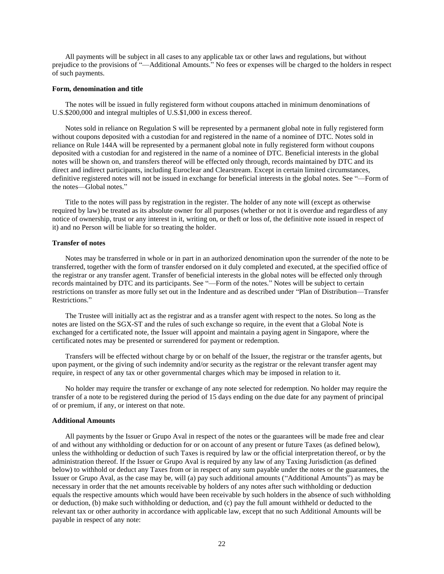All payments will be subject in all cases to any applicable tax or other laws and regulations, but without prejudice to the provisions of "—Additional Amounts." No fees or expenses will be charged to the holders in respect of such payments.

### **Form, denomination and title**

The notes will be issued in fully registered form without coupons attached in minimum denominations of U.S.\$200,000 and integral multiples of U.S.\$1,000 in excess thereof.

Notes sold in reliance on Regulation S will be represented by a permanent global note in fully registered form without coupons deposited with a custodian for and registered in the name of a nominee of DTC. Notes sold in reliance on Rule 144A will be represented by a permanent global note in fully registered form without coupons deposited with a custodian for and registered in the name of a nominee of DTC. Beneficial interests in the global notes will be shown on, and transfers thereof will be effected only through, records maintained by DTC and its direct and indirect participants, including Euroclear and Clearstream. Except in certain limited circumstances, definitive registered notes will not be issued in exchange for beneficial interests in the global notes. See "—Form of the notes—Global notes."

Title to the notes will pass by registration in the register. The holder of any note will (except as otherwise required by law) be treated as its absolute owner for all purposes (whether or not it is overdue and regardless of any notice of ownership, trust or any interest in it, writing on, or theft or loss of, the definitive note issued in respect of it) and no Person will be liable for so treating the holder.

### **Transfer of notes**

Notes may be transferred in whole or in part in an authorized denomination upon the surrender of the note to be transferred, together with the form of transfer endorsed on it duly completed and executed, at the specified office of the registrar or any transfer agent. Transfer of beneficial interests in the global notes will be effected only through records maintained by DTC and its participants. See "—Form of the notes." Notes will be subject to certain restrictions on transfer as more fully set out in the Indenture and as described under "Plan of Distribution—Transfer Restrictions."

The Trustee will initially act as the registrar and as a transfer agent with respect to the notes. So long as the notes are listed on the SGX-ST and the rules of such exchange so require, in the event that a Global Note is exchanged for a certificated note, the Issuer will appoint and maintain a paying agent in Singapore, where the certificated notes may be presented or surrendered for payment or redemption.

Transfers will be effected without charge by or on behalf of the Issuer, the registrar or the transfer agents, but upon payment, or the giving of such indemnity and/or security as the registrar or the relevant transfer agent may require, in respect of any tax or other governmental charges which may be imposed in relation to it.

No holder may require the transfer or exchange of any note selected for redemption. No holder may require the transfer of a note to be registered during the period of 15 days ending on the due date for any payment of principal of or premium, if any, or interest on that note.

#### **Additional Amounts**

All payments by the Issuer or Grupo Aval in respect of the notes or the guarantees will be made free and clear of and without any withholding or deduction for or on account of any present or future Taxes (as defined below), unless the withholding or deduction of such Taxes is required by law or the official interpretation thereof, or by the administration thereof. If the Issuer or Grupo Aval is required by any law of any Taxing Jurisdiction (as defined below) to withhold or deduct any Taxes from or in respect of any sum payable under the notes or the guarantees, the Issuer or Grupo Aval, as the case may be, will (a) pay such additional amounts ("Additional Amounts") as may be necessary in order that the net amounts receivable by holders of any notes after such withholding or deduction equals the respective amounts which would have been receivable by such holders in the absence of such withholding or deduction, (b) make such withholding or deduction, and (c) pay the full amount withheld or deducted to the relevant tax or other authority in accordance with applicable law, except that no such Additional Amounts will be payable in respect of any note: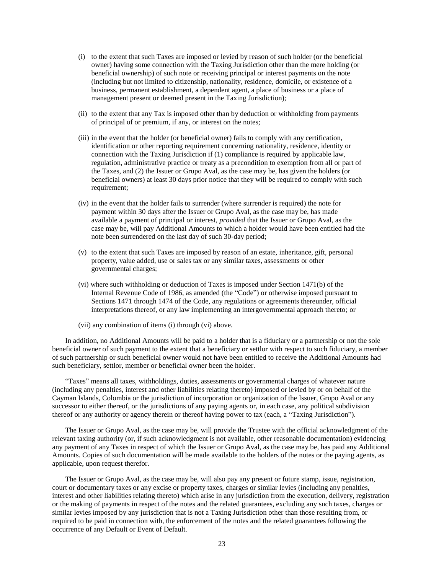- (i) to the extent that such Taxes are imposed or levied by reason of such holder (or the beneficial owner) having some connection with the Taxing Jurisdiction other than the mere holding (or beneficial ownership) of such note or receiving principal or interest payments on the note (including but not limited to citizenship, nationality, residence, domicile, or existence of a business, permanent establishment, a dependent agent, a place of business or a place of management present or deemed present in the Taxing Jurisdiction);
- (ii) to the extent that any Tax is imposed other than by deduction or withholding from payments of principal of or premium, if any, or interest on the notes;
- (iii) in the event that the holder (or beneficial owner) fails to comply with any certification, identification or other reporting requirement concerning nationality, residence, identity or connection with the Taxing Jurisdiction if (1) compliance is required by applicable law, regulation, administrative practice or treaty as a precondition to exemption from all or part of the Taxes, and (2) the Issuer or Grupo Aval, as the case may be, has given the holders (or beneficial owners) at least 30 days prior notice that they will be required to comply with such requirement;
- (iv) in the event that the holder fails to surrender (where surrender is required) the note for payment within 30 days after the Issuer or Grupo Aval, as the case may be, has made available a payment of principal or interest, *provided* that the Issuer or Grupo Aval, as the case may be, will pay Additional Amounts to which a holder would have been entitled had the note been surrendered on the last day of such 30-day period;
- (v) to the extent that such Taxes are imposed by reason of an estate, inheritance, gift, personal property, value added, use or sales tax or any similar taxes, assessments or other governmental charges;
- (vi) where such withholding or deduction of Taxes is imposed under Section 1471(b) of the Internal Revenue Code of 1986, as amended (the "Code") or otherwise imposed pursuant to Sections 1471 through 1474 of the Code, any regulations or agreements thereunder, official interpretations thereof, or any law implementing an intergovernmental approach thereto; or
- (vii) any combination of items (i) through (vi) above.

In addition, no Additional Amounts will be paid to a holder that is a fiduciary or a partnership or not the sole beneficial owner of such payment to the extent that a beneficiary or settlor with respect to such fiduciary, a member of such partnership or such beneficial owner would not have been entitled to receive the Additional Amounts had such beneficiary, settlor, member or beneficial owner been the holder.

"Taxes" means all taxes, withholdings, duties, assessments or governmental charges of whatever nature (including any penalties, interest and other liabilities relating thereto) imposed or levied by or on behalf of the Cayman Islands, Colombia or the jurisdiction of incorporation or organization of the Issuer, Grupo Aval or any successor to either thereof, or the jurisdictions of any paying agents or, in each case, any political subdivision thereof or any authority or agency therein or thereof having power to tax (each, a "Taxing Jurisdiction").

The Issuer or Grupo Aval, as the case may be, will provide the Trustee with the official acknowledgment of the relevant taxing authority (or, if such acknowledgment is not available, other reasonable documentation) evidencing any payment of any Taxes in respect of which the Issuer or Grupo Aval, as the case may be, has paid any Additional Amounts. Copies of such documentation will be made available to the holders of the notes or the paying agents, as applicable, upon request therefor.

The Issuer or Grupo Aval, as the case may be, will also pay any present or future stamp, issue, registration, court or documentary taxes or any excise or property taxes, charges or similar levies (including any penalties, interest and other liabilities relating thereto) which arise in any jurisdiction from the execution, delivery, registration or the making of payments in respect of the notes and the related guarantees, excluding any such taxes, charges or similar levies imposed by any jurisdiction that is not a Taxing Jurisdiction other than those resulting from, or required to be paid in connection with, the enforcement of the notes and the related guarantees following the occurrence of any Default or Event of Default.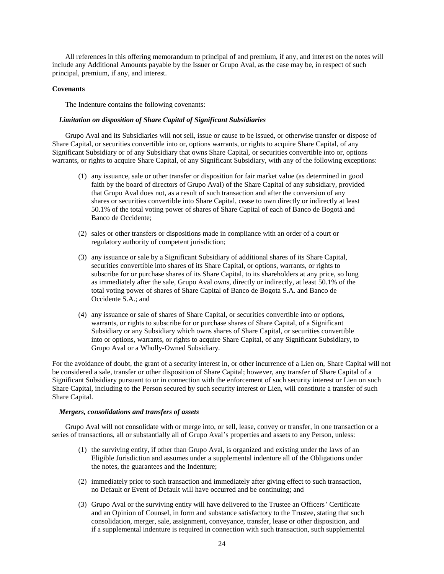All references in this offering memorandum to principal of and premium, if any, and interest on the notes will include any Additional Amounts payable by the Issuer or Grupo Aval, as the case may be, in respect of such principal, premium, if any, and interest.

### **Covenants**

The Indenture contains the following covenants:

#### *Limitation on disposition of Share Capital of Significant Subsidiaries*

Grupo Aval and its Subsidiaries will not sell, issue or cause to be issued, or otherwise transfer or dispose of Share Capital, or securities convertible into or, options warrants, or rights to acquire Share Capital, of any Significant Subsidiary or of any Subsidiary that owns Share Capital, or securities convertible into or, options warrants, or rights to acquire Share Capital, of any Significant Subsidiary, with any of the following exceptions:

- (1) any issuance, sale or other transfer or disposition for fair market value (as determined in good faith by the board of directors of Grupo Aval) of the Share Capital of any subsidiary, provided that Grupo Aval does not, as a result of such transaction and after the conversion of any shares or securities convertible into Share Capital, cease to own directly or indirectly at least 50.1% of the total voting power of shares of Share Capital of each of Banco de Bogotá and Banco de Occidente;
- (2) sales or other transfers or dispositions made in compliance with an order of a court or regulatory authority of competent jurisdiction;
- (3) any issuance or sale by a Significant Subsidiary of additional shares of its Share Capital, securities convertible into shares of its Share Capital, or options, warrants, or rights to subscribe for or purchase shares of its Share Capital, to its shareholders at any price, so long as immediately after the sale, Grupo Aval owns, directly or indirectly, at least 50.1% of the total voting power of shares of Share Capital of Banco de Bogota S.A. and Banco de Occidente S.A.; and
- (4) any issuance or sale of shares of Share Capital, or securities convertible into or options, warrants, or rights to subscribe for or purchase shares of Share Capital, of a Significant Subsidiary or any Subsidiary which owns shares of Share Capital, or securities convertible into or options, warrants, or rights to acquire Share Capital, of any Significant Subsidiary, to Grupo Aval or a Wholly-Owned Subsidiary.

For the avoidance of doubt, the grant of a security interest in, or other incurrence of a Lien on, Share Capital will not be considered a sale, transfer or other disposition of Share Capital; however, any transfer of Share Capital of a Significant Subsidiary pursuant to or in connection with the enforcement of such security interest or Lien on such Share Capital, including to the Person secured by such security interest or Lien, will constitute a transfer of such Share Capital.

### *Mergers, consolidations and transfers of assets*

Grupo Aval will not consolidate with or merge into, or sell, lease, convey or transfer, in one transaction or a series of transactions, all or substantially all of Grupo Aval's properties and assets to any Person, unless:

- (1) the surviving entity, if other than Grupo Aval, is organized and existing under the laws of an Eligible Jurisdiction and assumes under a supplemental indenture all of the Obligations under the notes, the guarantees and the Indenture;
- (2) immediately prior to such transaction and immediately after giving effect to such transaction, no Default or Event of Default will have occurred and be continuing; and
- (3) Grupo Aval or the surviving entity will have delivered to the Trustee an Officers' Certificate and an Opinion of Counsel, in form and substance satisfactory to the Trustee, stating that such consolidation, merger, sale, assignment, conveyance, transfer, lease or other disposition, and if a supplemental indenture is required in connection with such transaction, such supplemental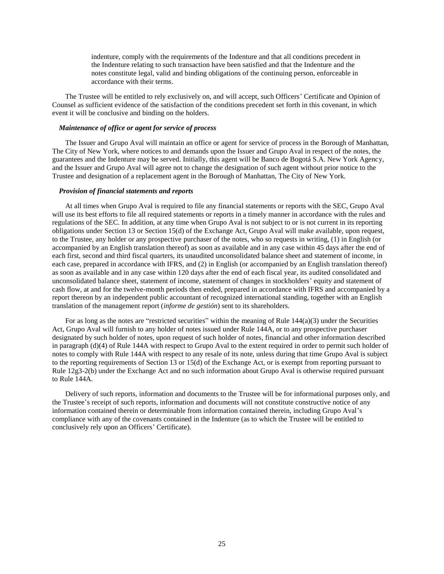indenture, comply with the requirements of the Indenture and that all conditions precedent in the Indenture relating to such transaction have been satisfied and that the Indenture and the notes constitute legal, valid and binding obligations of the continuing person, enforceable in accordance with their terms.

The Trustee will be entitled to rely exclusively on, and will accept, such Officers' Certificate and Opinion of Counsel as sufficient evidence of the satisfaction of the conditions precedent set forth in this covenant, in which event it will be conclusive and binding on the holders.

# *Maintenance of office or agent for service of process*

The Issuer and Grupo Aval will maintain an office or agent for service of process in the Borough of Manhattan, The City of New York, where notices to and demands upon the Issuer and Grupo Aval in respect of the notes, the guarantees and the Indenture may be served. Initially, this agent will be Banco de Bogotá S.A. New York Agency, and the Issuer and Grupo Aval will agree not to change the designation of such agent without prior notice to the Trustee and designation of a replacement agent in the Borough of Manhattan, The City of New York.

# *Provision of financial statements and reports*

At all times when Grupo Aval is required to file any financial statements or reports with the SEC, Grupo Aval will use its best efforts to file all required statements or reports in a timely manner in accordance with the rules and regulations of the SEC. In addition, at any time when Grupo Aval is not subject to or is not current in its reporting obligations under Section 13 or Section 15(d) of the Exchange Act, Grupo Aval will make available, upon request, to the Trustee, any holder or any prospective purchaser of the notes, who so requests in writing, (1) in English (or accompanied by an English translation thereof) as soon as available and in any case within 45 days after the end of each first, second and third fiscal quarters, its unaudited unconsolidated balance sheet and statement of income, in each case, prepared in accordance with IFRS, and (2) in English (or accompanied by an English translation thereof) as soon as available and in any case within 120 days after the end of each fiscal year, its audited consolidated and unconsolidated balance sheet, statement of income, statement of changes in stockholders' equity and statement of cash flow, at and for the twelve-month periods then ended, prepared in accordance with IFRS and accompanied by a report thereon by an independent public accountant of recognized international standing, together with an English translation of the management report (*informe de gestión*) sent to its shareholders.

For as long as the notes are "restricted securities" within the meaning of Rule 144(a)(3) under the Securities Act, Grupo Aval will furnish to any holder of notes issued under Rule 144A, or to any prospective purchaser designated by such holder of notes, upon request of such holder of notes, financial and other information described in paragraph (d)(4) of Rule 144A with respect to Grupo Aval to the extent required in order to permit such holder of notes to comply with Rule 144A with respect to any resale of its note, unless during that time Grupo Aval is subject to the reporting requirements of Section 13 or 15(d) of the Exchange Act, or is exempt from reporting pursuant to Rule 12g3-2(b) under the Exchange Act and no such information about Grupo Aval is otherwise required pursuant to Rule 144A.

Delivery of such reports, information and documents to the Trustee will be for informational purposes only, and the Trustee's receipt of such reports, information and documents will not constitute constructive notice of any information contained therein or determinable from information contained therein, including Grupo Aval's compliance with any of the covenants contained in the Indenture (as to which the Trustee will be entitled to conclusively rely upon an Officers' Certificate).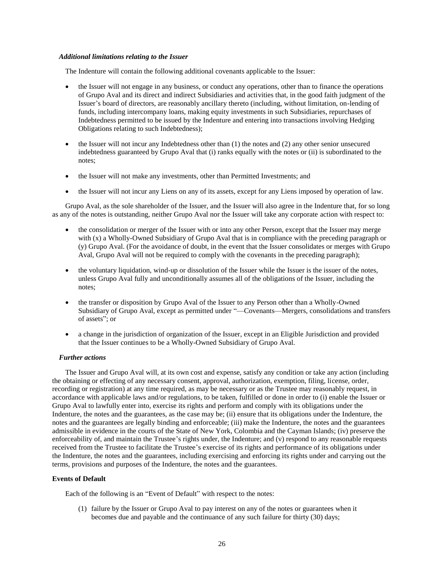### *Additional limitations relating to the Issuer*

The Indenture will contain the following additional covenants applicable to the Issuer:

- the Issuer will not engage in any business, or conduct any operations, other than to finance the operations of Grupo Aval and its direct and indirect Subsidiaries and activities that, in the good faith judgment of the Issuer's board of directors, are reasonably ancillary thereto (including, without limitation, on-lending of funds, including intercompany loans, making equity investments in such Subsidiaries, repurchases of Indebtedness permitted to be issued by the Indenture and entering into transactions involving Hedging Obligations relating to such Indebtedness);
- the Issuer will not incur any Indebtedness other than (1) the notes and (2) any other senior unsecured indebtedness guaranteed by Grupo Aval that (i) ranks equally with the notes or (ii) is subordinated to the notes;
- the Issuer will not make any investments, other than Permitted Investments; and
- the Issuer will not incur any Liens on any of its assets, except for any Liens imposed by operation of law.

Grupo Aval, as the sole shareholder of the Issuer, and the Issuer will also agree in the Indenture that, for so long as any of the notes is outstanding, neither Grupo Aval nor the Issuer will take any corporate action with respect to:

- the consolidation or merger of the Issuer with or into any other Person, except that the Issuer may merge with (x) a Wholly-Owned Subsidiary of Grupo Aval that is in compliance with the preceding paragraph or (y) Grupo Aval. (For the avoidance of doubt, in the event that the Issuer consolidates or merges with Grupo Aval, Grupo Aval will not be required to comply with the covenants in the preceding paragraph);
- the voluntary liquidation, wind-up or dissolution of the Issuer while the Issuer is the issuer of the notes, unless Grupo Aval fully and unconditionally assumes all of the obligations of the Issuer, including the notes;
- the transfer or disposition by Grupo Aval of the Issuer to any Person other than a Wholly-Owned Subsidiary of Grupo Aval, except as permitted under "—Covenants—Mergers, consolidations and transfers of assets"; or
- a change in the jurisdiction of organization of the Issuer, except in an Eligible Jurisdiction and provided that the Issuer continues to be a Wholly-Owned Subsidiary of Grupo Aval.

# *Further actions*

The Issuer and Grupo Aval will, at its own cost and expense, satisfy any condition or take any action (including the obtaining or effecting of any necessary consent, approval, authorization, exemption, filing, license, order, recording or registration) at any time required, as may be necessary or as the Trustee may reasonably request, in accordance with applicable laws and/or regulations, to be taken, fulfilled or done in order to (i) enable the Issuer or Grupo Aval to lawfully enter into, exercise its rights and perform and comply with its obligations under the Indenture, the notes and the guarantees, as the case may be; (ii) ensure that its obligations under the Indenture, the notes and the guarantees are legally binding and enforceable; (iii) make the Indenture, the notes and the guarantees admissible in evidence in the courts of the State of New York, Colombia and the Cayman Islands; (iv) preserve the enforceability of, and maintain the Trustee's rights under, the Indenture; and (v) respond to any reasonable requests received from the Trustee to facilitate the Trustee's exercise of its rights and performance of its obligations under the Indenture, the notes and the guarantees, including exercising and enforcing its rights under and carrying out the terms, provisions and purposes of the Indenture, the notes and the guarantees.

# **Events of Default**

Each of the following is an "Event of Default" with respect to the notes:

(1) failure by the Issuer or Grupo Aval to pay interest on any of the notes or guarantees when it becomes due and payable and the continuance of any such failure for thirty (30) days;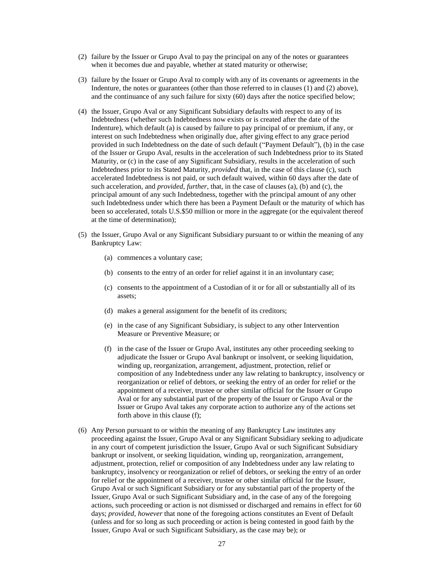- (2) failure by the Issuer or Grupo Aval to pay the principal on any of the notes or guarantees when it becomes due and payable, whether at stated maturity or otherwise;
- (3) failure by the Issuer or Grupo Aval to comply with any of its covenants or agreements in the Indenture, the notes or guarantees (other than those referred to in clauses (1) and (2) above), and the continuance of any such failure for sixty (60) days after the notice specified below;
- (4) the Issuer, Grupo Aval or any Significant Subsidiary defaults with respect to any of its Indebtedness (whether such Indebtedness now exists or is created after the date of the Indenture), which default (a) is caused by failure to pay principal of or premium, if any, or interest on such Indebtedness when originally due, after giving effect to any grace period provided in such Indebtedness on the date of such default ("Payment Default"), (b) in the case of the Issuer or Grupo Aval, results in the acceleration of such Indebtedness prior to its Stated Maturity, or (c) in the case of any Significant Subsidiary, results in the acceleration of such Indebtedness prior to its Stated Maturity, *provided* that, in the case of this clause (c), such accelerated Indebtedness is not paid, or such default waived, within 60 days after the date of such acceleration, and *provided*, *further*, that, in the case of clauses (a), (b) and (c), the principal amount of any such Indebtedness, together with the principal amount of any other such Indebtedness under which there has been a Payment Default or the maturity of which has been so accelerated, totals U.S.\$50 million or more in the aggregate (or the equivalent thereof at the time of determination);
- (5) the Issuer, Grupo Aval or any Significant Subsidiary pursuant to or within the meaning of any Bankruptcy Law:
	- (a) commences a voluntary case;
	- (b) consents to the entry of an order for relief against it in an involuntary case;
	- (c) consents to the appointment of a Custodian of it or for all or substantially all of its assets;
	- (d) makes a general assignment for the benefit of its creditors;
	- (e) in the case of any Significant Subsidiary, is subject to any other Intervention Measure or Preventive Measure; or
	- (f) in the case of the Issuer or Grupo Aval, institutes any other proceeding seeking to adjudicate the Issuer or Grupo Aval bankrupt or insolvent, or seeking liquidation, winding up, reorganization, arrangement, adjustment, protection, relief or composition of any Indebtedness under any law relating to bankruptcy, insolvency or reorganization or relief of debtors, or seeking the entry of an order for relief or the appointment of a receiver, trustee or other similar official for the Issuer or Grupo Aval or for any substantial part of the property of the Issuer or Grupo Aval or the Issuer or Grupo Aval takes any corporate action to authorize any of the actions set forth above in this clause (f);
- (6) Any Person pursuant to or within the meaning of any Bankruptcy Law institutes any proceeding against the Issuer, Grupo Aval or any Significant Subsidiary seeking to adjudicate in any court of competent jurisdiction the Issuer, Grupo Aval or such Significant Subsidiary bankrupt or insolvent, or seeking liquidation, winding up, reorganization, arrangement, adjustment, protection, relief or composition of any Indebtedness under any law relating to bankruptcy, insolvency or reorganization or relief of debtors, or seeking the entry of an order for relief or the appointment of a receiver, trustee or other similar official for the Issuer, Grupo Aval or such Significant Subsidiary or for any substantial part of the property of the Issuer, Grupo Aval or such Significant Subsidiary and, in the case of any of the foregoing actions, such proceeding or action is not dismissed or discharged and remains in effect for 60 days; *provided*, *however* that none of the foregoing actions constitutes an Event of Default (unless and for so long as such proceeding or action is being contested in good faith by the Issuer, Grupo Aval or such Significant Subsidiary, as the case may be); or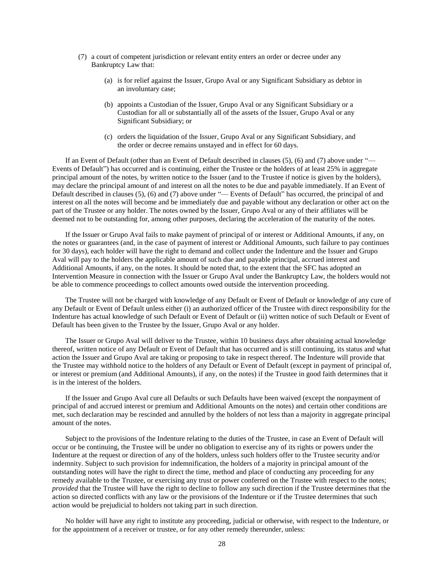- (7) a court of competent jurisdiction or relevant entity enters an order or decree under any Bankruptcy Law that:
	- (a) is for relief against the Issuer, Grupo Aval or any Significant Subsidiary as debtor in an involuntary case;
	- (b) appoints a Custodian of the Issuer, Grupo Aval or any Significant Subsidiary or a Custodian for all or substantially all of the assets of the Issuer, Grupo Aval or any Significant Subsidiary; or
	- (c) orders the liquidation of the Issuer, Grupo Aval or any Significant Subsidiary, and the order or decree remains unstayed and in effect for 60 days.

If an Event of Default (other than an Event of Default described in clauses (5), (6) and (7) above under "— Events of Default") has occurred and is continuing, either the Trustee or the holders of at least 25% in aggregate principal amount of the notes, by written notice to the Issuer (and to the Trustee if notice is given by the holders), may declare the principal amount of and interest on all the notes to be due and payable immediately. If an Event of Default described in clauses (5), (6) and (7) above under "— Events of Default" has occurred, the principal of and interest on all the notes will become and be immediately due and payable without any declaration or other act on the part of the Trustee or any holder. The notes owned by the Issuer, Grupo Aval or any of their affiliates will be deemed not to be outstanding for, among other purposes, declaring the acceleration of the maturity of the notes.

If the Issuer or Grupo Aval fails to make payment of principal of or interest or Additional Amounts, if any, on the notes or guarantees (and, in the case of payment of interest or Additional Amounts, such failure to pay continues for 30 days), each holder will have the right to demand and collect under the Indenture and the Issuer and Grupo Aval will pay to the holders the applicable amount of such due and payable principal, accrued interest and Additional Amounts, if any, on the notes. It should be noted that, to the extent that the SFC has adopted an Intervention Measure in connection with the Issuer or Grupo Aval under the Bankruptcy Law, the holders would not be able to commence proceedings to collect amounts owed outside the intervention proceeding.

The Trustee will not be charged with knowledge of any Default or Event of Default or knowledge of any cure of any Default or Event of Default unless either (i) an authorized officer of the Trustee with direct responsibility for the Indenture has actual knowledge of such Default or Event of Default or (ii) written notice of such Default or Event of Default has been given to the Trustee by the Issuer, Grupo Aval or any holder.

The Issuer or Grupo Aval will deliver to the Trustee, within 10 business days after obtaining actual knowledge thereof, written notice of any Default or Event of Default that has occurred and is still continuing, its status and what action the Issuer and Grupo Aval are taking or proposing to take in respect thereof. The Indenture will provide that the Trustee may withhold notice to the holders of any Default or Event of Default (except in payment of principal of, or interest or premium (and Additional Amounts), if any, on the notes) if the Trustee in good faith determines that it is in the interest of the holders.

If the Issuer and Grupo Aval cure all Defaults or such Defaults have been waived (except the nonpayment of principal of and accrued interest or premium and Additional Amounts on the notes) and certain other conditions are met, such declaration may be rescinded and annulled by the holders of not less than a majority in aggregate principal amount of the notes.

Subject to the provisions of the Indenture relating to the duties of the Trustee, in case an Event of Default will occur or be continuing, the Trustee will be under no obligation to exercise any of its rights or powers under the Indenture at the request or direction of any of the holders, unless such holders offer to the Trustee security and/or indemnity. Subject to such provision for indemnification, the holders of a majority in principal amount of the outstanding notes will have the right to direct the time, method and place of conducting any proceeding for any remedy available to the Trustee, or exercising any trust or power conferred on the Trustee with respect to the notes; *provided* that the Trustee will have the right to decline to follow any such direction if the Trustee determines that the action so directed conflicts with any law or the provisions of the Indenture or if the Trustee determines that such action would be prejudicial to holders not taking part in such direction.

No holder will have any right to institute any proceeding, judicial or otherwise, with respect to the Indenture, or for the appointment of a receiver or trustee, or for any other remedy thereunder, unless: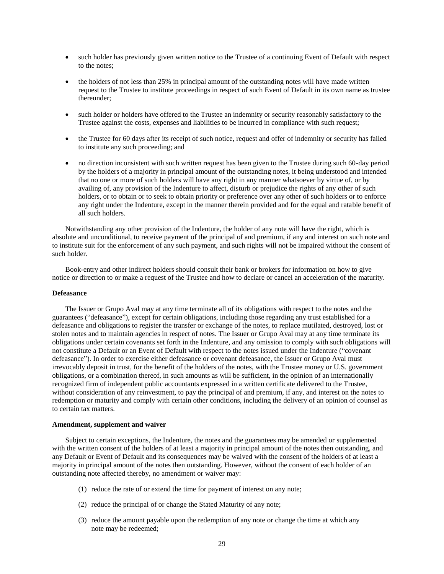- such holder has previously given written notice to the Trustee of a continuing Event of Default with respect to the notes;
- the holders of not less than 25% in principal amount of the outstanding notes will have made written request to the Trustee to institute proceedings in respect of such Event of Default in its own name as trustee thereunder;
- such holder or holders have offered to the Trustee an indemnity or security reasonably satisfactory to the Trustee against the costs, expenses and liabilities to be incurred in compliance with such request;
- the Trustee for 60 days after its receipt of such notice, request and offer of indemnity or security has failed to institute any such proceeding; and
- no direction inconsistent with such written request has been given to the Trustee during such 60-day period by the holders of a majority in principal amount of the outstanding notes, it being understood and intended that no one or more of such holders will have any right in any manner whatsoever by virtue of, or by availing of, any provision of the Indenture to affect, disturb or prejudice the rights of any other of such holders, or to obtain or to seek to obtain priority or preference over any other of such holders or to enforce any right under the Indenture, except in the manner therein provided and for the equal and ratable benefit of all such holders.

Notwithstanding any other provision of the Indenture, the holder of any note will have the right, which is absolute and unconditional, to receive payment of the principal of and premium, if any and interest on such note and to institute suit for the enforcement of any such payment, and such rights will not be impaired without the consent of such holder.

Book-entry and other indirect holders should consult their bank or brokers for information on how to give notice or direction to or make a request of the Trustee and how to declare or cancel an acceleration of the maturity.

### **Defeasance**

The Issuer or Grupo Aval may at any time terminate all of its obligations with respect to the notes and the guarantees ("defeasance"), except for certain obligations, including those regarding any trust established for a defeasance and obligations to register the transfer or exchange of the notes, to replace mutilated, destroyed, lost or stolen notes and to maintain agencies in respect of notes. The Issuer or Grupo Aval may at any time terminate its obligations under certain covenants set forth in the Indenture, and any omission to comply with such obligations will not constitute a Default or an Event of Default with respect to the notes issued under the Indenture ("covenant defeasance"). In order to exercise either defeasance or covenant defeasance, the Issuer or Grupo Aval must irrevocably deposit in trust, for the benefit of the holders of the notes, with the Trustee money or U.S. government obligations, or a combination thereof, in such amounts as will be sufficient, in the opinion of an internationally recognized firm of independent public accountants expressed in a written certificate delivered to the Trustee, without consideration of any reinvestment, to pay the principal of and premium, if any, and interest on the notes to redemption or maturity and comply with certain other conditions, including the delivery of an opinion of counsel as to certain tax matters.

#### **Amendment, supplement and waiver**

Subject to certain exceptions, the Indenture, the notes and the guarantees may be amended or supplemented with the written consent of the holders of at least a majority in principal amount of the notes then outstanding, and any Default or Event of Default and its consequences may be waived with the consent of the holders of at least a majority in principal amount of the notes then outstanding. However, without the consent of each holder of an outstanding note affected thereby, no amendment or waiver may:

- (1) reduce the rate of or extend the time for payment of interest on any note;
- (2) reduce the principal of or change the Stated Maturity of any note;
- (3) reduce the amount payable upon the redemption of any note or change the time at which any note may be redeemed;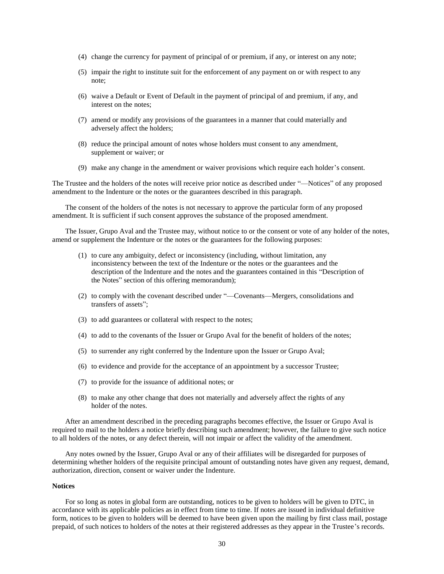- (4) change the currency for payment of principal of or premium, if any, or interest on any note;
- (5) impair the right to institute suit for the enforcement of any payment on or with respect to any note;
- (6) waive a Default or Event of Default in the payment of principal of and premium, if any, and interest on the notes;
- (7) amend or modify any provisions of the guarantees in a manner that could materially and adversely affect the holders;
- (8) reduce the principal amount of notes whose holders must consent to any amendment, supplement or waiver; or
- (9) make any change in the amendment or waiver provisions which require each holder's consent.

The Trustee and the holders of the notes will receive prior notice as described under "—Notices" of any proposed amendment to the Indenture or the notes or the guarantees described in this paragraph.

The consent of the holders of the notes is not necessary to approve the particular form of any proposed amendment. It is sufficient if such consent approves the substance of the proposed amendment.

The Issuer, Grupo Aval and the Trustee may, without notice to or the consent or vote of any holder of the notes, amend or supplement the Indenture or the notes or the guarantees for the following purposes:

- (1) to cure any ambiguity, defect or inconsistency (including, without limitation, any inconsistency between the text of the Indenture or the notes or the guarantees and the description of the Indenture and the notes and the guarantees contained in this "Description of the Notes" section of this offering memorandum);
- (2) to comply with the covenant described under "––Covenants––Mergers, consolidations and transfers of assets";
- (3) to add guarantees or collateral with respect to the notes;
- (4) to add to the covenants of the Issuer or Grupo Aval for the benefit of holders of the notes;
- (5) to surrender any right conferred by the Indenture upon the Issuer or Grupo Aval;
- (6) to evidence and provide for the acceptance of an appointment by a successor Trustee;
- (7) to provide for the issuance of additional notes; or
- (8) to make any other change that does not materially and adversely affect the rights of any holder of the notes.

After an amendment described in the preceding paragraphs becomes effective, the Issuer or Grupo Aval is required to mail to the holders a notice briefly describing such amendment; however, the failure to give such notice to all holders of the notes, or any defect therein, will not impair or affect the validity of the amendment.

Any notes owned by the Issuer, Grupo Aval or any of their affiliates will be disregarded for purposes of determining whether holders of the requisite principal amount of outstanding notes have given any request, demand, authorization, direction, consent or waiver under the Indenture.

#### **Notices**

For so long as notes in global form are outstanding, notices to be given to holders will be given to DTC, in accordance with its applicable policies as in effect from time to time. If notes are issued in individual definitive form, notices to be given to holders will be deemed to have been given upon the mailing by first class mail, postage prepaid, of such notices to holders of the notes at their registered addresses as they appear in the Trustee's records.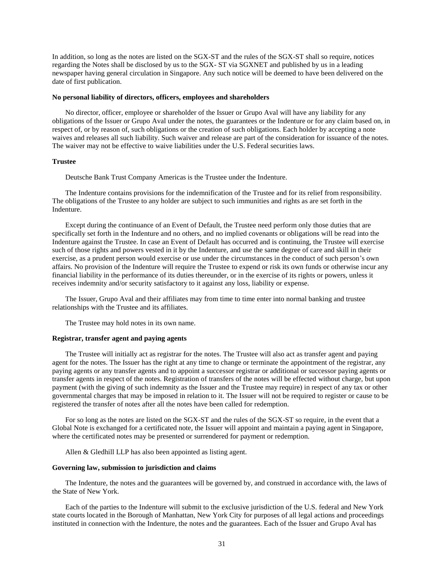In addition, so long as the notes are listed on the SGX-ST and the rules of the SGX-ST shall so require, notices regarding the Notes shall be disclosed by us to the SGX- ST via SGXNET and published by us in a leading newspaper having general circulation in Singapore. Any such notice will be deemed to have been delivered on the date of first publication.

#### **No personal liability of directors, officers, employees and shareholders**

No director, officer, employee or shareholder of the Issuer or Grupo Aval will have any liability for any obligations of the Issuer or Grupo Aval under the notes, the guarantees or the Indenture or for any claim based on, in respect of, or by reason of, such obligations or the creation of such obligations. Each holder by accepting a note waives and releases all such liability. Such waiver and release are part of the consideration for issuance of the notes. The waiver may not be effective to waive liabilities under the U.S. Federal securities laws.

#### **Trustee**

Deutsche Bank Trust Company Americas is the Trustee under the Indenture.

The Indenture contains provisions for the indemnification of the Trustee and for its relief from responsibility. The obligations of the Trustee to any holder are subject to such immunities and rights as are set forth in the Indenture.

Except during the continuance of an Event of Default, the Trustee need perform only those duties that are specifically set forth in the Indenture and no others, and no implied covenants or obligations will be read into the Indenture against the Trustee. In case an Event of Default has occurred and is continuing, the Trustee will exercise such of those rights and powers vested in it by the Indenture, and use the same degree of care and skill in their exercise, as a prudent person would exercise or use under the circumstances in the conduct of such person's own affairs. No provision of the Indenture will require the Trustee to expend or risk its own funds or otherwise incur any financial liability in the performance of its duties thereunder, or in the exercise of its rights or powers, unless it receives indemnity and/or security satisfactory to it against any loss, liability or expense.

The Issuer, Grupo Aval and their affiliates may from time to time enter into normal banking and trustee relationships with the Trustee and its affiliates.

The Trustee may hold notes in its own name.

### **Registrar, transfer agent and paying agents**

The Trustee will initially act as registrar for the notes. The Trustee will also act as transfer agent and paying agent for the notes. The Issuer has the right at any time to change or terminate the appointment of the registrar, any paying agents or any transfer agents and to appoint a successor registrar or additional or successor paying agents or transfer agents in respect of the notes. Registration of transfers of the notes will be effected without charge, but upon payment (with the giving of such indemnity as the Issuer and the Trustee may require) in respect of any tax or other governmental charges that may be imposed in relation to it. The Issuer will not be required to register or cause to be registered the transfer of notes after all the notes have been called for redemption.

For so long as the notes are listed on the SGX-ST and the rules of the SGX-ST so require, in the event that a Global Note is exchanged for a certificated note, the Issuer will appoint and maintain a paying agent in Singapore, where the certificated notes may be presented or surrendered for payment or redemption.

Allen & Gledhill LLP has also been appointed as listing agent.

#### **Governing law, submission to jurisdiction and claims**

The Indenture, the notes and the guarantees will be governed by, and construed in accordance with, the laws of the State of New York.

Each of the parties to the Indenture will submit to the exclusive jurisdiction of the U.S. federal and New York state courts located in the Borough of Manhattan, New York City for purposes of all legal actions and proceedings instituted in connection with the Indenture, the notes and the guarantees. Each of the Issuer and Grupo Aval has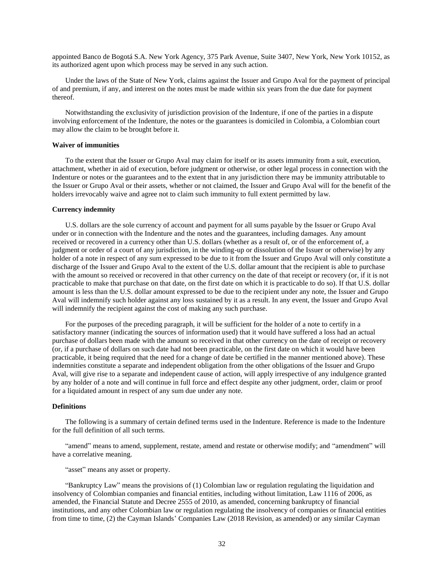appointed Banco de Bogotá S.A. New York Agency, 375 Park Avenue, Suite 3407, New York, New York 10152, as its authorized agent upon which process may be served in any such action.

Under the laws of the State of New York, claims against the Issuer and Grupo Aval for the payment of principal of and premium, if any, and interest on the notes must be made within six years from the due date for payment thereof.

Notwithstanding the exclusivity of jurisdiction provision of the Indenture, if one of the parties in a dispute involving enforcement of the Indenture, the notes or the guarantees is domiciled in Colombia, a Colombian court may allow the claim to be brought before it.

### **Waiver of immunities**

To the extent that the Issuer or Grupo Aval may claim for itself or its assets immunity from a suit, execution, attachment, whether in aid of execution, before judgment or otherwise, or other legal process in connection with the Indenture or notes or the guarantees and to the extent that in any jurisdiction there may be immunity attributable to the Issuer or Grupo Aval or their assets, whether or not claimed, the Issuer and Grupo Aval will for the benefit of the holders irrevocably waive and agree not to claim such immunity to full extent permitted by law.

#### **Currency indemnity**

U.S. dollars are the sole currency of account and payment for all sums payable by the Issuer or Grupo Aval under or in connection with the Indenture and the notes and the guarantees, including damages. Any amount received or recovered in a currency other than U.S. dollars (whether as a result of, or of the enforcement of, a judgment or order of a court of any jurisdiction, in the winding-up or dissolution of the Issuer or otherwise) by any holder of a note in respect of any sum expressed to be due to it from the Issuer and Grupo Aval will only constitute a discharge of the Issuer and Grupo Aval to the extent of the U.S. dollar amount that the recipient is able to purchase with the amount so received or recovered in that other currency on the date of that receipt or recovery (or, if it is not practicable to make that purchase on that date, on the first date on which it is practicable to do so). If that U.S. dollar amount is less than the U.S. dollar amount expressed to be due to the recipient under any note, the Issuer and Grupo Aval will indemnify such holder against any loss sustained by it as a result. In any event, the Issuer and Grupo Aval will indemnify the recipient against the cost of making any such purchase.

For the purposes of the preceding paragraph, it will be sufficient for the holder of a note to certify in a satisfactory manner (indicating the sources of information used) that it would have suffered a loss had an actual purchase of dollars been made with the amount so received in that other currency on the date of receipt or recovery (or, if a purchase of dollars on such date had not been practicable, on the first date on which it would have been practicable, it being required that the need for a change of date be certified in the manner mentioned above). These indemnities constitute a separate and independent obligation from the other obligations of the Issuer and Grupo Aval, will give rise to a separate and independent cause of action, will apply irrespective of any indulgence granted by any holder of a note and will continue in full force and effect despite any other judgment, order, claim or proof for a liquidated amount in respect of any sum due under any note.

### **Definitions**

The following is a summary of certain defined terms used in the Indenture. Reference is made to the Indenture for the full definition of all such terms.

"amend" means to amend, supplement, restate, amend and restate or otherwise modify; and "amendment" will have a correlative meaning.

# "asset" means any asset or property.

"Bankruptcy Law" means the provisions of (1) Colombian law or regulation regulating the liquidation and insolvency of Colombian companies and financial entities, including without limitation, Law 1116 of 2006, as amended, the Financial Statute and Decree 2555 of 2010, as amended, concerning bankruptcy of financial institutions, and any other Colombian law or regulation regulating the insolvency of companies or financial entities from time to time, (2) the Cayman Islands' Companies Law (2018 Revision, as amended) or any similar Cayman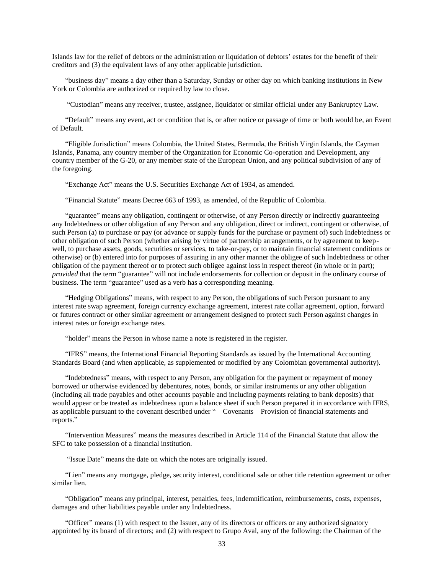Islands law for the relief of debtors or the administration or liquidation of debtors' estates for the benefit of their creditors and (3) the equivalent laws of any other applicable jurisdiction.

"business day" means a day other than a Saturday, Sunday or other day on which banking institutions in New York or Colombia are authorized or required by law to close.

"Custodian" means any receiver, trustee, assignee, liquidator or similar official under any Bankruptcy Law.

"Default" means any event, act or condition that is, or after notice or passage of time or both would be, an Event of Default.

"Eligible Jurisdiction" means Colombia, the United States, Bermuda, the British Virgin Islands, the Cayman Islands, Panama, any country member of the Organization for Economic Co-operation and Development, any country member of the G-20, or any member state of the European Union, and any political subdivision of any of the foregoing.

"Exchange Act" means the U.S. Securities Exchange Act of 1934, as amended.

"Financial Statute" means Decree 663 of 1993, as amended, of the Republic of Colombia.

"guarantee" means any obligation, contingent or otherwise, of any Person directly or indirectly guaranteeing any Indebtedness or other obligation of any Person and any obligation, direct or indirect, contingent or otherwise, of such Person (a) to purchase or pay (or advance or supply funds for the purchase or payment of) such Indebtedness or other obligation of such Person (whether arising by virtue of partnership arrangements, or by agreement to keepwell, to purchase assets, goods, securities or services, to take-or-pay, or to maintain financial statement conditions or otherwise) or (b) entered into for purposes of assuring in any other manner the obligee of such Indebtedness or other obligation of the payment thereof or to protect such obligee against loss in respect thereof (in whole or in part); *provided* that the term "guarantee" will not include endorsements for collection or deposit in the ordinary course of business. The term "guarantee" used as a verb has a corresponding meaning.

"Hedging Obligations" means, with respect to any Person, the obligations of such Person pursuant to any interest rate swap agreement, foreign currency exchange agreement, interest rate collar agreement, option, forward or futures contract or other similar agreement or arrangement designed to protect such Person against changes in interest rates or foreign exchange rates.

"holder" means the Person in whose name a note is registered in the register.

"IFRS" means, the International Financial Reporting Standards as issued by the International Accounting Standards Board (and when applicable, as supplemented or modified by any Colombian governmental authority).

"Indebtedness" means, with respect to any Person, any obligation for the payment or repayment of money borrowed or otherwise evidenced by debentures, notes, bonds, or similar instruments or any other obligation (including all trade payables and other accounts payable and including payments relating to bank deposits) that would appear or be treated as indebtedness upon a balance sheet if such Person prepared it in accordance with IFRS, as applicable pursuant to the covenant described under "––Covenants––Provision of financial statements and reports."

"Intervention Measures" means the measures described in Article 114 of the Financial Statute that allow the SFC to take possession of a financial institution.

"Issue Date" means the date on which the notes are originally issued.

"Lien" means any mortgage, pledge, security interest, conditional sale or other title retention agreement or other similar lien.

"Obligation" means any principal, interest, penalties, fees, indemnification, reimbursements, costs, expenses, damages and other liabilities payable under any Indebtedness.

"Officer" means (1) with respect to the Issuer, any of its directors or officers or any authorized signatory appointed by its board of directors; and (2) with respect to Grupo Aval, any of the following: the Chairman of the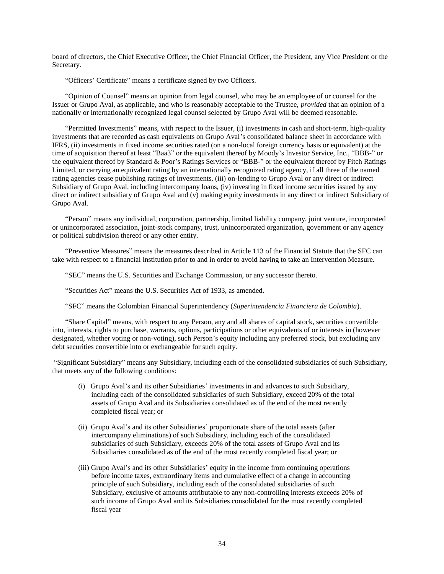board of directors, the Chief Executive Officer, the Chief Financial Officer, the President, any Vice President or the Secretary.

"Officers' Certificate" means a certificate signed by two Officers.

"Opinion of Counsel" means an opinion from legal counsel, who may be an employee of or counsel for the Issuer or Grupo Aval, as applicable, and who is reasonably acceptable to the Trustee, *provided* that an opinion of a nationally or internationally recognized legal counsel selected by Grupo Aval will be deemed reasonable.

"Permitted Investments" means, with respect to the Issuer, (i) investments in cash and short-term, high-quality investments that are recorded as cash equivalents on Grupo Aval's consolidated balance sheet in accordance with IFRS, (ii) investments in fixed income securities rated (on a non-local foreign currency basis or equivalent) at the time of acquisition thereof at least "Baa3" or the equivalent thereof by Moody's Investor Service, Inc., "BBB-" or the equivalent thereof by Standard & Poor's Ratings Services or "BBB-" or the equivalent thereof by Fitch Ratings Limited, or carrying an equivalent rating by an internationally recognized rating agency, if all three of the named rating agencies cease publishing ratings of investments, (iii) on-lending to Grupo Aval or any direct or indirect Subsidiary of Grupo Aval, including intercompany loans, (iv) investing in fixed income securities issued by any direct or indirect subsidiary of Grupo Aval and (v) making equity investments in any direct or indirect Subsidiary of Grupo Aval.

"Person" means any individual, corporation, partnership, limited liability company, joint venture, incorporated or unincorporated association, joint-stock company, trust, unincorporated organization, government or any agency or political subdivision thereof or any other entity.

"Preventive Measures" means the measures described in Article 113 of the Financial Statute that the SFC can take with respect to a financial institution prior to and in order to avoid having to take an Intervention Measure.

"SEC" means the U.S. Securities and Exchange Commission, or any successor thereto.

"Securities Act" means the U.S. Securities Act of 1933, as amended.

"SFC" means the Colombian Financial Superintendency (*Superintendencia Financiera de Colombia*).

"Share Capital" means, with respect to any Person, any and all shares of capital stock, securities convertible into, interests, rights to purchase, warrants, options, participations or other equivalents of or interests in (however designated, whether voting or non-voting), such Person's equity including any preferred stock, but excluding any debt securities convertible into or exchangeable for such equity.

"Significant Subsidiary" means any Subsidiary, including each of the consolidated subsidiaries of such Subsidiary, that meets any of the following conditions:

- (i) Grupo Aval's and its other Subsidiaries' investments in and advances to such Subsidiary, including each of the consolidated subsidiaries of such Subsidiary, exceed 20% of the total assets of Grupo Aval and its Subsidiaries consolidated as of the end of the most recently completed fiscal year; or
- (ii) Grupo Aval's and its other Subsidiaries' proportionate share of the total assets (after intercompany eliminations) of such Subsidiary, including each of the consolidated subsidiaries of such Subsidiary, exceeds 20% of the total assets of Grupo Aval and its Subsidiaries consolidated as of the end of the most recently completed fiscal year; or
- (iii) Grupo Aval's and its other Subsidiaries' equity in the income from continuing operations before income taxes, extraordinary items and cumulative effect of a change in accounting principle of such Subsidiary, including each of the consolidated subsidiaries of such Subsidiary, exclusive of amounts attributable to any non-controlling interests exceeds 20% of such income of Grupo Aval and its Subsidiaries consolidated for the most recently completed fiscal year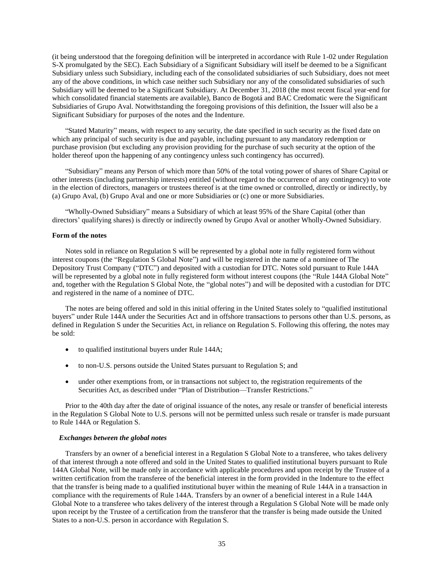(it being understood that the foregoing definition will be interpreted in accordance with Rule 1-02 under Regulation S-X promulgated by the SEC). Each Subsidiary of a Significant Subsidiary will itself be deemed to be a Significant Subsidiary unless such Subsidiary, including each of the consolidated subsidiaries of such Subsidiary, does not meet any of the above conditions, in which case neither such Subsidiary nor any of the consolidated subsidiaries of such Subsidiary will be deemed to be a Significant Subsidiary. At December 31, 2018 (the most recent fiscal year-end for which consolidated financial statements are available), Banco de Bogotá and BAC Credomatic were the Significant Subsidiaries of Grupo Aval. Notwithstanding the foregoing provisions of this definition, the Issuer will also be a Significant Subsidiary for purposes of the notes and the Indenture.

"Stated Maturity" means, with respect to any security, the date specified in such security as the fixed date on which any principal of such security is due and payable, including pursuant to any mandatory redemption or purchase provision (but excluding any provision providing for the purchase of such security at the option of the holder thereof upon the happening of any contingency unless such contingency has occurred).

"Subsidiary" means any Person of which more than 50% of the total voting power of shares of Share Capital or other interests (including partnership interests) entitled (without regard to the occurrence of any contingency) to vote in the election of directors, managers or trustees thereof is at the time owned or controlled, directly or indirectly, by (a) Grupo Aval, (b) Grupo Aval and one or more Subsidiaries or (c) one or more Subsidiaries.

"Wholly-Owned Subsidiary" means a Subsidiary of which at least 95% of the Share Capital (other than directors' qualifying shares) is directly or indirectly owned by Grupo Aval or another Wholly-Owned Subsidiary.

# **Form of the notes**

Notes sold in reliance on Regulation S will be represented by a global note in fully registered form without interest coupons (the "Regulation S Global Note") and will be registered in the name of a nominee of The Depository Trust Company ("DTC") and deposited with a custodian for DTC. Notes sold pursuant to Rule 144A will be represented by a global note in fully registered form without interest coupons (the "Rule 144A Global Note" and, together with the Regulation S Global Note, the "global notes") and will be deposited with a custodian for DTC and registered in the name of a nominee of DTC.

The notes are being offered and sold in this initial offering in the United States solely to "qualified institutional buyers" under Rule 144A under the Securities Act and in offshore transactions to persons other than U.S. persons, as defined in Regulation S under the Securities Act, in reliance on Regulation S. Following this offering, the notes may be sold:

- to qualified institutional buyers under Rule 144A;
- to non-U.S. persons outside the United States pursuant to Regulation S; and
- under other exemptions from, or in transactions not subject to, the registration requirements of the Securities Act, as described under "Plan of Distribution—Transfer Restrictions."

Prior to the 40th day after the date of original issuance of the notes, any resale or transfer of beneficial interests in the Regulation S Global Note to U.S. persons will not be permitted unless such resale or transfer is made pursuant to Rule 144A or Regulation S.

#### *Exchanges between the global notes*

Transfers by an owner of a beneficial interest in a Regulation S Global Note to a transferee, who takes delivery of that interest through a note offered and sold in the United States to qualified institutional buyers pursuant to Rule 144A Global Note, will be made only in accordance with applicable procedures and upon receipt by the Trustee of a written certification from the transferee of the beneficial interest in the form provided in the Indenture to the effect that the transfer is being made to a qualified institutional buyer within the meaning of Rule 144A in a transaction in compliance with the requirements of Rule 144A. Transfers by an owner of a beneficial interest in a Rule 144A Global Note to a transferee who takes delivery of the interest through a Regulation S Global Note will be made only upon receipt by the Trustee of a certification from the transferor that the transfer is being made outside the United States to a non-U.S. person in accordance with Regulation S.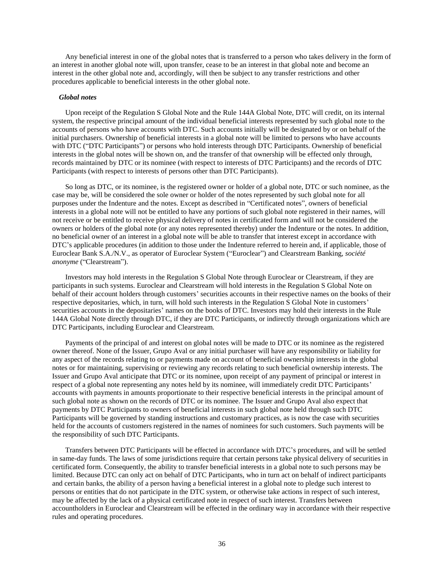Any beneficial interest in one of the global notes that is transferred to a person who takes delivery in the form of an interest in another global note will, upon transfer, cease to be an interest in that global note and become an interest in the other global note and, accordingly, will then be subject to any transfer restrictions and other procedures applicable to beneficial interests in the other global note.

#### *Global notes*

Upon receipt of the Regulation S Global Note and the Rule 144A Global Note, DTC will credit, on its internal system, the respective principal amount of the individual beneficial interests represented by such global note to the accounts of persons who have accounts with DTC. Such accounts initially will be designated by or on behalf of the initial purchasers. Ownership of beneficial interests in a global note will be limited to persons who have accounts with DTC ("DTC Participants") or persons who hold interests through DTC Participants. Ownership of beneficial interests in the global notes will be shown on, and the transfer of that ownership will be effected only through, records maintained by DTC or its nominee (with respect to interests of DTC Participants) and the records of DTC Participants (with respect to interests of persons other than DTC Participants).

So long as DTC, or its nominee, is the registered owner or holder of a global note, DTC or such nominee, as the case may be, will be considered the sole owner or holder of the notes represented by such global note for all purposes under the Indenture and the notes. Except as described in "Certificated notes", owners of beneficial interests in a global note will not be entitled to have any portions of such global note registered in their names, will not receive or be entitled to receive physical delivery of notes in certificated form and will not be considered the owners or holders of the global note (or any notes represented thereby) under the Indenture or the notes. In addition, no beneficial owner of an interest in a global note will be able to transfer that interest except in accordance with DTC's applicable procedures (in addition to those under the Indenture referred to herein and, if applicable, those of Euroclear Bank S.A./N.V., as operator of Euroclear System ("Euroclear") and Clearstream Banking, *société anonyme* ("Clearstream").

Investors may hold interests in the Regulation S Global Note through Euroclear or Clearstream, if they are participants in such systems. Euroclear and Clearstream will hold interests in the Regulation S Global Note on behalf of their account holders through customers' securities accounts in their respective names on the books of their respective depositaries, which, in turn, will hold such interests in the Regulation S Global Note in customers' securities accounts in the depositaries' names on the books of DTC. Investors may hold their interests in the Rule 144A Global Note directly through DTC, if they are DTC Participants, or indirectly through organizations which are DTC Participants, including Euroclear and Clearstream.

Payments of the principal of and interest on global notes will be made to DTC or its nominee as the registered owner thereof. None of the Issuer, Grupo Aval or any initial purchaser will have any responsibility or liability for any aspect of the records relating to or payments made on account of beneficial ownership interests in the global notes or for maintaining, supervising or reviewing any records relating to such beneficial ownership interests. The Issuer and Grupo Aval anticipate that DTC or its nominee, upon receipt of any payment of principal or interest in respect of a global note representing any notes held by its nominee, will immediately credit DTC Participants' accounts with payments in amounts proportionate to their respective beneficial interests in the principal amount of such global note as shown on the records of DTC or its nominee. The Issuer and Grupo Aval also expect that payments by DTC Participants to owners of beneficial interests in such global note held through such DTC Participants will be governed by standing instructions and customary practices, as is now the case with securities held for the accounts of customers registered in the names of nominees for such customers. Such payments will be the responsibility of such DTC Participants.

Transfers between DTC Participants will be effected in accordance with DTC's procedures, and will be settled in same-day funds. The laws of some jurisdictions require that certain persons take physical delivery of securities in certificated form. Consequently, the ability to transfer beneficial interests in a global note to such persons may be limited. Because DTC can only act on behalf of DTC Participants, who in turn act on behalf of indirect participants and certain banks, the ability of a person having a beneficial interest in a global note to pledge such interest to persons or entities that do not participate in the DTC system, or otherwise take actions in respect of such interest, may be affected by the lack of a physical certificated note in respect of such interest. Transfers between accountholders in Euroclear and Clearstream will be effected in the ordinary way in accordance with their respective rules and operating procedures.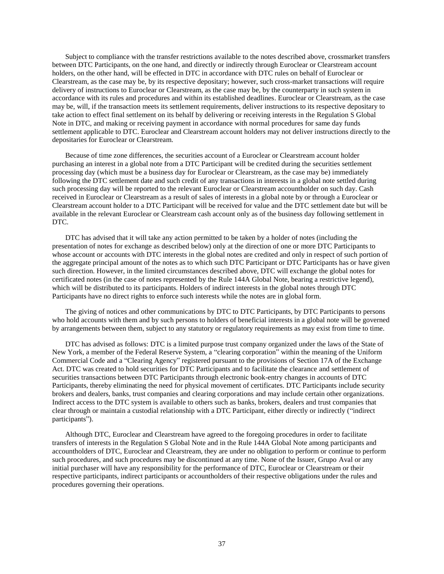Subject to compliance with the transfer restrictions available to the notes described above, crossmarket transfers between DTC Participants, on the one hand, and directly or indirectly through Euroclear or Clearstream account holders, on the other hand, will be effected in DTC in accordance with DTC rules on behalf of Euroclear or Clearstream, as the case may be, by its respective depositary; however, such cross-market transactions will require delivery of instructions to Euroclear or Clearstream, as the case may be, by the counterparty in such system in accordance with its rules and procedures and within its established deadlines. Euroclear or Clearstream, as the case may be, will, if the transaction meets its settlement requirements, deliver instructions to its respective depositary to take action to effect final settlement on its behalf by delivering or receiving interests in the Regulation S Global Note in DTC, and making or receiving payment in accordance with normal procedures for same day funds settlement applicable to DTC. Euroclear and Clearstream account holders may not deliver instructions directly to the depositaries for Euroclear or Clearstream.

Because of time zone differences, the securities account of a Euroclear or Clearstream account holder purchasing an interest in a global note from a DTC Participant will be credited during the securities settlement processing day (which must be a business day for Euroclear or Clearstream, as the case may be) immediately following the DTC settlement date and such credit of any transactions in interests in a global note settled during such processing day will be reported to the relevant Euroclear or Clearstream accountholder on such day. Cash received in Euroclear or Clearstream as a result of sales of interests in a global note by or through a Euroclear or Clearstream account holder to a DTC Participant will be received for value and the DTC settlement date but will be available in the relevant Euroclear or Clearstream cash account only as of the business day following settlement in DTC.

DTC has advised that it will take any action permitted to be taken by a holder of notes (including the presentation of notes for exchange as described below) only at the direction of one or more DTC Participants to whose account or accounts with DTC interests in the global notes are credited and only in respect of such portion of the aggregate principal amount of the notes as to which such DTC Participant or DTC Participants has or have given such direction. However, in the limited circumstances described above, DTC will exchange the global notes for certificated notes (in the case of notes represented by the Rule 144A Global Note, bearing a restrictive legend), which will be distributed to its participants. Holders of indirect interests in the global notes through DTC Participants have no direct rights to enforce such interests while the notes are in global form.

The giving of notices and other communications by DTC to DTC Participants, by DTC Participants to persons who hold accounts with them and by such persons to holders of beneficial interests in a global note will be governed by arrangements between them, subject to any statutory or regulatory requirements as may exist from time to time.

DTC has advised as follows: DTC is a limited purpose trust company organized under the laws of the State of New York, a member of the Federal Reserve System, a "clearing corporation" within the meaning of the Uniform Commercial Code and a "Clearing Agency" registered pursuant to the provisions of Section 17A of the Exchange Act. DTC was created to hold securities for DTC Participants and to facilitate the clearance and settlement of securities transactions between DTC Participants through electronic book-entry changes in accounts of DTC Participants, thereby eliminating the need for physical movement of certificates. DTC Participants include security brokers and dealers, banks, trust companies and clearing corporations and may include certain other organizations. Indirect access to the DTC system is available to others such as banks, brokers, dealers and trust companies that clear through or maintain a custodial relationship with a DTC Participant, either directly or indirectly ("indirect participants").

Although DTC, Euroclear and Clearstream have agreed to the foregoing procedures in order to facilitate transfers of interests in the Regulation S Global Note and in the Rule 144A Global Note among participants and accountholders of DTC, Euroclear and Clearstream, they are under no obligation to perform or continue to perform such procedures, and such procedures may be discontinued at any time. None of the Issuer, Grupo Aval or any initial purchaser will have any responsibility for the performance of DTC, Euroclear or Clearstream or their respective participants, indirect participants or accountholders of their respective obligations under the rules and procedures governing their operations.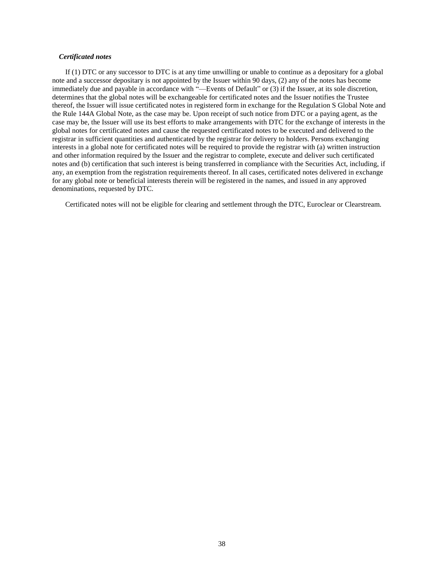### *Certificated notes*

If (1) DTC or any successor to DTC is at any time unwilling or unable to continue as a depositary for a global note and a successor depositary is not appointed by the Issuer within 90 days, (2) any of the notes has become immediately due and payable in accordance with "—Events of Default" or (3) if the Issuer, at its sole discretion, determines that the global notes will be exchangeable for certificated notes and the Issuer notifies the Trustee thereof, the Issuer will issue certificated notes in registered form in exchange for the Regulation S Global Note and the Rule 144A Global Note, as the case may be. Upon receipt of such notice from DTC or a paying agent, as the case may be, the Issuer will use its best efforts to make arrangements with DTC for the exchange of interests in the global notes for certificated notes and cause the requested certificated notes to be executed and delivered to the registrar in sufficient quantities and authenticated by the registrar for delivery to holders. Persons exchanging interests in a global note for certificated notes will be required to provide the registrar with (a) written instruction and other information required by the Issuer and the registrar to complete, execute and deliver such certificated notes and (b) certification that such interest is being transferred in compliance with the Securities Act, including, if any, an exemption from the registration requirements thereof. In all cases, certificated notes delivered in exchange for any global note or beneficial interests therein will be registered in the names, and issued in any approved denominations, requested by DTC.

Certificated notes will not be eligible for clearing and settlement through the DTC, Euroclear or Clearstream.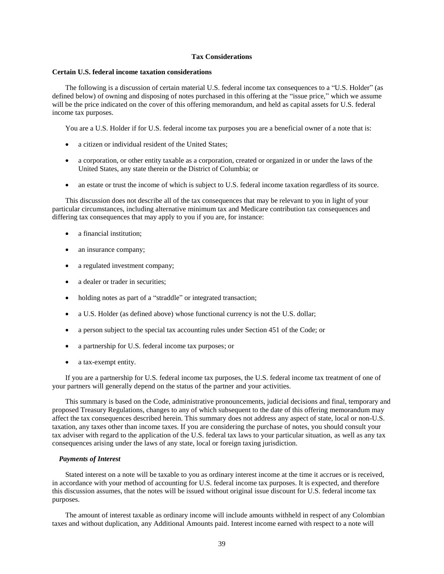# **Tax Considerations**

### <span id="page-48-0"></span>**Certain U.S. federal income taxation considerations**

The following is a discussion of certain material U.S. federal income tax consequences to a "U.S. Holder" (as defined below) of owning and disposing of notes purchased in this offering at the "issue price," which we assume will be the price indicated on the cover of this offering memorandum, and held as capital assets for U.S. federal income tax purposes.

You are a U.S. Holder if for U.S. federal income tax purposes you are a beneficial owner of a note that is:

- a citizen or individual resident of the United States;
- a corporation, or other entity taxable as a corporation, created or organized in or under the laws of the United States, any state therein or the District of Columbia; or
- an estate or trust the income of which is subject to U.S. federal income taxation regardless of its source.

This discussion does not describe all of the tax consequences that may be relevant to you in light of your particular circumstances, including alternative minimum tax and Medicare contribution tax consequences and differing tax consequences that may apply to you if you are, for instance:

- a financial institution;
- an insurance company;
- a regulated investment company;
- a dealer or trader in securities;
- holding notes as part of a "straddle" or integrated transaction;
- a U.S. Holder (as defined above) whose functional currency is not the U.S. dollar;
- a person subject to the special tax accounting rules under Section 451 of the Code; or
- a partnership for U.S. federal income tax purposes; or
- a tax-exempt entity.

If you are a partnership for U.S. federal income tax purposes, the U.S. federal income tax treatment of one of your partners will generally depend on the status of the partner and your activities.

This summary is based on the Code, administrative pronouncements, judicial decisions and final, temporary and proposed Treasury Regulations, changes to any of which subsequent to the date of this offering memorandum may affect the tax consequences described herein. This summary does not address any aspect of state, local or non-U.S. taxation, any taxes other than income taxes. If you are considering the purchase of notes, you should consult your tax adviser with regard to the application of the U.S. federal tax laws to your particular situation, as well as any tax consequences arising under the laws of any state, local or foreign taxing jurisdiction.

### *Payments of Interest*

Stated interest on a note will be taxable to you as ordinary interest income at the time it accrues or is received, in accordance with your method of accounting for U.S. federal income tax purposes. It is expected, and therefore this discussion assumes, that the notes will be issued without original issue discount for U.S. federal income tax purposes.

The amount of interest taxable as ordinary income will include amounts withheld in respect of any Colombian taxes and without duplication, any Additional Amounts paid. Interest income earned with respect to a note will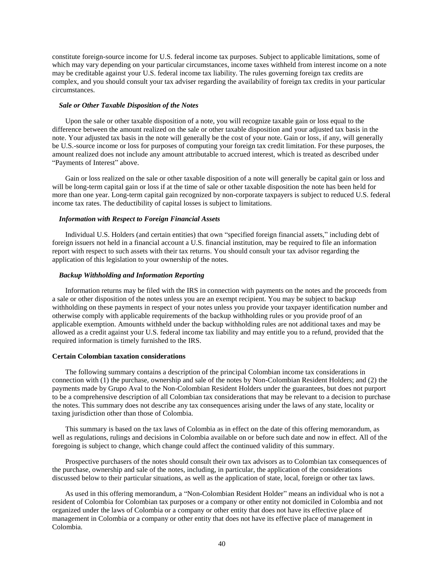constitute foreign-source income for U.S. federal income tax purposes. Subject to applicable limitations, some of which may vary depending on your particular circumstances, income taxes withheld from interest income on a note may be creditable against your U.S. federal income tax liability. The rules governing foreign tax credits are complex, and you should consult your tax adviser regarding the availability of foreign tax credits in your particular circumstances.

### *Sale or Other Taxable Disposition of the Notes*

Upon the sale or other taxable disposition of a note, you will recognize taxable gain or loss equal to the difference between the amount realized on the sale or other taxable disposition and your adjusted tax basis in the note. Your adjusted tax basis in the note will generally be the cost of your note. Gain or loss, if any, will generally be U.S.-source income or loss for purposes of computing your foreign tax credit limitation. For these purposes, the amount realized does not include any amount attributable to accrued interest, which is treated as described under "Payments of Interest" above.

Gain or loss realized on the sale or other taxable disposition of a note will generally be capital gain or loss and will be long-term capital gain or loss if at the time of sale or other taxable disposition the note has been held for more than one year. Long-term capital gain recognized by non-corporate taxpayers is subject to reduced U.S. federal income tax rates. The deductibility of capital losses is subject to limitations.

# *Information with Respect to Foreign Financial Assets*

Individual U.S. Holders (and certain entities) that own "specified foreign financial assets," including debt of foreign issuers not held in a financial account a U.S. financial institution, may be required to file an information report with respect to such assets with their tax returns. You should consult your tax advisor regarding the application of this legislation to your ownership of the notes.

### *Backup Withholding and Information Reporting*

Information returns may be filed with the IRS in connection with payments on the notes and the proceeds from a sale or other disposition of the notes unless you are an exempt recipient. You may be subject to backup withholding on these payments in respect of your notes unless you provide your taxpayer identification number and otherwise comply with applicable requirements of the backup withholding rules or you provide proof of an applicable exemption. Amounts withheld under the backup withholding rules are not additional taxes and may be allowed as a credit against your U.S. federal income tax liability and may entitle you to a refund, provided that the required information is timely furnished to the IRS.

### **Certain Colombian taxation considerations**

The following summary contains a description of the principal Colombian income tax considerations in connection with (1) the purchase, ownership and sale of the notes by Non-Colombian Resident Holders; and (2) the payments made by Grupo Aval to the Non-Colombian Resident Holders under the guarantees, but does not purport to be a comprehensive description of all Colombian tax considerations that may be relevant to a decision to purchase the notes. This summary does not describe any tax consequences arising under the laws of any state, locality or taxing jurisdiction other than those of Colombia.

This summary is based on the tax laws of Colombia as in effect on the date of this offering memorandum, as well as regulations, rulings and decisions in Colombia available on or before such date and now in effect. All of the foregoing is subject to change, which change could affect the continued validity of this summary.

Prospective purchasers of the notes should consult their own tax advisors as to Colombian tax consequences of the purchase, ownership and sale of the notes, including, in particular, the application of the considerations discussed below to their particular situations, as well as the application of state, local, foreign or other tax laws.

As used in this offering memorandum, a "Non-Colombian Resident Holder" means an individual who is not a resident of Colombia for Colombian tax purposes or a company or other entity not domiciled in Colombia and not organized under the laws of Colombia or a company or other entity that does not have its effective place of management in Colombia or a company or other entity that does not have its effective place of management in Colombia.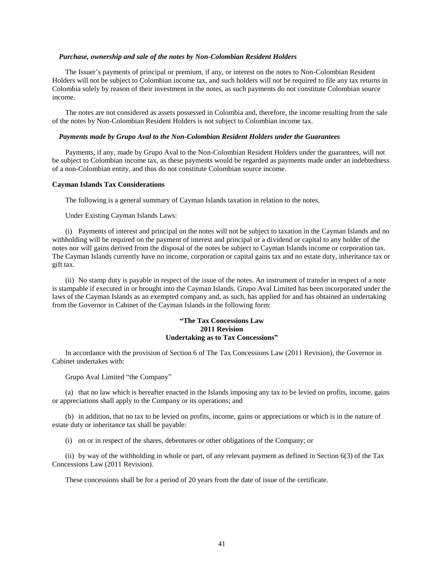#### *Purchase, ownership and sale of the notes by Non-Colombian Resident Holders*

The Issuer's payments of principal or premium, if any, or interest on the notes to Non-Colombian Resident Holders will not be subject to Colombian income tax, and such holders will not be required to file any tax returns in Colombia solely by reason of their investment in the notes, as such payments do not constitute Colombian source income.

The notes are not considered as assets possessed in Colombia and, therefore, the income resulting from the sale of the notes by Non-Colombian Resident Holders is not subject to Colombian income tax.

# *Payments made by Grupo Aval to the Non-Colombian Resident Holders under the Guarantees*

Payments, if any, made by Grupo Aval to the Non-Colombian Resident Holders under the guarantees, will not be subject to Colombian income tax, as these payments would be regarded as payments made under an indebtedness of a non-Colombian entity, and thus do not constitute Colombian source income.

#### **Cayman Islands Tax Considerations**

The following is a general summary of Cayman Islands taxation in relation to the notes.

Under Existing Cayman Islands Laws:

(i) Payments of interest and principal on the notes will not be subject to taxation in the Cayman Islands and no withholding will be required on the payment of interest and principal or a dividend or capital to any holder of the notes nor will gains derived from the disposal of the notes be subject to Cayman Islands income or corporation tax. The Cayman Islands currently have no income, corporation or capital gains tax and no estate duty, inheritance tax or gift tax.

(ii) No stamp duty is payable in respect of the issue of the notes. An instrument of transfer in respect of a note is stampable if executed in or brought into the Cayman Islands. Grupo Aval Limited has been incorporated under the laws of the Cayman Islands as an exempted company and, as such, has applied for and has obtained an undertaking from the Governor in Cabinet of the Cayman Islands in the following form:

# **"The Tax Concessions Law 2011 Revision Undertaking as to Tax Concessions"**

In accordance with the provision of Section 6 of The Tax Concessions Law (2011 Revision), the Governor in Cabinet undertakes with:

Grupo Aval Limited "the Company"

(a) that no law which is hereafter enacted in the Islands imposing any tax to be levied on profits, income, gains or appreciations shall apply to the Company or its operations; and

(b) in addition, that no tax to be levied on profits, income, gains or appreciations or which is in the nature of estate duty or inheritance tax shall be payable:

(i) on or in respect of the shares, debentures or other obligations of the Company; or

(ii) by way of the withholding in whole or part, of any relevant payment as defined in Section 6(3) of the Tax Concessions Law (2011 Revision).

These concessions shall be for a period of 20 years from the date of issue of the certificate.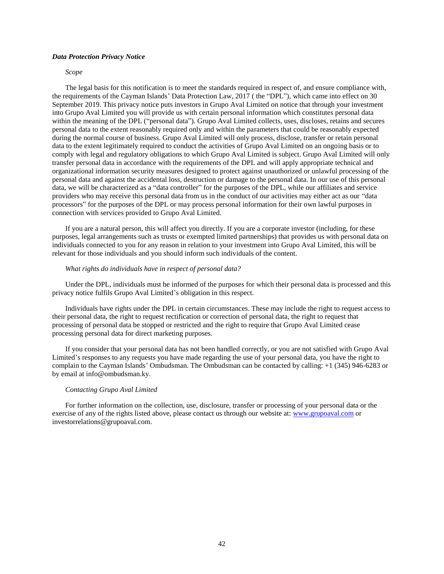### *Data Protection Privacy Notice*

### *Scope*

The legal basis for this notification is to meet the standards required in respect of, and ensure compliance with, the requirements of the Cayman Islands' Data Protection Law, 2017 ( the "DPL"), which came into effect on 30 September 2019. This privacy notice puts investors in Grupo Aval Limited on notice that through your investment into Grupo Aval Limited you will provide us with certain personal information which constitutes personal data within the meaning of the DPL ("personal data"). Grupo Aval Limited collects, uses, discloses, retains and secures personal data to the extent reasonably required only and within the parameters that could be reasonably expected during the normal course of business. Grupo Aval Limited will only process, disclose, transfer or retain personal data to the extent legitimately required to conduct the activities of Grupo Aval Limited on an ongoing basis or to comply with legal and regulatory obligations to which Grupo Aval Limited is subject. Grupo Aval Limited will only transfer personal data in accordance with the requirements of the DPL and will apply appropriate technical and organizational information security measures designed to protect against unauthorized or unlawful processing of the personal data and against the accidental loss, destruction or damage to the personal data. In our use of this personal data, we will be characterized as a "data controller" for the purposes of the DPL, while our affiliates and service providers who may receive this personal data from us in the conduct of our activities may either act as our "data processors" for the purposes of the DPL or may process personal information for their own lawful purposes in connection with services provided to Grupo Aval Limited.

If you are a natural person, this will affect you directly. If you are a corporate investor (including, for these purposes, legal arrangements such as trusts or exempted limited partnerships) that provides us with personal data on individuals connected to you for any reason in relation to your investment into Grupo Aval Limited, this will be relevant for those individuals and you should inform such individuals of the content.

### *What rights do individuals have in respect of personal data?*

Under the DPL, individuals must be informed of the purposes for which their personal data is processed and this privacy notice fulfils Grupo Aval Limited's obligation in this respect.

Individuals have rights under the DPL in certain circumstances. These may include the right to request access to their personal data, the right to request rectification or correction of personal data, the right to request that processing of personal data be stopped or restricted and the right to require that Grupo Aval Limited cease processing personal data for direct marketing purposes.

If you consider that your personal data has not been handled correctly, or you are not satisfied with Grupo Aval Limited's responses to any requests you have made regarding the use of your personal data, you have the right to complain to the Cayman Islands' Ombudsman. The Ombudsman can be contacted by calling: +1 (345) 946-6283 or by email at info@ombudsman.ky.

### *Contacting Grupo Aval Limited*

For further information on the collection, use, disclosure, transfer or processing of your personal data or the exercise of any of the rights listed above, please contact us through our website at: [www.grupoaval.com](http://www.grupoaval.com/) or investorrelations@grupoaval.com.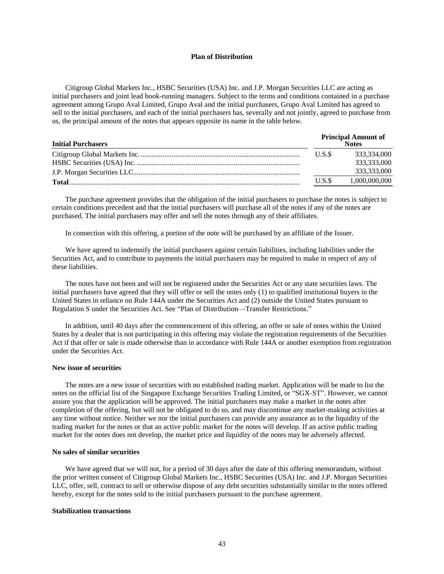### **Plan of Distribution**

<span id="page-52-0"></span>Citigroup Global Markets Inc., HSBC Securities (USA) Inc. and J.P. Morgan Securities LLC are acting as initial purchasers and joint lead book-running managers. Subject to the terms and conditions contained in a purchase agreement among Grupo Aval Limited, Grupo Aval and the initial purchasers, Grupo Aval Limited has agreed to sell to the initial purchasers, and each of the initial purchasers has, severally and not jointly, agreed to purchase from us, the principal amount of the notes that appears opposite its name in the table below.

| <b>Initial Purchasers</b> |       | <b>Principal Amount of</b><br><b>Notes</b> |  |
|---------------------------|-------|--------------------------------------------|--|
|                           | U.S.S | 333.334.000                                |  |
|                           |       | 333,333,000                                |  |
|                           |       | 333,333,000                                |  |
| Total                     | U.S.S | 1,000,000,000                              |  |

The purchase agreement provides that the obligation of the initial purchasers to purchase the notes is subject to certain conditions precedent and that the initial purchasers will purchase all of the notes if any of the notes are purchased. The initial purchasers may offer and sell the notes through any of their affiliates.

In connection with this offering, a portion of the note will be purchased by an affiliate of the Issuer.

We have agreed to indemnify the initial purchasers against certain liabilities, including liabilities under the Securities Act, and to contribute to payments the initial purchasers may be required to make in respect of any of these liabilities.

The notes have not been and will not be registered under the Securities Act or any state securities laws. The initial purchasers have agreed that they will offer or sell the notes only (1) to qualified institutional buyers in the United States in reliance on Rule 144A under the Securities Act and (2) outside the United States pursuant to Regulation S under the Securities Act. See "Plan of Distribution—Transfer Restrictions."

In addition, until 40 days after the commencement of this offering, an offer or sale of notes within the United States by a dealer that is not participating in this offering may violate the registration requirements of the Securities Act if that offer or sale is made otherwise than in accordance with Rule 144A or another exemption from registration under the Securities Act.

# **New issue of securities**

The notes are a new issue of securities with no established trading market. Application will be made to list the notes on the official list of the Singapore Exchange Securities Trading Limited, or "SGX-ST". However, we cannot assure you that the application will be approved. The initial purchasers may make a market in the notes after completion of the offering, but will not be obligated to do so, and may discontinue any market-making activities at any time without notice. Neither we nor the initial purchasers can provide any assurance as to the liquidity of the trading market for the notes or that an active public market for the notes will develop. If an active public trading market for the notes does not develop, the market price and liquidity of the notes may be adversely affected.

# **No sales of similar securities**

We have agreed that we will not, for a period of 30 days after the date of this offering memorandum, without the prior written consent of Citigroup Global Markets Inc., HSBC Securities (USA) Inc. and J.P. Morgan Securities LLC, offer, sell, contract to sell or otherwise dispose of any debt securities substantially similar to the notes offered hereby, except for the notes sold to the initial purchasers pursuant to the purchase agreement.

### **Stabilization transactions**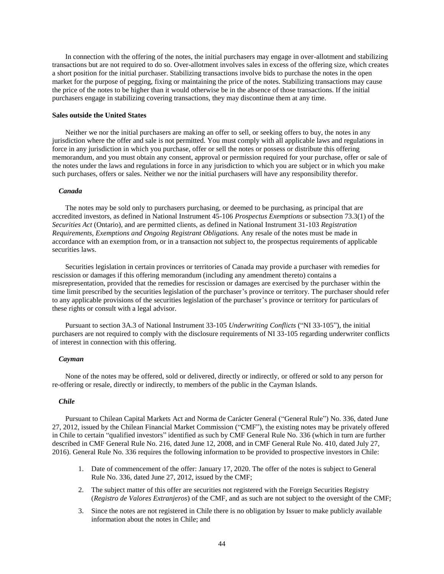In connection with the offering of the notes, the initial purchasers may engage in over-allotment and stabilizing transactions but are not required to do so. Over-allotment involves sales in excess of the offering size, which creates a short position for the initial purchaser. Stabilizing transactions involve bids to purchase the notes in the open market for the purpose of pegging, fixing or maintaining the price of the notes. Stabilizing transactions may cause the price of the notes to be higher than it would otherwise be in the absence of those transactions. If the initial purchasers engage in stabilizing covering transactions, they may discontinue them at any time.

# **Sales outside the United States**

Neither we nor the initial purchasers are making an offer to sell, or seeking offers to buy, the notes in any jurisdiction where the offer and sale is not permitted. You must comply with all applicable laws and regulations in force in any jurisdiction in which you purchase, offer or sell the notes or possess or distribute this offering memorandum, and you must obtain any consent, approval or permission required for your purchase, offer or sale of the notes under the laws and regulations in force in any jurisdiction to which you are subject or in which you make such purchases, offers or sales. Neither we nor the initial purchasers will have any responsibility therefor.

# *Canada*

The notes may be sold only to purchasers purchasing, or deemed to be purchasing, as principal that are accredited investors, as defined in National Instrument 45-106 *Prospectus Exemptions* or subsection 73.3(1) of the *Securities Act* (Ontario), and are permitted clients, as defined in National Instrument 31-103 *Registration Requirements, Exemptions and Ongoing Registrant Obligations.* Any resale of the notes must be made in accordance with an exemption from, or in a transaction not subject to, the prospectus requirements of applicable securities laws.

Securities legislation in certain provinces or territories of Canada may provide a purchaser with remedies for rescission or damages if this offering memorandum (including any amendment thereto) contains a misrepresentation, provided that the remedies for rescission or damages are exercised by the purchaser within the time limit prescribed by the securities legislation of the purchaser's province or territory. The purchaser should refer to any applicable provisions of the securities legislation of the purchaser's province or territory for particulars of these rights or consult with a legal advisor.

Pursuant to section 3A.3 of National Instrument 33-105 *Underwriting Conflicts* ("NI 33-105"), the initial purchasers are not required to comply with the disclosure requirements of NI 33-105 regarding underwriter conflicts of interest in connection with this offering.

#### *Cayman*

None of the notes may be offered, sold or delivered, directly or indirectly, or offered or sold to any person for re-offering or resale, directly or indirectly, to members of the public in the Cayman Islands.

### *Chile*

Pursuant to Chilean Capital Markets Act and Norma de Carácter General ("General Rule") No. 336, dated June 27, 2012, issued by the Chilean Financial Market Commission ("CMF"), the existing notes may be privately offered in Chile to certain "qualified investors" identified as such by CMF General Rule No. 336 (which in turn are further described in CMF General Rule No. 216, dated June 12, 2008, and in CMF General Rule No. 410, dated July 27, 2016). General Rule No. 336 requires the following information to be provided to prospective investors in Chile:

- 1. Date of commencement of the offer: January 17, 2020. The offer of the notes is subject to General Rule No. 336, dated June 27, 2012, issued by the CMF;
- 2. The subject matter of this offer are securities not registered with the Foreign Securities Registry (*Registro de Valores Extranjeros*) of the CMF, and as such are not subject to the oversight of the CMF;
- 3. Since the notes are not registered in Chile there is no obligation by Issuer to make publicly available information about the notes in Chile; and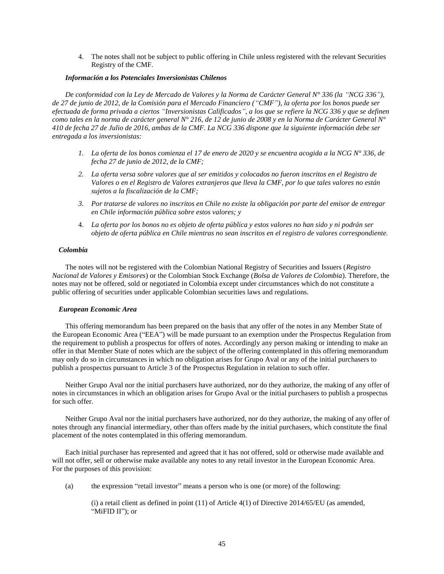4. The notes shall not be subject to public offering in Chile unless registered with the relevant Securities Registry of the CMF.

# *Información a los Potenciales Inversionistas Chilenos*

*De conformidad con la Ley de Mercado de Valores y la Norma de Carácter General N° 336 (la "NCG 336"), de 27 de junio de 2012, de la Comisión para el Mercado Financiero ("CMF"), la oferta por los bonos puede ser efectuada de forma privada a ciertos "Inversionistas Calificados", a los que se refiere la NCG 336 y que se definen como tales en la norma de carácter general N° 216, de 12 de junio de 2008 y en la Norma de Carácter General N° 410 de fecha 27 de Julio de 2016, ambas de la CMF. La NCG 336 dispone que la siguiente información debe ser entregada a los inversionistas:*

- *1. La oferta de los bonos comienza el 17 de enero de 2020 y se encuentra acogida a la NCG N° 336, de fecha 27 de junio de 2012, de la CMF;*
- *2. La oferta versa sobre valores que al ser emitidos y colocados no fueron inscritos en el Registro de Valores o en el Registro de Valores extranjeros que lleva la CMF, por lo que tales valores no están sujetos a la fiscalización de la CMF;*
- *3. Por tratarse de valores no inscritos en Chile no existe la obligación por parte del emisor de entregar en Chile información pública sobre estos valores; y*
- 4. *La oferta por los bonos no es objeto de oferta pública y estos valores no han sido y ni podrán ser objeto de oferta pública en Chile mientras no sean inscritos en el registro de valores correspondiente.*

### *Colombia*

The notes will not be registered with the Colombian National Registry of Securities and Issuers (*Registro Nacional de Valores y Emisores*) or the Colombian Stock Exchange (*Bolsa de Valores de Colombia*). Therefore, the notes may not be offered, sold or negotiated in Colombia except under circumstances which do not constitute a public offering of securities under applicable Colombian securities laws and regulations.

### *European Economic Area*

This offering memorandum has been prepared on the basis that any offer of the notes in any Member State of the European Economic Area ("EEA") will be made pursuant to an exemption under the Prospectus Regulation from the requirement to publish a prospectus for offers of notes. Accordingly any person making or intending to make an offer in that Member State of notes which are the subject of the offering contemplated in this offering memorandum may only do so in circumstances in which no obligation arises for Grupo Aval or any of the initial purchasers to publish a prospectus pursuant to Article 3 of the Prospectus Regulation in relation to such offer.

Neither Grupo Aval nor the initial purchasers have authorized, nor do they authorize, the making of any offer of notes in circumstances in which an obligation arises for Grupo Aval or the initial purchasers to publish a prospectus for such offer.

Neither Grupo Aval nor the initial purchasers have authorized, nor do they authorize, the making of any offer of notes through any financial intermediary, other than offers made by the initial purchasers, which constitute the final placement of the notes contemplated in this offering memorandum.

Each initial purchaser has represented and agreed that it has not offered, sold or otherwise made available and will not offer, sell or otherwise make available any notes to any retail investor in the European Economic Area. For the purposes of this provision:

(a) the expression "retail investor" means a person who is one (or more) of the following:

(i) a retail client as defined in point (11) of Article 4(1) of Directive 2014/65/EU (as amended, "MiFID II"); or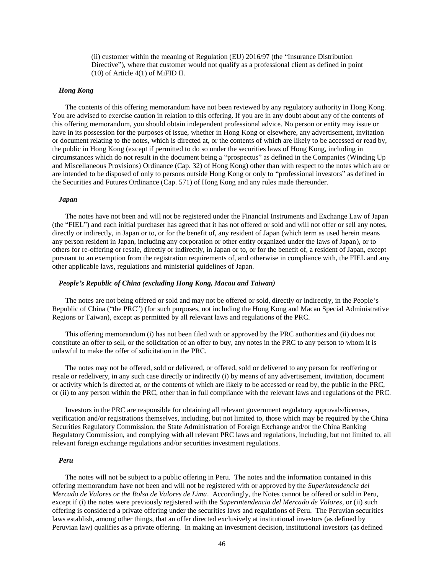(ii) customer within the meaning of Regulation (EU) 2016/97 (the "Insurance Distribution Directive"), where that customer would not qualify as a professional client as defined in point (10) of Article 4(1) of MiFID II.

#### *Hong Kong*

The contents of this offering memorandum have not been reviewed by any regulatory authority in Hong Kong. You are advised to exercise caution in relation to this offering. If you are in any doubt about any of the contents of this offering memorandum, you should obtain independent professional advice. No person or entity may issue or have in its possession for the purposes of issue, whether in Hong Kong or elsewhere, any advertisement, invitation or document relating to the notes, which is directed at, or the contents of which are likely to be accessed or read by, the public in Hong Kong (except if permitted to do so under the securities laws of Hong Kong, including in circumstances which do not result in the document being a "prospectus" as defined in the Companies (Winding Up and Miscellaneous Provisions) Ordinance (Cap. 32) of Hong Kong) other than with respect to the notes which are or are intended to be disposed of only to persons outside Hong Kong or only to "professional investors" as defined in the Securities and Futures Ordinance (Cap. 571) of Hong Kong and any rules made thereunder.

### *Japan*

The notes have not been and will not be registered under the Financial Instruments and Exchange Law of Japan (the "FIEL") and each initial purchaser has agreed that it has not offered or sold and will not offer or sell any notes, directly or indirectly, in Japan or to, or for the benefit of, any resident of Japan (which term as used herein means any person resident in Japan, including any corporation or other entity organized under the laws of Japan), or to others for re-offering or resale, directly or indirectly, in Japan or to, or for the benefit of, a resident of Japan, except pursuant to an exemption from the registration requirements of, and otherwise in compliance with, the FIEL and any other applicable laws, regulations and ministerial guidelines of Japan.

# *People's Republic of China (excluding Hong Kong, Macau and Taiwan)*

The notes are not being offered or sold and may not be offered or sold, directly or indirectly, in the People's Republic of China ("the PRC") (for such purposes, not including the Hong Kong and Macau Special Administrative Regions or Taiwan), except as permitted by all relevant laws and regulations of the PRC.

This offering memorandum (i) has not been filed with or approved by the PRC authorities and (ii) does not constitute an offer to sell, or the solicitation of an offer to buy, any notes in the PRC to any person to whom it is unlawful to make the offer of solicitation in the PRC.

The notes may not be offered, sold or delivered, or offered, sold or delivered to any person for reoffering or resale or redelivery, in any such case directly or indirectly (i) by means of any advertisement, invitation, document or activity which is directed at, or the contents of which are likely to be accessed or read by, the public in the PRC, or (ii) to any person within the PRC, other than in full compliance with the relevant laws and regulations of the PRC.

Investors in the PRC are responsible for obtaining all relevant government regulatory approvals/licenses, verification and/or registrations themselves, including, but not limited to, those which may be required by the China Securities Regulatory Commission, the State Administration of Foreign Exchange and/or the China Banking Regulatory Commission, and complying with all relevant PRC laws and regulations, including, but not limited to, all relevant foreign exchange regulations and/or securities investment regulations.

# *Peru*

The notes will not be subject to a public offering in Peru. The notes and the information contained in this offering memorandum have not been and will not be registered with or approved by the *Superintendencia del Mercado de Valores or the Bolsa de Valores de Lima*. Accordingly, the Notes cannot be offered or sold in Peru, except if (i) the notes were previously registered with the *Superintendencia del Mercado de Valores*, or (ii) such offering is considered a private offering under the securities laws and regulations of Peru. The Peruvian securities laws establish, among other things, that an offer directed exclusively at institutional investors (as defined by Peruvian law) qualifies as a private offering. In making an investment decision, institutional investors (as defined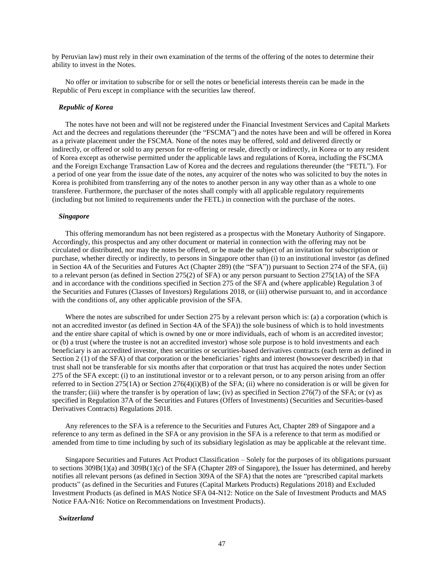by Peruvian law) must rely in their own examination of the terms of the offering of the notes to determine their ability to invest in the Notes.

No offer or invitation to subscribe for or sell the notes or beneficial interests therein can be made in the Republic of Peru except in compliance with the securities law thereof.

# *Republic of Korea*

The notes have not been and will not be registered under the Financial Investment Services and Capital Markets Act and the decrees and regulations thereunder (the "FSCMA") and the notes have been and will be offered in Korea as a private placement under the FSCMA. None of the notes may be offered, sold and delivered directly or indirectly, or offered or sold to any person for re-offering or resale, directly or indirectly, in Korea or to any resident of Korea except as otherwise permitted under the applicable laws and regulations of Korea, including the FSCMA and the Foreign Exchange Transaction Law of Korea and the decrees and regulations thereunder (the "FETL"). For a period of one year from the issue date of the notes, any acquirer of the notes who was solicited to buy the notes in Korea is prohibited from transferring any of the notes to another person in any way other than as a whole to one transferee. Furthermore, the purchaser of the notes shall comply with all applicable regulatory requirements (including but not limited to requirements under the FETL) in connection with the purchase of the notes.

### *Singapore*

This offering memorandum has not been registered as a prospectus with the Monetary Authority of Singapore. Accordingly, this prospectus and any other document or material in connection with the offering may not be circulated or distributed, nor may the notes be offered, or be made the subject of an invitation for subscription or purchase, whether directly or indirectly, to persons in Singapore other than (i) to an institutional investor (as defined in Section 4A of the Securities and Futures Act (Chapter 289) (the "SFA")) pursuant to Section 274 of the SFA, (ii) to a relevant person (as defined in Section 275(2) of SFA) or any person pursuant to Section 275(1A) of the SFA and in accordance with the conditions specified in Section 275 of the SFA and (where applicable) Regulation 3 of the Securities and Futures (Classes of Investors) Regulations 2018, or (iii) otherwise pursuant to, and in accordance with the conditions of, any other applicable provision of the SFA.

Where the notes are subscribed for under Section 275 by a relevant person which is: (a) a corporation (which is not an accredited investor (as defined in Section 4A of the SFA)) the sole business of which is to hold investments and the entire share capital of which is owned by one or more individuals, each of whom is an accredited investor; or (b) a trust (where the trustee is not an accredited investor) whose sole purpose is to hold investments and each beneficiary is an accredited investor, then securities or securities-based derivatives contracts (each term as defined in Section 2 (1) of the SFA) of that corporation or the beneficiaries' rights and interest (howsoever described) in that trust shall not be transferable for six months after that corporation or that trust has acquired the notes under Section 275 of the SFA except: (i) to an institutional investor or to a relevant person, or to any person arising from an offer referred to in Section 275(1A) or Section 276(4)(i)(B) of the SFA; (ii) where no consideration is or will be given for the transfer; (iii) where the transfer is by operation of law; (iv) as specified in Section 276(7) of the SFA; or (v) as specified in Regulation 37A of the Securities and Futures (Offers of Investments) (Securities and Securities-based Derivatives Contracts) Regulations 2018.

Any references to the SFA is a reference to the Securities and Futures Act, Chapter 289 of Singapore and a reference to any term as defined in the SFA or any provision in the SFA is a reference to that term as modified or amended from time to time including by such of its subsidiary legislation as may be applicable at the relevant time.

Singapore Securities and Futures Act Product Classification – Solely for the purposes of its obligations pursuant to sections 309B(1)(a) and 309B(1)(c) of the SFA (Chapter 289 of Singapore), the Issuer has determined, and hereby notifies all relevant persons (as defined in Section 309A of the SFA) that the notes are "prescribed capital markets products" (as defined in the Securities and Futures (Capital Markets Products) Regulations 2018) and Excluded Investment Products (as defined in MAS Notice SFA 04-N12: Notice on the Sale of Investment Products and MAS Notice FAA-N16: Notice on Recommendations on Investment Products).

### *Switzerland*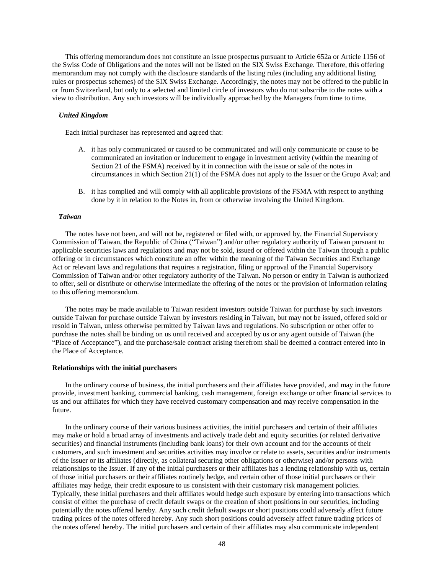This offering memorandum does not constitute an issue prospectus pursuant to Article 652a or Article 1156 of the Swiss Code of Obligations and the notes will not be listed on the SIX Swiss Exchange. Therefore, this offering memorandum may not comply with the disclosure standards of the listing rules (including any additional listing rules or prospectus schemes) of the SIX Swiss Exchange. Accordingly, the notes may not be offered to the public in or from Switzerland, but only to a selected and limited circle of investors who do not subscribe to the notes with a view to distribution. Any such investors will be individually approached by the Managers from time to time.

# *United Kingdom*

Each initial purchaser has represented and agreed that:

- A. it has only communicated or caused to be communicated and will only communicate or cause to be communicated an invitation or inducement to engage in investment activity (within the meaning of Section 21 of the FSMA) received by it in connection with the issue or sale of the notes in circumstances in which Section 21(1) of the FSMA does not apply to the Issuer or the Grupo Aval; and
- B. it has complied and will comply with all applicable provisions of the FSMA with respect to anything done by it in relation to the Notes in, from or otherwise involving the United Kingdom.

### *Taiwan*

The notes have not been, and will not be, registered or filed with, or approved by, the Financial Supervisory Commission of Taiwan, the Republic of China ("Taiwan") and/or other regulatory authority of Taiwan pursuant to applicable securities laws and regulations and may not be sold, issued or offered within the Taiwan through a public offering or in circumstances which constitute an offer within the meaning of the Taiwan Securities and Exchange Act or relevant laws and regulations that requires a registration, filing or approval of the Financial Supervisory Commission of Taiwan and/or other regulatory authority of the Taiwan. No person or entity in Taiwan is authorized to offer, sell or distribute or otherwise intermediate the offering of the notes or the provision of information relating to this offering memorandum.

The notes may be made available to Taiwan resident investors outside Taiwan for purchase by such investors outside Taiwan for purchase outside Taiwan by investors residing in Taiwan, but may not be issued, offered sold or resold in Taiwan, unless otherwise permitted by Taiwan laws and regulations. No subscription or other offer to purchase the notes shall be binding on us until received and accepted by us or any agent outside of Taiwan (the "Place of Acceptance"), and the purchase/sale contract arising therefrom shall be deemed a contract entered into in the Place of Acceptance.

#### **Relationships with the initial purchasers**

In the ordinary course of business, the initial purchasers and their affiliates have provided, and may in the future provide, investment banking, commercial banking, cash management, foreign exchange or other financial services to us and our affiliates for which they have received customary compensation and may receive compensation in the future.

In the ordinary course of their various business activities, the initial purchasers and certain of their affiliates may make or hold a broad array of investments and actively trade debt and equity securities (or related derivative securities) and financial instruments (including bank loans) for their own account and for the accounts of their customers, and such investment and securities activities may involve or relate to assets, securities and/or instruments of the Issuer or its affiliates (directly, as collateral securing other obligations or otherwise) and/or persons with relationships to the Issuer. If any of the initial purchasers or their affiliates has a lending relationship with us, certain of those initial purchasers or their affiliates routinely hedge, and certain other of those initial purchasers or their affiliates may hedge, their credit exposure to us consistent with their customary risk management policies. Typically, these initial purchasers and their affiliates would hedge such exposure by entering into transactions which consist of either the purchase of credit default swaps or the creation of short positions in our securities, including potentially the notes offered hereby. Any such credit default swaps or short positions could adversely affect future trading prices of the notes offered hereby. Any such short positions could adversely affect future trading prices of the notes offered hereby. The initial purchasers and certain of their affiliates may also communicate independent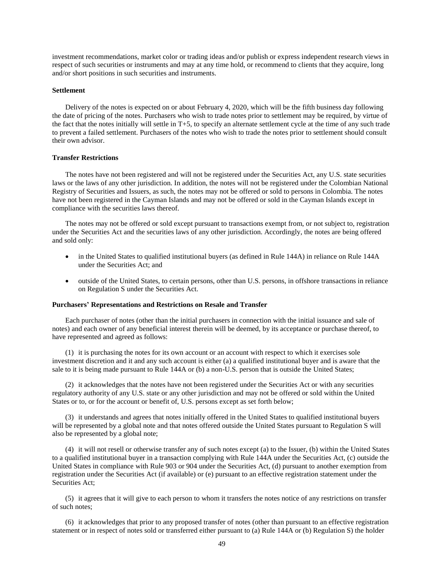investment recommendations, market color or trading ideas and/or publish or express independent research views in respect of such securities or instruments and may at any time hold, or recommend to clients that they acquire, long and/or short positions in such securities and instruments.

#### **Settlement**

Delivery of the notes is expected on or about February 4, 2020, which will be the fifth business day following the date of pricing of the notes. Purchasers who wish to trade notes prior to settlement may be required, by virtue of the fact that the notes initially will settle in T+5, to specify an alternate settlement cycle at the time of any such trade to prevent a failed settlement. Purchasers of the notes who wish to trade the notes prior to settlement should consult their own advisor.

# **Transfer Restrictions**

The notes have not been registered and will not be registered under the Securities Act, any U.S. state securities laws or the laws of any other jurisdiction. In addition, the notes will not be registered under the Colombian National Registry of Securities and Issuers, as such, the notes may not be offered or sold to persons in Colombia. The notes have not been registered in the Cayman Islands and may not be offered or sold in the Cayman Islands except in compliance with the securities laws thereof.

The notes may not be offered or sold except pursuant to transactions exempt from, or not subject to, registration under the Securities Act and the securities laws of any other jurisdiction. Accordingly, the notes are being offered and sold only:

- in the United States to qualified institutional buyers (as defined in Rule 144A) in reliance on Rule 144A under the Securities Act; and
- outside of the United States, to certain persons, other than U.S. persons, in offshore transactions in reliance on Regulation S under the Securities Act.

# **Purchasers' Representations and Restrictions on Resale and Transfer**

Each purchaser of notes (other than the initial purchasers in connection with the initial issuance and sale of notes) and each owner of any beneficial interest therein will be deemed, by its acceptance or purchase thereof, to have represented and agreed as follows:

(1) it is purchasing the notes for its own account or an account with respect to which it exercises sole investment discretion and it and any such account is either (a) a qualified institutional buyer and is aware that the sale to it is being made pursuant to Rule 144A or (b) a non-U.S. person that is outside the United States;

(2) it acknowledges that the notes have not been registered under the Securities Act or with any securities regulatory authority of any U.S. state or any other jurisdiction and may not be offered or sold within the United States or to, or for the account or benefit of, U.S. persons except as set forth below;

(3) it understands and agrees that notes initially offered in the United States to qualified institutional buyers will be represented by a global note and that notes offered outside the United States pursuant to Regulation S will also be represented by a global note;

(4) it will not resell or otherwise transfer any of such notes except (a) to the Issuer, (b) within the United States to a qualified institutional buyer in a transaction complying with Rule 144A under the Securities Act, (c) outside the United States in compliance with Rule 903 or 904 under the Securities Act, (d) pursuant to another exemption from registration under the Securities Act (if available) or (e) pursuant to an effective registration statement under the Securities Act;

(5) it agrees that it will give to each person to whom it transfers the notes notice of any restrictions on transfer of such notes;

(6) it acknowledges that prior to any proposed transfer of notes (other than pursuant to an effective registration statement or in respect of notes sold or transferred either pursuant to (a) Rule 144A or (b) Regulation S) the holder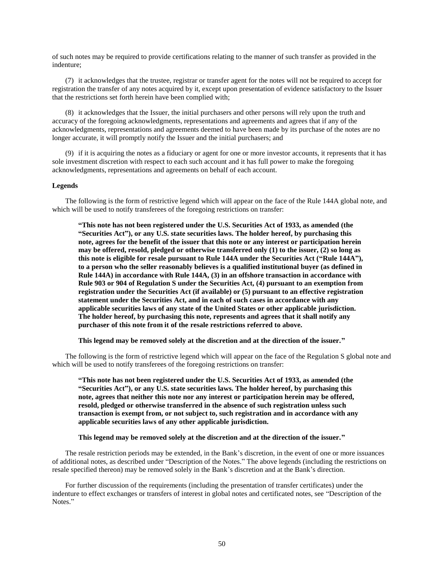of such notes may be required to provide certifications relating to the manner of such transfer as provided in the indenture;

(7) it acknowledges that the trustee, registrar or transfer agent for the notes will not be required to accept for registration the transfer of any notes acquired by it, except upon presentation of evidence satisfactory to the Issuer that the restrictions set forth herein have been complied with;

(8) it acknowledges that the Issuer, the initial purchasers and other persons will rely upon the truth and accuracy of the foregoing acknowledgments, representations and agreements and agrees that if any of the acknowledgments, representations and agreements deemed to have been made by its purchase of the notes are no longer accurate, it will promptly notify the Issuer and the initial purchasers; and

(9) if it is acquiring the notes as a fiduciary or agent for one or more investor accounts, it represents that it has sole investment discretion with respect to each such account and it has full power to make the foregoing acknowledgments, representations and agreements on behalf of each account.

### **Legends**

The following is the form of restrictive legend which will appear on the face of the Rule 144A global note, and which will be used to notify transferees of the foregoing restrictions on transfer:

**"This note has not been registered under the U.S. Securities Act of 1933, as amended (the "Securities Act"), or any U.S. state securities laws. The holder hereof, by purchasing this note, agrees for the benefit of the issuer that this note or any interest or participation herein may be offered, resold, pledged or otherwise transferred only (1) to the issuer, (2) so long as this note is eligible for resale pursuant to Rule 144A under the Securities Act ("Rule 144A"), to a person who the seller reasonably believes is a qualified institutional buyer (as defined in Rule 144A) in accordance with Rule 144A, (3) in an offshore transaction in accordance with Rule 903 or 904 of Regulation S under the Securities Act, (4) pursuant to an exemption from registration under the Securities Act (if available) or (5) pursuant to an effective registration statement under the Securities Act, and in each of such cases in accordance with any applicable securities laws of any state of the United States or other applicable jurisdiction. The holder hereof, by purchasing this note, represents and agrees that it shall notify any purchaser of this note from it of the resale restrictions referred to above.**

**This legend may be removed solely at the discretion and at the direction of the issuer."**

The following is the form of restrictive legend which will appear on the face of the Regulation S global note and which will be used to notify transferees of the foregoing restrictions on transfer:

**"This note has not been registered under the U.S. Securities Act of 1933, as amended (the "Securities Act"), or any U.S. state securities laws. The holder hereof, by purchasing this note, agrees that neither this note nor any interest or participation herein may be offered, resold, pledged or otherwise transferred in the absence of such registration unless such transaction is exempt from, or not subject to, such registration and in accordance with any applicable securities laws of any other applicable jurisdiction.**

**This legend may be removed solely at the discretion and at the direction of the issuer."**

The resale restriction periods may be extended, in the Bank's discretion, in the event of one or more issuances of additional notes, as described under "Description of the Notes." The above legends (including the restrictions on resale specified thereon) may be removed solely in the Bank's discretion and at the Bank's direction.

For further discussion of the requirements (including the presentation of transfer certificates) under the indenture to effect exchanges or transfers of interest in global notes and certificated notes, see "Description of the Notes."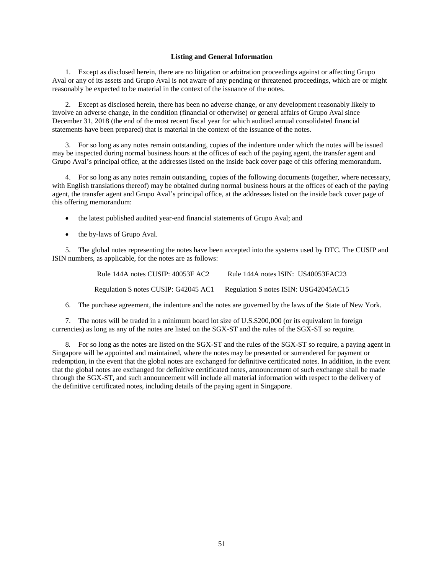### **Listing and General Information**

<span id="page-60-0"></span>1. Except as disclosed herein, there are no litigation or arbitration proceedings against or affecting Grupo Aval or any of its assets and Grupo Aval is not aware of any pending or threatened proceedings, which are or might reasonably be expected to be material in the context of the issuance of the notes.

2. Except as disclosed herein, there has been no adverse change, or any development reasonably likely to involve an adverse change, in the condition (financial or otherwise) or general affairs of Grupo Aval since December 31, 2018 (the end of the most recent fiscal year for which audited annual consolidated financial statements have been prepared) that is material in the context of the issuance of the notes.

3. For so long as any notes remain outstanding, copies of the indenture under which the notes will be issued may be inspected during normal business hours at the offices of each of the paying agent, the transfer agent and Grupo Aval's principal office, at the addresses listed on the inside back cover page of this offering memorandum.

4. For so long as any notes remain outstanding, copies of the following documents (together, where necessary, with English translations thereof) may be obtained during normal business hours at the offices of each of the paying agent, the transfer agent and Grupo Aval's principal office, at the addresses listed on the inside back cover page of this offering memorandum:

- the latest published audited year-end financial statements of Grupo Aval; and
- the by-laws of Grupo Aval.

5. The global notes representing the notes have been accepted into the systems used by DTC. The CUSIP and ISIN numbers, as applicable, for the notes are as follows:

| Rule 144A notes CUSIP: 40053F AC2    | Rule 144A notes ISIN: US40053FAC23    |
|--------------------------------------|---------------------------------------|
| Regulation S notes CUSIP: G42045 AC1 | Regulation S notes ISIN: USG42045AC15 |

6. The purchase agreement, the indenture and the notes are governed by the laws of the State of New York.

7. The notes will be traded in a minimum board lot size of U.S.\$200,000 (or its equivalent in foreign currencies) as long as any of the notes are listed on the SGX-ST and the rules of the SGX-ST so require.

8*.* For so long as the notes are listed on the SGX-ST and the rules of the SGX-ST so require, a paying agent in Singapore will be appointed and maintained, where the notes may be presented or surrendered for payment or redemption, in the event that the global notes are exchanged for definitive certificated notes. In addition, in the event that the global notes are exchanged for definitive certificated notes, announcement of such exchange shall be made through the SGX-ST, and such announcement will include all material information with respect to the delivery of the definitive certificated notes, including details of the paying agent in Singapore.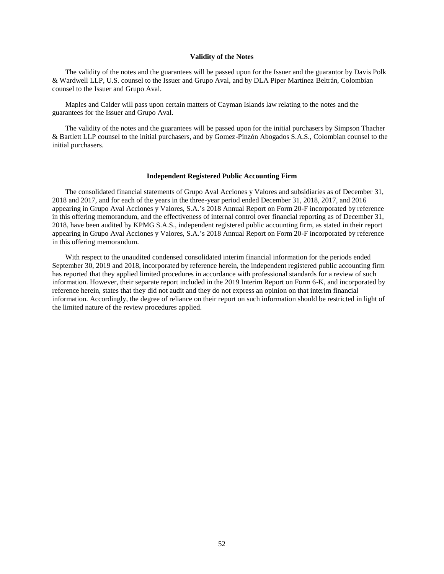#### **Validity of the Notes**

<span id="page-61-0"></span>The validity of the notes and the guarantees will be passed upon for the Issuer and the guarantor by Davis Polk & Wardwell LLP, U.S. counsel to the Issuer and Grupo Aval, and by DLA Piper Martínez Beltrán, Colombian counsel to the Issuer and Grupo Aval.

Maples and Calder will pass upon certain matters of Cayman Islands law relating to the notes and the guarantees for the Issuer and Grupo Aval.

The validity of the notes and the guarantees will be passed upon for the initial purchasers by Simpson Thacher & Bartlett LLP counsel to the initial purchasers, and by Gomez-Pinzón Abogados S.A.S., Colombian counsel to the initial purchasers.

### **Independent Registered Public Accounting Firm**

<span id="page-61-1"></span>The consolidated financial statements of Grupo Aval Acciones y Valores and subsidiaries as of December 31, 2018 and 2017, and for each of the years in the three-year period ended December 31, 2018, 2017, and 2016 appearing in Grupo Aval Acciones y Valores, S.A.'s 2018 Annual Report on Form 20-F incorporated by reference in this offering memorandum, and the effectiveness of internal control over financial reporting as of December 31, 2018, have been audited by KPMG S.A.S., independent registered public accounting firm, as stated in their report appearing in Grupo Aval Acciones y Valores, S.A.'s 2018 Annual Report on Form 20-F incorporated by reference in this offering memorandum.

With respect to the unaudited condensed consolidated interim financial information for the periods ended September 30, 2019 and 2018, incorporated by reference herein, the independent registered public accounting firm has reported that they applied limited procedures in accordance with professional standards for a review of such information. However, their separate report included in the 2019 Interim Report on Form 6-K, and incorporated by reference herein, states that they did not audit and they do not express an opinion on that interim financial information. Accordingly, the degree of reliance on their report on such information should be restricted in light of the limited nature of the review procedures applied.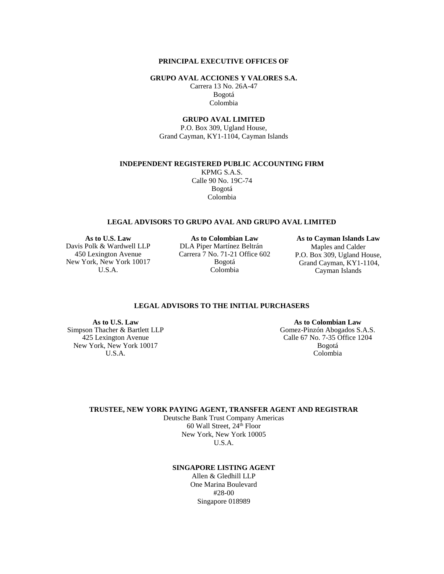# **PRINCIPAL EXECUTIVE OFFICES OF**

**GRUPO AVAL ACCIONES Y VALORES S.A.**

Carrera 13 No. 26A-47 Bogotá Colombia

# **GRUPO AVAL LIMITED**

P.O. Box 309, Ugland House, Grand Cayman, KY1-1104, Cayman Islands

**INDEPENDENT REGISTERED PUBLIC ACCOUNTING FIRM**

KPMG S.A.S. Calle 90 No. 19C-74 Bogotá Colombia

#### **LEGAL ADVISORS TO GRUPO AVAL AND GRUPO AVAL LIMITED**

Davis Polk & Wardwell LLP 450 Lexington Avenue New York, New York 10017 U.S.A.

**As to U.S. Law As to Colombian Law As to Cayman Islands Law** DLA Piper Martínez Beltrán Carrera 7 No. 71-21 Office 602 Bogotá Colombia

Maples and Calder P.O. Box 309, Ugland House, Grand Cayman, KY1-1104, Cayman Islands

# **LEGAL ADVISORS TO THE INITIAL PURCHASERS**

Simpson Thacher & Bartlett LLP 425 Lexington Avenue New York, New York 10017 U.S.A.

**As to U.S. Law As to Colombian Law** Gomez-Pinzón Abogados S.A.S. Calle 67 No. 7-35 Office 1204 Bogotá Colombia

**TRUSTEE, NEW YORK PAYING AGENT, TRANSFER AGENT AND REGISTRAR**

Deutsche Bank Trust Company Americas 60 Wall Street, 24<sup>th</sup> Floor New York, New York 10005 U.S.A.

### **SINGAPORE LISTING AGENT**

Allen & Gledhill LLP One Marina Boulevard #28-00 Singapore 018989